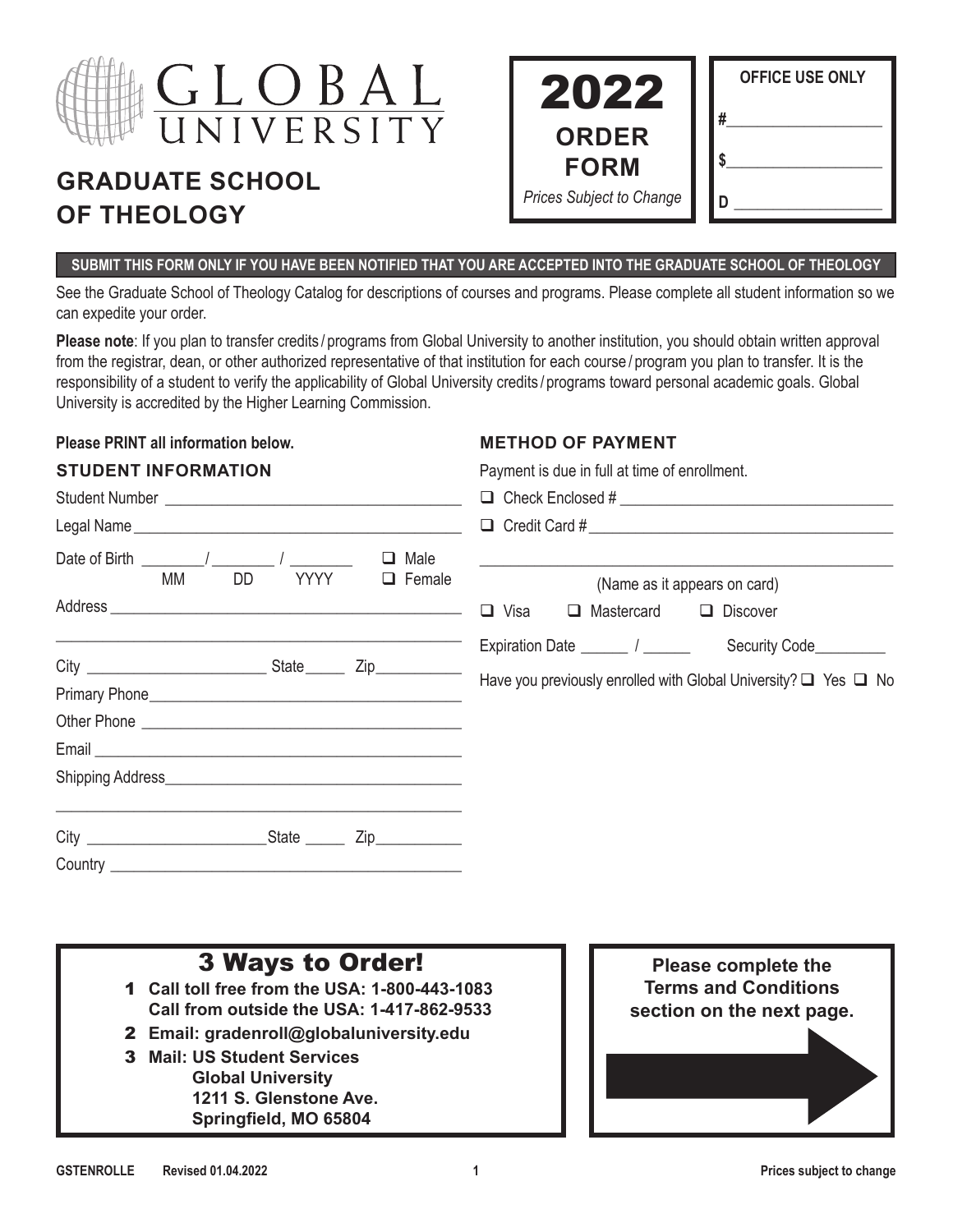

Student Number **Exercise 19** and the student  $\frac{1}{2}$ 

# **GRADUATE SCHOOL OF THEOLOGY**

| 2022                            | <b>OFFICE USE ONLY</b> |
|---------------------------------|------------------------|
| <b>ORDER</b><br><b>FORM</b>     |                        |
| <b>Prices Subject to Change</b> |                        |

#### **SUBMIT THIS FORM ONLY IF YOU HAVE BEEN NOTIFIED THAT YOU ARE ACCEPTED INTO THE GRADUATE SCHOOL OF THEOLOGY**

See the Graduate School of Theology Catalog for descriptions of courses and programs. Please complete all student information so we can expedite your order.

**Please note**: If you plan to transfer credits / programs from Global University to another institution, you should obtain written approval from the registrar, dean, or other authorized representative of that institution for each course / program you plan to transfer. It is the responsibility of a student to verify the applicability of Global University credits / programs toward personal academic goals. Global University is accredited by the Higher Learning Commission.

#### **Please PRINT all information below.**

#### **METHOD OF PAYMENT**

| STUDENT INFORMATION |
|---------------------|
|---------------------|

Payment is due in full at time of enrollment.

 $\Box$  Check Enclosed #  $\Box$ 

|                                                                                                                                                                                                                                      |    |                            |             |                                   | $\Box$ Credit Card #                                     |  |
|--------------------------------------------------------------------------------------------------------------------------------------------------------------------------------------------------------------------------------------|----|----------------------------|-------------|-----------------------------------|----------------------------------------------------------|--|
| Date of Birth $\frac{1}{2}$ / $\frac{1}{2}$<br>MM                                                                                                                                                                                    | DD | Male<br>□<br>YYYY □ Female |             |                                   |                                                          |  |
|                                                                                                                                                                                                                                      |    |                            | $\Box$ Visa | $\Box$ Mastercard $\Box$ Discover | (Name as it appears on card)                             |  |
| <u> The Communication of the Communication of the Communication of the Communication of the Communication of the Communication of the Communication of the Communication of the Communication of the Communication of the Commun</u> |    |                            |             |                                   | Expiration Date _______ / _______ Security Code_________ |  |
|                                                                                                                                                                                                                                      |    |                            |             |                                   |                                                          |  |
|                                                                                                                                                                                                                                      |    |                            |             |                                   |                                                          |  |
|                                                                                                                                                                                                                                      |    |                            |             |                                   |                                                          |  |
|                                                                                                                                                                                                                                      |    |                            |             |                                   |                                                          |  |
|                                                                                                                                                                                                                                      |    |                            |             |                                   |                                                          |  |
|                                                                                                                                                                                                                                      |    |                            |             |                                   |                                                          |  |

- 1 **Call toll free from the USA: 1-800-443-1083 Call from outside the USA: 1-417-862-9533**
- 2 **Email: gradenroll@globaluniversity.edu**
- 3 **Mail: US Student Services Global University 1211 S. Glenstone Ave. Springfield, MO 65804**

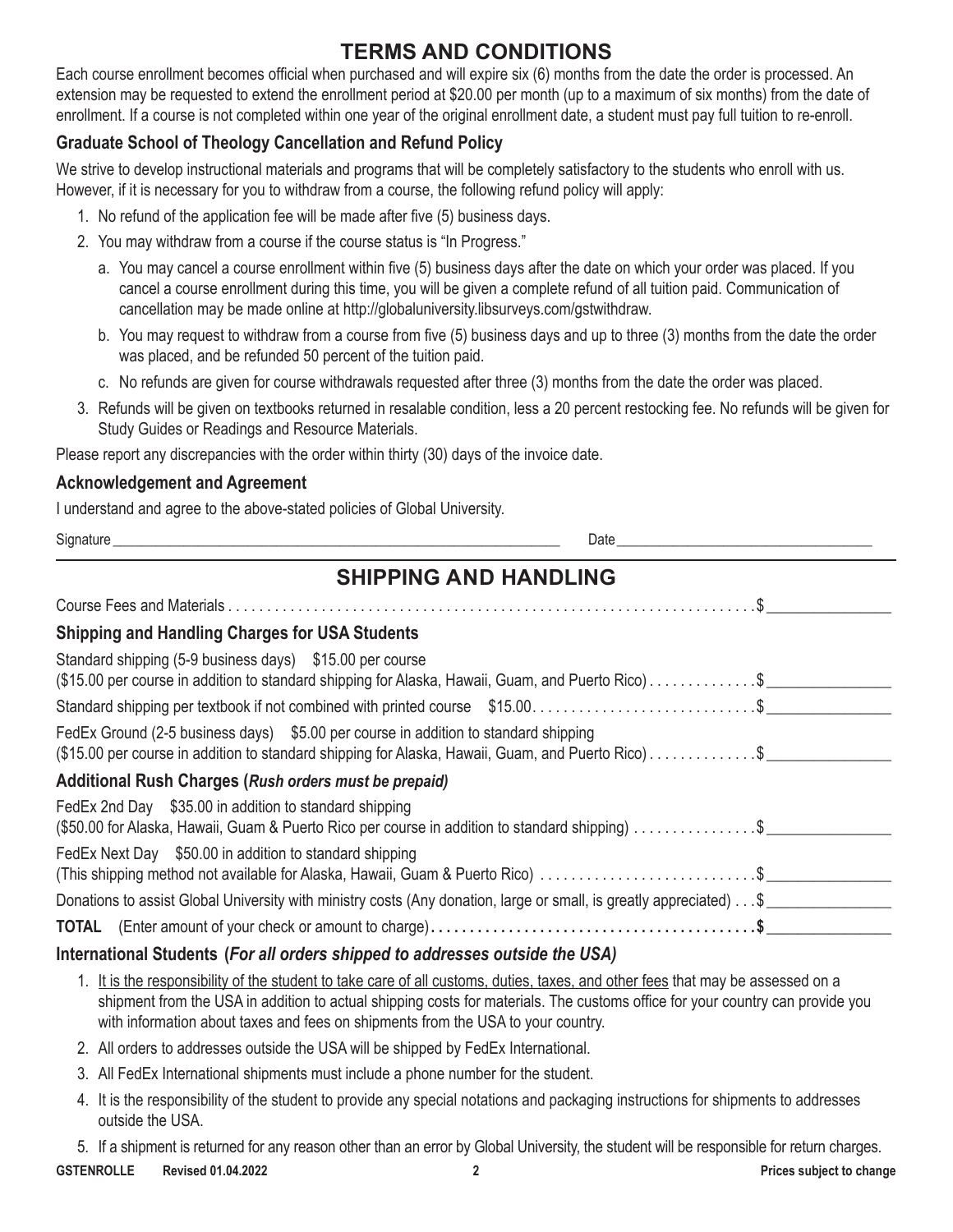# **TERMS AND CONDITIONS**

Each course enrollment becomes official when purchased and will expire six (6) months from the date the order is processed. An extension may be requested to extend the enrollment period at \$20.00 per month (up to a maximum of six months) from the date of enrollment. If a course is not completed within one year of the original enrollment date, a student must pay full tuition to re-enroll.

### **Graduate School of Theology Cancellation and Refund Policy**

We strive to develop instructional materials and programs that will be completely satisfactory to the students who enroll with us. However, if it is necessary for you to withdraw from a course, the following refund policy will apply:

- 1. No refund of the application fee will be made after five (5) business days.
- 2. You may withdraw from a course if the course status is "In Progress."
	- a. You may cancel a course enrollment within five (5) business days after the date on which your order was placed. If you cancel a course enrollment during this time, you will be given a complete refund of all tuition paid. Communication of cancellation may be made online at <http://globaluniversity.libsurveys.com/gstwithdraw>.
	- b. You may request to withdraw from a course from five (5) business days and up to three (3) months from the date the order was placed, and be refunded 50 percent of the tuition paid.
	- c. No refunds are given for course withdrawals requested after three (3) months from the date the order was placed.
- 3. Refunds will be given on textbooks returned in resalable condition, less a 20 percent restocking fee. No refunds will be given for Study Guides or Readings and Resource Materials.

Please report any discrepancies with the order within thirty (30) days of the invoice date.

#### **Acknowledgement and Agreement**

I understand and agree to the above-stated policies of Global University.

| <b>SHIPPING AND HANDLING</b>                                                                                                                                                             |  |
|------------------------------------------------------------------------------------------------------------------------------------------------------------------------------------------|--|
|                                                                                                                                                                                          |  |
| <b>Shipping and Handling Charges for USA Students</b>                                                                                                                                    |  |
| Standard shipping (5-9 business days) \$15.00 per course<br>(\$15.00 per course in addition to standard shipping for Alaska, Hawaii, Guam, and Puerto Rico)\$                            |  |
|                                                                                                                                                                                          |  |
| FedEx Ground (2-5 business days) \$5.00 per course in addition to standard shipping<br>(\$15.00 per course in addition to standard shipping for Alaska, Hawaii, Guam, and Puerto Rico)\$ |  |
| Additional Rush Charges (Rush orders must be prepaid)                                                                                                                                    |  |
| FedEx 2nd Day \$35.00 in addition to standard shipping<br>(\$50.00 for Alaska, Hawaii, Guam & Puerto Rico per course in addition to standard shipping) \$                                |  |
| FedEx Next Day \$50.00 in addition to standard shipping<br>(This shipping method not available for Alaska, Hawaii, Guam & Puerto Rico) \$                                                |  |
| Donations to assist Global University with ministry costs (Any donation, large or small, is greatly appreciated) \$                                                                      |  |
|                                                                                                                                                                                          |  |

### **International Students (***For all orders shipped to addresses outside the USA)*

- 1. It is the responsibility of the student to take care of all customs, duties, taxes, and other fees that may be assessed on a shipment from the USA in addition to actual shipping costs for materials. The customs office for your country can provide you with information about taxes and fees on shipments from the USA to your country.
- 2. All orders to addresses outside the USA will be shipped by FedEx International.
- 3. All FedEx International shipments must include a phone number for the student.
- 4. It is the responsibility of the student to provide any special notations and packaging instructions for shipments to addresses outside the USA.
- 5. If a shipment is returned for any reason other than an error by Global University, the student will be responsible for return charges.

**GSTENROLLE Revised 01.04.2022 2 Prices subject to change**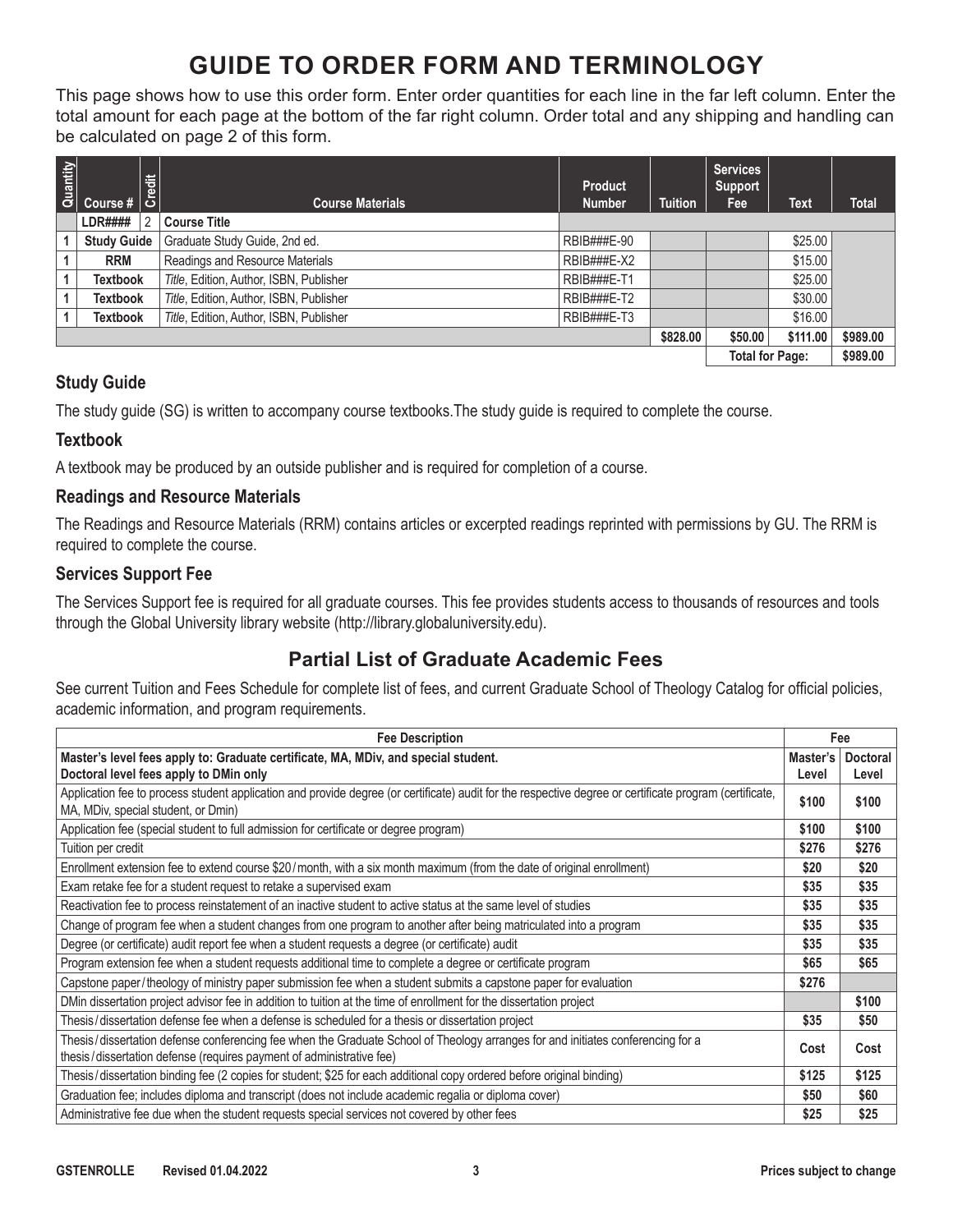# **GUIDE TO ORDER FORM AND TERMINOLOGY**

This page shows how to use this order form. Enter order quantities for each line in the far left column. Enter the total amount for each page at the bottom of the far right column. Order total and any shipping and handling can be calculated on page 2 of this form.

| Quantity               |                    | Credit | <b>Course Materials</b>                 | <b>Product</b><br><b>Number</b> | <b>Tuition</b> | <b>Services</b><br><b>Support</b><br><b>Fee</b> | Text     | <b>Total</b> |
|------------------------|--------------------|--------|-----------------------------------------|---------------------------------|----------------|-------------------------------------------------|----------|--------------|
|                        | LDR####            |        | <b>Course Title</b>                     |                                 |                |                                                 |          |              |
|                        | <b>Study Guide</b> |        | Graduate Study Guide, 2nd ed.           | RBIB###E-90                     |                |                                                 | \$25.00  |              |
|                        | <b>RRM</b>         |        | Readings and Resource Materials         | RBIB###E-X2                     |                |                                                 | \$15.00  |              |
|                        | <b>Textbook</b>    |        | Title, Edition, Author, ISBN, Publisher | RBIB###E-T1                     |                |                                                 | \$25.00  |              |
|                        | Textbook           |        | Title, Edition, Author, ISBN, Publisher | RBIB###E-T2                     |                |                                                 | \$30.00  |              |
|                        | <b>Textbook</b>    |        | Title, Edition, Author, ISBN, Publisher | RBIB###E-T3                     |                |                                                 | \$16.00  |              |
|                        |                    |        |                                         |                                 | \$828.00       | \$50.00                                         | \$111.00 | \$989.00     |
| <b>Total for Page:</b> |                    |        |                                         |                                 |                |                                                 |          | \$989.00     |

#### **Study Guide**

The study guide (SG) is written to accompany course textbooks.The study guide is required to complete the course.

#### **Textbook**

A textbook may be produced by an outside publisher and is required for completion of a course.

#### **Readings and Resource Materials**

The Readings and Resource Materials (RRM) contains articles or excerpted readings reprinted with permissions by GU. The RRM is required to complete the course.

#### **Services Support Fee**

The Services Support fee is required for all graduate courses. This fee provides students access to thousands of resources and tools through the Global University library website ([http://library.globaluniversity.edu\)](http://library.globaluniversity.edu).

# **Partial List of Graduate Academic Fees**

See current Tuition and Fees Schedule for complete list of fees, and current Graduate School of Theology Catalog for official policies, academic information, and program requirements.

| <b>Fee Description</b>                                                                                                                                                                                  |          | Fee             |
|---------------------------------------------------------------------------------------------------------------------------------------------------------------------------------------------------------|----------|-----------------|
| Master's level fees apply to: Graduate certificate, MA, MDiv, and special student.                                                                                                                      | Master's | <b>Doctoral</b> |
| Doctoral level fees apply to DMin only                                                                                                                                                                  | Level    | Level           |
| Application fee to process student application and provide degree (or certificate) audit for the respective degree or certificate program (certificate,<br>MA, MDiv, special student, or Dmin)          | \$100    | \$100           |
| Application fee (special student to full admission for certificate or degree program)                                                                                                                   | \$100    | \$100           |
| Tuition per credit                                                                                                                                                                                      | \$276    | \$276           |
| Enrollment extension fee to extend course \$20/month, with a six month maximum (from the date of original enrollment)                                                                                   | \$20     | \$20            |
| Exam retake fee for a student request to retake a supervised exam                                                                                                                                       | \$35     | \$35            |
| Reactivation fee to process reinstatement of an inactive student to active status at the same level of studies                                                                                          | \$35     | \$35            |
| Change of program fee when a student changes from one program to another after being matriculated into a program                                                                                        | \$35     | \$35            |
| Degree (or certificate) audit report fee when a student requests a degree (or certificate) audit                                                                                                        | \$35     | \$35            |
| Program extension fee when a student requests additional time to complete a degree or certificate program                                                                                               | \$65     | \$65            |
| Capstone paper/theology of ministry paper submission fee when a student submits a capstone paper for evaluation                                                                                         | \$276    |                 |
| DMin dissertation project advisor fee in addition to tuition at the time of enrollment for the dissertation project                                                                                     |          | \$100           |
| Thesis/dissertation defense fee when a defense is scheduled for a thesis or dissertation project                                                                                                        | \$35     | \$50            |
| Thesis/dissertation defense conferencing fee when the Graduate School of Theology arranges for and initiates conferencing for a<br>thesis/dissertation defense (requires payment of administrative fee) | Cost     | Cost            |
| Thesis/dissertation binding fee (2 copies for student; \$25 for each additional copy ordered before original binding)                                                                                   | \$125    | \$125           |
| Graduation fee; includes diploma and transcript (does not include academic regalia or diploma cover)                                                                                                    | \$50     | \$60            |
| Administrative fee due when the student requests special services not covered by other fees                                                                                                             | \$25     | \$25            |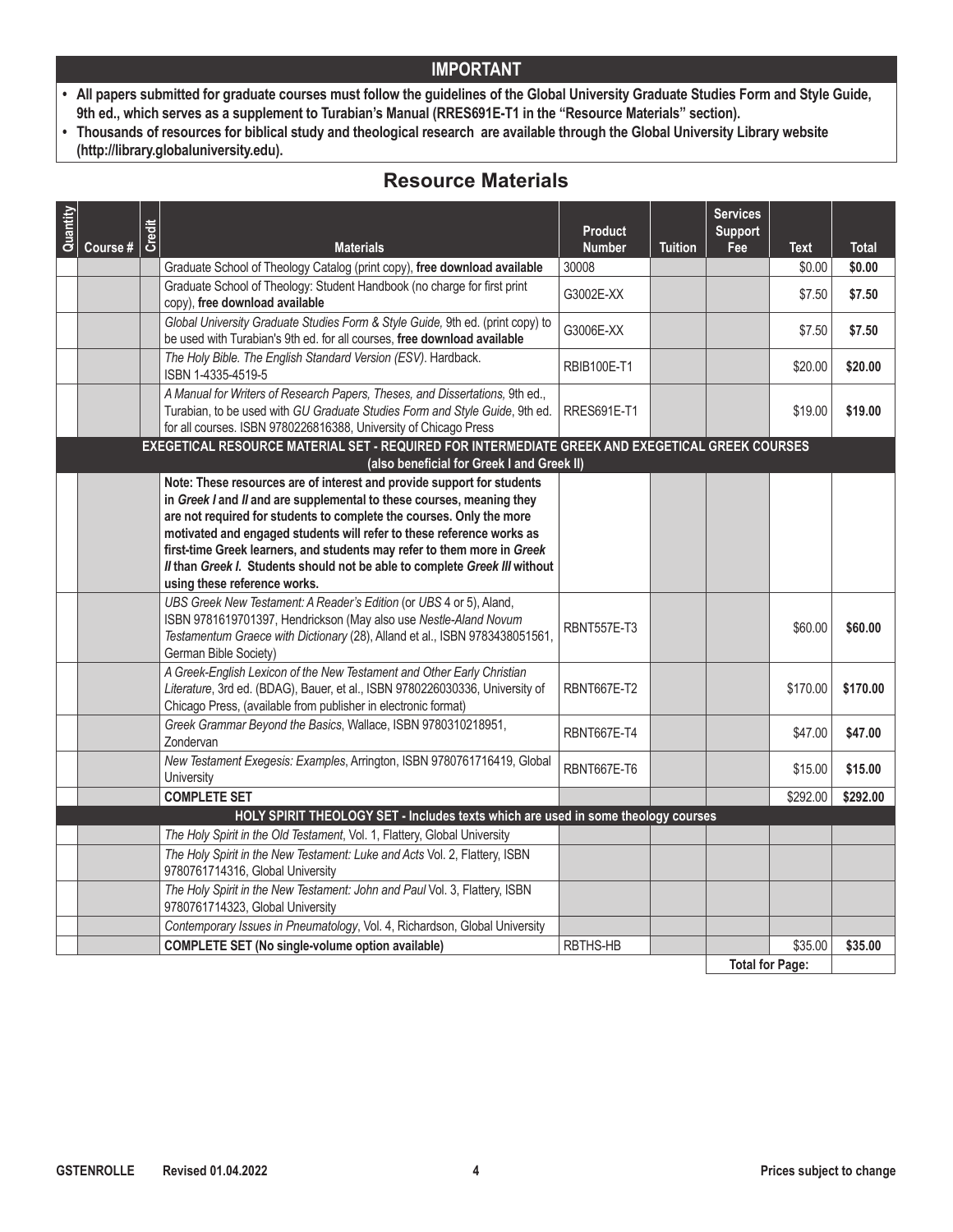- **• All papers submitted for graduate courses must follow the guidelines of the Global University Graduate Studies Form and Style Guide, 9th ed., which serves as a supplement to Turabian's Manual (RRES691E-T1 in the "Resource Materials" section).**
- **• Thousands of resources for biblical study and theological research are available through the Global University Library website (http://library.globaluniversity.edu).**

# **Resource Materials**

| Quantity |          | Credit |                                                                                                                                                                                                                                                                                                                                                                                                                                                                                           | <b>Product</b>         |                | <b>Services</b><br><b>Support</b> |                       |                        |
|----------|----------|--------|-------------------------------------------------------------------------------------------------------------------------------------------------------------------------------------------------------------------------------------------------------------------------------------------------------------------------------------------------------------------------------------------------------------------------------------------------------------------------------------------|------------------------|----------------|-----------------------------------|-----------------------|------------------------|
|          | Course # |        | <b>Materials</b><br>Graduate School of Theology Catalog (print copy), free download available                                                                                                                                                                                                                                                                                                                                                                                             | <b>Number</b><br>30008 | <b>Tuition</b> | Fee                               | <b>Text</b><br>\$0.00 | <b>Total</b><br>\$0.00 |
|          |          |        | Graduate School of Theology: Student Handbook (no charge for first print                                                                                                                                                                                                                                                                                                                                                                                                                  |                        |                |                                   |                       |                        |
|          |          |        | copy), free download available                                                                                                                                                                                                                                                                                                                                                                                                                                                            | G3002E-XX              |                |                                   | \$7.50                | \$7.50                 |
|          |          |        | Global University Graduate Studies Form & Style Guide, 9th ed. (print copy) to<br>be used with Turabian's 9th ed. for all courses, free download available                                                                                                                                                                                                                                                                                                                                | G3006E-XX              |                |                                   | \$7.50                | \$7.50                 |
|          |          |        | The Holy Bible. The English Standard Version (ESV). Hardback.<br>ISBN 1-4335-4519-5                                                                                                                                                                                                                                                                                                                                                                                                       | <b>RBIB100E-T1</b>     |                |                                   | \$20.00               | \$20.00                |
|          |          |        | A Manual for Writers of Research Papers, Theses, and Dissertations, 9th ed.,<br>Turabian, to be used with GU Graduate Studies Form and Style Guide, 9th ed.<br>for all courses. ISBN 9780226816388, University of Chicago Press                                                                                                                                                                                                                                                           | <b>RRES691E-T1</b>     |                |                                   | \$19.00               | \$19.00                |
|          |          |        | EXEGETICAL RESOURCE MATERIAL SET - REQUIRED FOR INTERMEDIATE GREEK AND EXEGETICAL GREEK COURSES<br>(also beneficial for Greek I and Greek II)                                                                                                                                                                                                                                                                                                                                             |                        |                |                                   |                       |                        |
|          |          |        | Note: These resources are of interest and provide support for students<br>in Greek I and II and are supplemental to these courses, meaning they<br>are not required for students to complete the courses. Only the more<br>motivated and engaged students will refer to these reference works as<br>first-time Greek learners, and students may refer to them more in Greek<br>Il than Greek I. Students should not be able to complete Greek III without<br>using these reference works. |                        |                |                                   |                       |                        |
|          |          |        | UBS Greek New Testament: A Reader's Edition (or UBS 4 or 5), Aland,<br>ISBN 9781619701397, Hendrickson (May also use Nestle-Aland Novum<br>Testamentum Graece with Dictionary (28), Alland et al., ISBN 9783438051561,<br>German Bible Society)                                                                                                                                                                                                                                           | <b>RBNT557E-T3</b>     |                |                                   | \$60.00               | \$60.00                |
|          |          |        | A Greek-English Lexicon of the New Testament and Other Early Christian<br>Literature, 3rd ed. (BDAG), Bauer, et al., ISBN 9780226030336, University of<br>Chicago Press, (available from publisher in electronic format)                                                                                                                                                                                                                                                                  | <b>RBNT667E-T2</b>     |                |                                   | \$170.00              | \$170.00               |
|          |          |        | Greek Grammar Beyond the Basics, Wallace, ISBN 9780310218951,<br>Zondervan                                                                                                                                                                                                                                                                                                                                                                                                                | <b>RBNT667E-T4</b>     |                |                                   | \$47.00               | \$47.00                |
|          |          |        | New Testament Exegesis: Examples, Arrington, ISBN 9780761716419, Global<br>University                                                                                                                                                                                                                                                                                                                                                                                                     | RBNT667E-T6            |                |                                   | \$15.00               | \$15.00                |
|          |          |        | <b>COMPLETE SET</b>                                                                                                                                                                                                                                                                                                                                                                                                                                                                       |                        |                |                                   | \$292.00              | \$292.00               |
|          |          |        | HOLY SPIRIT THEOLOGY SET - Includes texts which are used in some theology courses                                                                                                                                                                                                                                                                                                                                                                                                         |                        |                |                                   |                       |                        |
|          |          |        | The Holy Spirit in the Old Testament, Vol. 1, Flattery, Global University                                                                                                                                                                                                                                                                                                                                                                                                                 |                        |                |                                   |                       |                        |
|          |          |        | The Holy Spirit in the New Testament: Luke and Acts Vol. 2, Flattery, ISBN<br>9780761714316, Global University                                                                                                                                                                                                                                                                                                                                                                            |                        |                |                                   |                       |                        |
|          |          |        | The Holy Spirit in the New Testament: John and Paul Vol. 3, Flattery, ISBN<br>9780761714323, Global University                                                                                                                                                                                                                                                                                                                                                                            |                        |                |                                   |                       |                        |
|          |          |        | Contemporary Issues in Pneumatology, Vol. 4, Richardson, Global University                                                                                                                                                                                                                                                                                                                                                                                                                |                        |                |                                   |                       |                        |
|          |          |        | <b>COMPLETE SET (No single-volume option available)</b>                                                                                                                                                                                                                                                                                                                                                                                                                                   | <b>RBTHS-HB</b>        |                |                                   | \$35.00               | \$35.00                |
|          |          |        |                                                                                                                                                                                                                                                                                                                                                                                                                                                                                           |                        |                | <b>Total for Page:</b>            |                       |                        |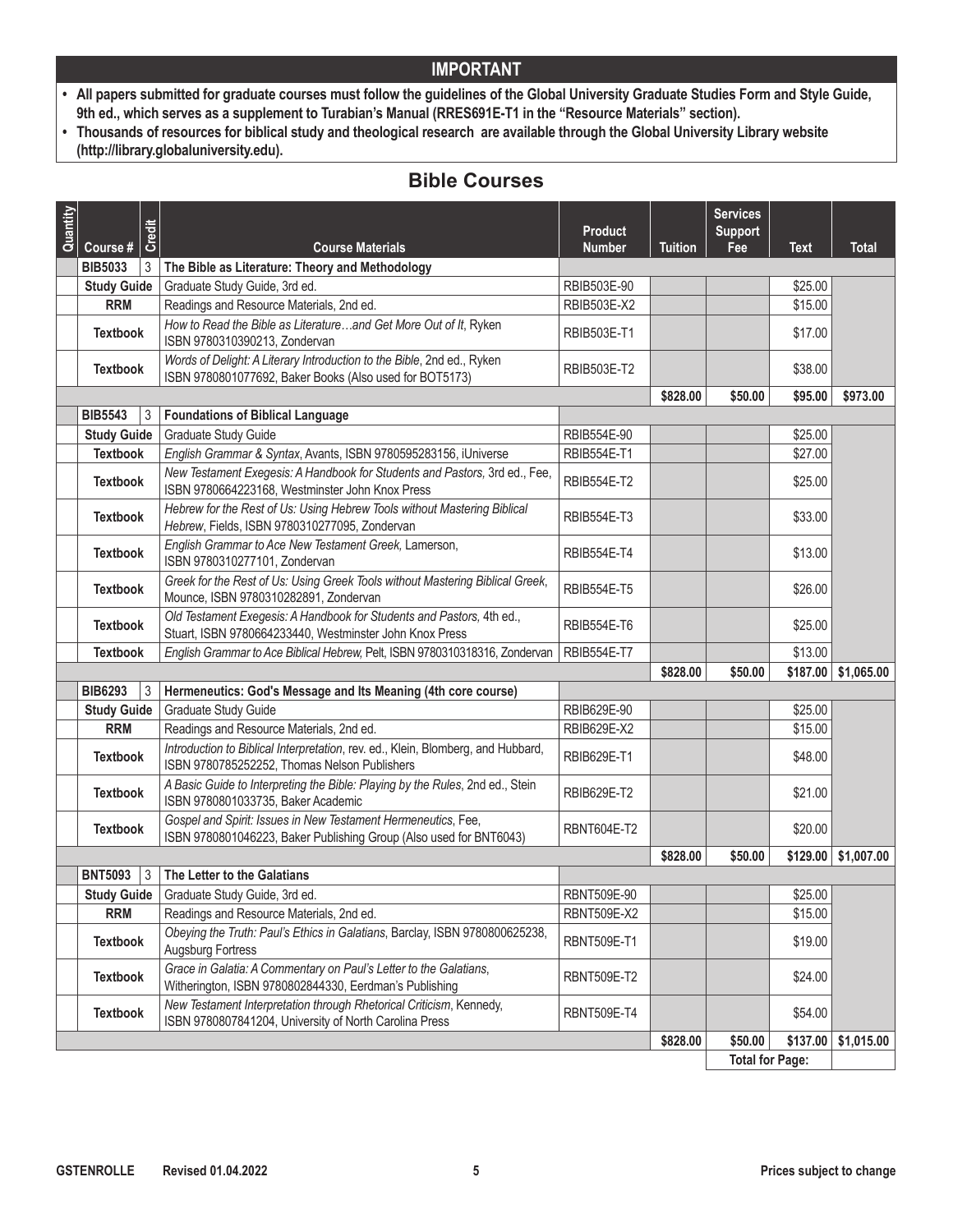- **• All papers submitted for graduate courses must follow the guidelines of the Global University Graduate Studies Form and Style Guide, 9th ed., which serves as a supplement to Turabian's Manual (RRES691E-T1 in the "Resource Materials" section).**
- **• Thousands of resources for biblical study and theological research are available through the Global University Library website (http://library.globaluniversity.edu).**

# **Bible Courses**

| Quantity | Credit                           |                                                                                                                                     | <b>Product</b>     |                | <b>Services</b><br><b>Support</b> |             |              |
|----------|----------------------------------|-------------------------------------------------------------------------------------------------------------------------------------|--------------------|----------------|-----------------------------------|-------------|--------------|
|          | Course #<br><b>BIB5033</b><br>3  | <b>Course Materials</b><br>The Bible as Literature: Theory and Methodology                                                          | <b>Number</b>      | <b>Tuition</b> | Fee                               | <b>Text</b> | <b>Total</b> |
|          | <b>Study Guide</b>               | Graduate Study Guide, 3rd ed.                                                                                                       | RBIB503E-90        |                |                                   | \$25.00     |              |
|          | <b>RRM</b>                       | Readings and Resource Materials, 2nd ed.                                                                                            | RBIB503E-X2        |                |                                   | \$15.00     |              |
|          |                                  | How to Read the Bible as Literatureand Get More Out of It, Ryken                                                                    |                    |                |                                   |             |              |
|          | <b>Textbook</b>                  | ISBN 9780310390213, Zondervan                                                                                                       | RBIB503E-T1        |                |                                   | \$17.00     |              |
|          | <b>Textbook</b>                  | Words of Delight: A Literary Introduction to the Bible, 2nd ed., Ryken<br>ISBN 9780801077692, Baker Books (Also used for BOT5173)   | RBIB503E-T2        |                |                                   | \$38.00     |              |
|          |                                  |                                                                                                                                     |                    | \$828.00       | \$50.00                           | \$95.00     | \$973.00     |
|          | <b>BIB5543</b><br>3              | <b>Foundations of Biblical Language</b>                                                                                             |                    |                |                                   |             |              |
|          | <b>Study Guide</b>               | Graduate Study Guide                                                                                                                | RBIB554E-90        |                |                                   | \$25.00     |              |
|          | <b>Textbook</b>                  | English Grammar & Syntax, Avants, ISBN 9780595283156, iUniverse                                                                     | RBIB554E-T1        |                |                                   | \$27.00     |              |
|          | <b>Textbook</b>                  | New Testament Exegesis: A Handbook for Students and Pastors, 3rd ed., Fee,<br>ISBN 9780664223168, Westminster John Knox Press       | <b>RBIB554E-T2</b> |                |                                   | \$25.00     |              |
|          | <b>Textbook</b>                  | Hebrew for the Rest of Us: Using Hebrew Tools without Mastering Biblical<br>Hebrew, Fields, ISBN 9780310277095, Zondervan           | <b>RBIB554E-T3</b> |                |                                   | \$33.00     |              |
|          | <b>Textbook</b>                  | English Grammar to Ace New Testament Greek, Lamerson,<br>ISBN 9780310277101, Zondervan                                              | <b>RBIB554E-T4</b> |                |                                   | \$13.00     |              |
|          | <b>Textbook</b>                  | Greek for the Rest of Us: Using Greek Tools without Mastering Biblical Greek,<br>Mounce, ISBN 9780310282891, Zondervan              | <b>RBIB554E-T5</b> |                |                                   | \$26.00     |              |
|          | <b>Textbook</b>                  | Old Testament Exegesis: A Handbook for Students and Pastors, 4th ed.,<br>Stuart, ISBN 9780664233440, Westminster John Knox Press    | <b>RBIB554E-T6</b> |                |                                   | \$25.00     |              |
|          | <b>Textbook</b>                  | English Grammar to Ace Biblical Hebrew, Pelt, ISBN 9780310318316, Zondervan                                                         | <b>RBIB554E-T7</b> |                |                                   | \$13.00     |              |
|          |                                  |                                                                                                                                     |                    | \$828.00       | \$50.00                           | \$187.00    | \$1,065.00   |
|          | <b>BIB6293</b><br>3              | Hermeneutics: God's Message and Its Meaning (4th core course)                                                                       |                    |                |                                   |             |              |
|          | <b>Study Guide</b>               | Graduate Study Guide                                                                                                                | RBIB629E-90        |                |                                   | \$25.00     |              |
|          | <b>RRM</b>                       | Readings and Resource Materials, 2nd ed.                                                                                            | RBIB629E-X2        |                |                                   | \$15.00     |              |
|          | <b>Textbook</b>                  | Introduction to Biblical Interpretation, rev. ed., Klein, Blomberg, and Hubbard,<br>ISBN 9780785252252, Thomas Nelson Publishers    | RBIB629E-T1        |                |                                   | \$48.00     |              |
|          | <b>Textbook</b>                  | A Basic Guide to Interpreting the Bible: Playing by the Rules, 2nd ed., Stein<br>ISBN 9780801033735, Baker Academic                 | RBIB629E-T2        |                |                                   | \$21.00     |              |
|          | <b>Textbook</b>                  | Gospel and Spirit: Issues in New Testament Hermeneutics, Fee,<br>ISBN 9780801046223, Baker Publishing Group (Also used for BNT6043) | <b>RBNT604E-T2</b> |                |                                   | \$20.00     |              |
|          |                                  |                                                                                                                                     |                    | \$828.00       | \$50.00                           | \$129.00    | \$1,007.00   |
|          | <b>BNT5093</b><br>$\overline{3}$ | The Letter to the Galatians                                                                                                         |                    |                |                                   |             |              |
|          |                                  | Study Guide   Graduate Study Guide, 3rd ed.                                                                                         | RBNT509E-90        |                |                                   | \$25.00     |              |
|          | <b>RRM</b>                       | Readings and Resource Materials, 2nd ed.                                                                                            | <b>RBNT509E-X2</b> |                |                                   | \$15.00     |              |
|          | <b>Textbook</b>                  | Obeying the Truth: Paul's Ethics in Galatians, Barclay, ISBN 9780800625238,<br><b>Augsburg Fortress</b>                             | <b>RBNT509E-T1</b> |                |                                   | \$19.00     |              |
|          | <b>Textbook</b>                  | Grace in Galatia: A Commentary on Paul's Letter to the Galatians,<br>Witherington, ISBN 9780802844330, Eerdman's Publishing         | <b>RBNT509E-T2</b> |                |                                   | \$24.00     |              |
|          | <b>Textbook</b>                  | New Testament Interpretation through Rhetorical Criticism, Kennedy,<br>ISBN 9780807841204, University of North Carolina Press       | <b>RBNT509E-T4</b> |                |                                   | \$54.00     |              |
|          |                                  |                                                                                                                                     |                    | \$828.00       | \$50.00                           | \$137.00    | \$1,015.00   |
|          |                                  |                                                                                                                                     |                    |                | <b>Total for Page:</b>            |             |              |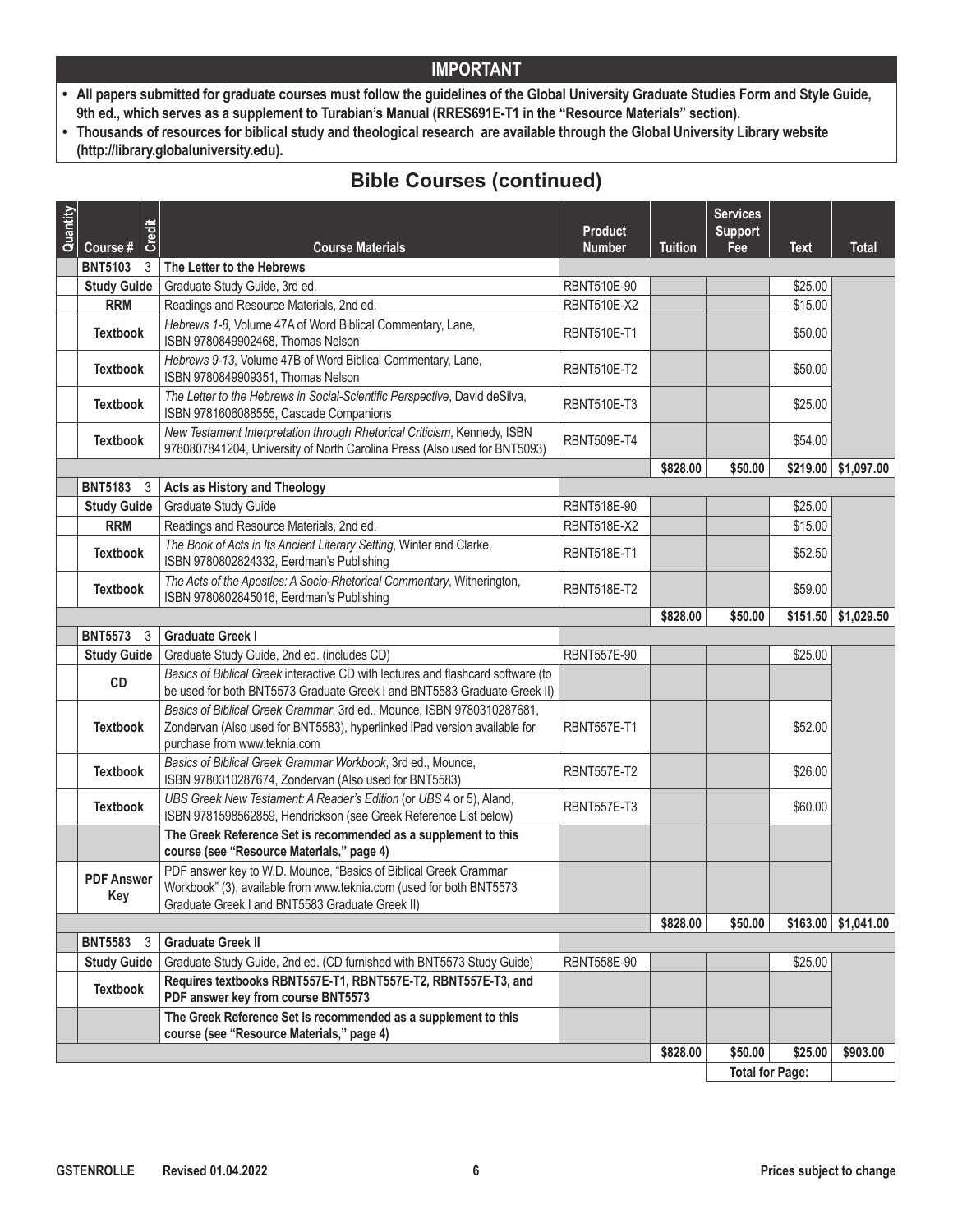- **• All papers submitted for graduate courses must follow the guidelines of the Global University Graduate Studies Form and Style Guide, 9th ed., which serves as a supplement to Turabian's Manual (RRES691E-T1 in the "Resource Materials" section).**
- **• Thousands of resources for biblical study and theological research are available through the Global University Library website (http://library.globaluniversity.edu).**

| Quantity | Course #                 | <b>Credit</b><br><b>Course Materials</b>                                                                                                                                                   | <b>Product</b><br><b>Number</b> | <b>Tuition</b> | <b>Services</b><br><b>Support</b><br>Fee | <b>Text</b> | <b>Total</b>             |
|----------|--------------------------|--------------------------------------------------------------------------------------------------------------------------------------------------------------------------------------------|---------------------------------|----------------|------------------------------------------|-------------|--------------------------|
|          | <b>BNT5103</b>           | $ 3\rangle$<br>The Letter to the Hebrews                                                                                                                                                   |                                 |                |                                          |             |                          |
|          | <b>Study Guide</b>       | Graduate Study Guide, 3rd ed.                                                                                                                                                              | <b>RBNT510E-90</b>              |                |                                          | \$25.00     |                          |
|          | <b>RRM</b>               | Readings and Resource Materials, 2nd ed.                                                                                                                                                   | <b>RBNT510E-X2</b>              |                |                                          | \$15.00     |                          |
|          | <b>Textbook</b>          | Hebrews 1-8, Volume 47A of Word Biblical Commentary, Lane,<br>ISBN 9780849902468, Thomas Nelson                                                                                            | <b>RBNT510E-T1</b>              |                |                                          | \$50.00     |                          |
|          | <b>Textbook</b>          | Hebrews 9-13, Volume 47B of Word Biblical Commentary, Lane,<br>ISBN 9780849909351, Thomas Nelson                                                                                           | <b>RBNT510E-T2</b>              |                |                                          | \$50.00     |                          |
|          | <b>Textbook</b>          | The Letter to the Hebrews in Social-Scientific Perspective, David deSilva,<br>ISBN 9781606088555, Cascade Companions                                                                       | <b>RBNT510E-T3</b>              |                |                                          | \$25.00     |                          |
|          | <b>Textbook</b>          | New Testament Interpretation through Rhetorical Criticism, Kennedy, ISBN<br>9780807841204, University of North Carolina Press (Also used for BNT5093)                                      | <b>RBNT509E-T4</b>              |                |                                          | \$54.00     |                          |
|          |                          |                                                                                                                                                                                            |                                 | \$828.00       | \$50.00                                  | \$219.00    | \$1,097.00               |
|          | <b>BNT5183</b>           | 3<br>Acts as History and Theology                                                                                                                                                          |                                 |                |                                          |             |                          |
|          | <b>Study Guide</b>       | Graduate Study Guide                                                                                                                                                                       | RBNT518E-90                     |                |                                          | \$25.00     |                          |
|          | <b>RRM</b>               | Readings and Resource Materials, 2nd ed.                                                                                                                                                   | <b>RBNT518E-X2</b>              |                |                                          | \$15.00     |                          |
|          | <b>Textbook</b>          | The Book of Acts in Its Ancient Literary Setting, Winter and Clarke,<br>ISBN 9780802824332, Eerdman's Publishing                                                                           | <b>RBNT518E-T1</b>              |                |                                          | \$52.50     |                          |
|          | <b>Textbook</b>          | The Acts of the Apostles: A Socio-Rhetorical Commentary, Witherington,<br>ISBN 9780802845016, Eerdman's Publishing                                                                         | <b>RBNT518E-T2</b>              |                |                                          | \$59.00     |                          |
|          |                          |                                                                                                                                                                                            |                                 | \$828.00       | \$50.00                                  |             | $$151.50$ $$1,029.50$    |
|          | <b>BNT5573</b>           | 3<br><b>Graduate Greek I</b>                                                                                                                                                               |                                 |                |                                          |             |                          |
|          | <b>Study Guide</b>       | Graduate Study Guide, 2nd ed. (includes CD)                                                                                                                                                | <b>RBNT557E-90</b>              |                |                                          | \$25.00     |                          |
|          | CD                       | Basics of Biblical Greek interactive CD with lectures and flashcard software (to<br>be used for both BNT5573 Graduate Greek I and BNT5583 Graduate Greek II)                               |                                 |                |                                          |             |                          |
|          | <b>Textbook</b>          | Basics of Biblical Greek Grammar, 3rd ed., Mounce, ISBN 9780310287681,<br>Zondervan (Also used for BNT5583), hyperlinked iPad version available for<br>purchase from www.teknia.com        | <b>RBNT557E-T1</b>              |                |                                          | \$52.00     |                          |
|          | <b>Textbook</b>          | Basics of Biblical Greek Grammar Workbook, 3rd ed., Mounce,<br>ISBN 9780310287674, Zondervan (Also used for BNT5583)                                                                       | <b>RBNT557E-T2</b>              |                |                                          | \$26.00     |                          |
|          | <b>Textbook</b>          | UBS Greek New Testament: A Reader's Edition (or UBS 4 or 5), Aland,<br>ISBN 9781598562859, Hendrickson (see Greek Reference List below)                                                    | <b>RBNT557E-T3</b>              |                |                                          | \$60.00     |                          |
|          |                          | The Greek Reference Set is recommended as a supplement to this<br>course (see "Resource Materials," page 4)                                                                                |                                 |                |                                          |             |                          |
|          | <b>PDF Answer</b><br>Key | PDF answer key to W.D. Mounce, "Basics of Biblical Greek Grammar<br>Workbook" (3), available from www.teknia.com (used for both BNT5573<br>Graduate Greek I and BNT5583 Graduate Greek II) |                                 |                |                                          |             |                          |
|          |                          |                                                                                                                                                                                            |                                 | \$828.00       | \$50.00                                  |             | $$163.00 \mid $1,041.00$ |
|          | <b>BNT5583</b>           | 3<br><b>Graduate Greek II</b>                                                                                                                                                              |                                 |                |                                          |             |                          |
|          | <b>Study Guide</b>       | Graduate Study Guide, 2nd ed. (CD furnished with BNT5573 Study Guide)                                                                                                                      | RBNT558E-90                     |                |                                          | \$25.00     |                          |
|          | <b>Textbook</b>          | Requires textbooks RBNT557E-T1, RBNT557E-T2, RBNT557E-T3, and<br>PDF answer key from course BNT5573                                                                                        |                                 |                |                                          |             |                          |
|          |                          | The Greek Reference Set is recommended as a supplement to this<br>course (see "Resource Materials," page 4)                                                                                |                                 |                |                                          |             |                          |
|          |                          |                                                                                                                                                                                            |                                 | \$828.00       | \$50.00                                  | \$25.00     | \$903.00                 |
|          |                          |                                                                                                                                                                                            |                                 |                | <b>Total for Page:</b>                   |             |                          |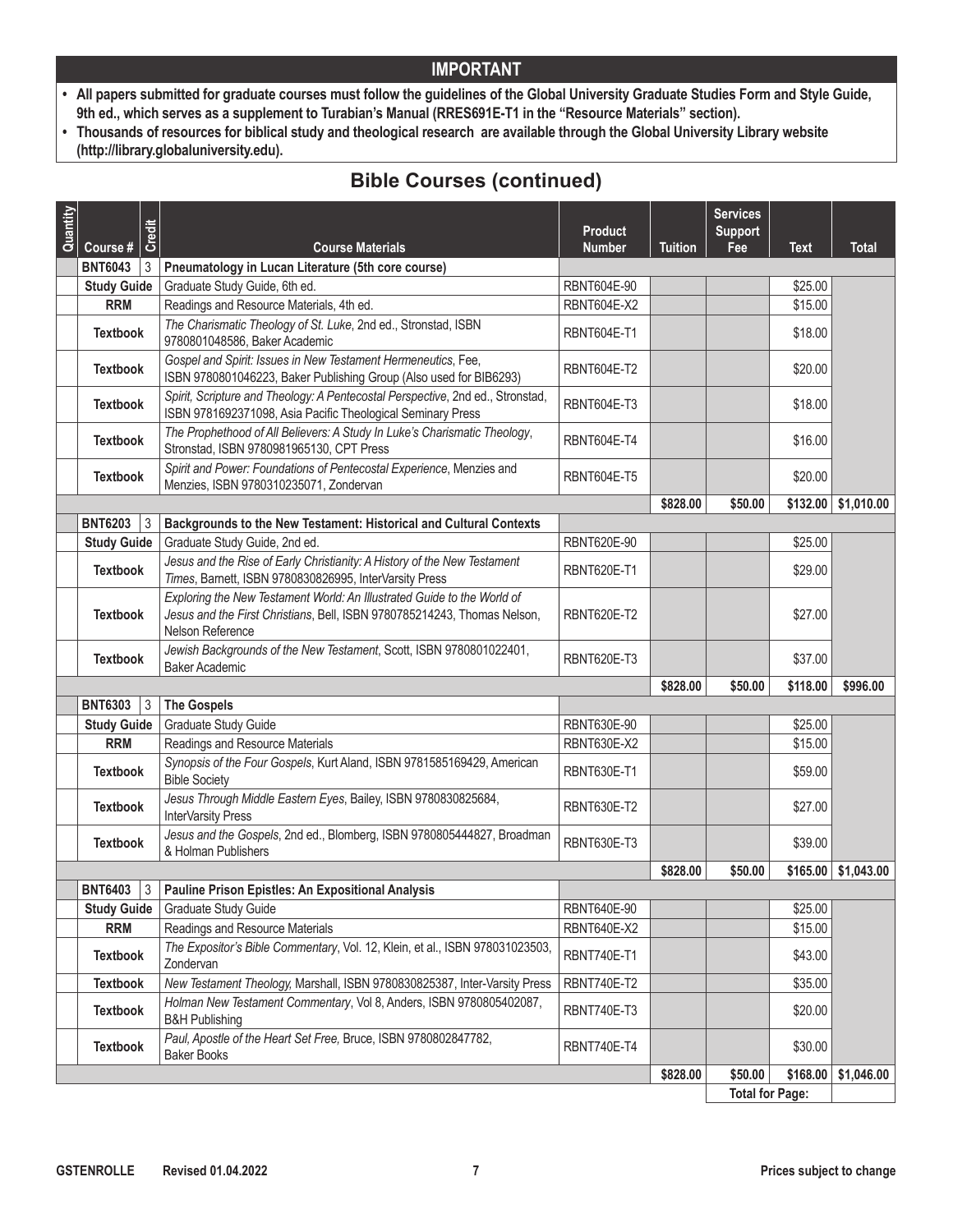- **• All papers submitted for graduate courses must follow the guidelines of the Global University Graduate Studies Form and Style Guide, 9th ed., which serves as a supplement to Turabian's Manual (RRES691E-T1 in the "Resource Materials" section).**
- **• Thousands of resources for biblical study and theological research are available through the Global University Library website (http://library.globaluniversity.edu).**

| Quantity | Course #            | Credit<br><b>Course Materials</b>                                                                                                                                       | <b>Product</b><br><b>Number</b> | <b>Tuition</b> | <b>Services</b><br><b>Support</b><br>Fee | <b>Text</b> | <b>Total</b>                |
|----------|---------------------|-------------------------------------------------------------------------------------------------------------------------------------------------------------------------|---------------------------------|----------------|------------------------------------------|-------------|-----------------------------|
|          | <b>BNT6043</b><br>3 | Pneumatology in Lucan Literature (5th core course)                                                                                                                      |                                 |                |                                          |             |                             |
|          | <b>Study Guide</b>  | Graduate Study Guide, 6th ed.                                                                                                                                           | <b>RBNT604E-90</b>              |                |                                          | \$25.00     |                             |
|          | <b>RRM</b>          | Readings and Resource Materials, 4th ed.                                                                                                                                | <b>RBNT604E-X2</b>              |                |                                          | \$15.00     |                             |
|          | <b>Textbook</b>     | The Charismatic Theology of St. Luke, 2nd ed., Stronstad, ISBN<br>9780801048586, Baker Academic                                                                         | <b>RBNT604E-T1</b>              |                |                                          | \$18.00     |                             |
|          | <b>Textbook</b>     | Gospel and Spirit: Issues in New Testament Hermeneutics, Fee,<br>ISBN 9780801046223, Baker Publishing Group (Also used for BIB6293)                                     | <b>RBNT604E-T2</b>              |                |                                          | \$20.00     |                             |
|          | <b>Textbook</b>     | Spirit, Scripture and Theology: A Pentecostal Perspective, 2nd ed., Stronstad,<br>ISBN 9781692371098, Asia Pacific Theological Seminary Press                           | <b>RBNT604E-T3</b>              |                |                                          | \$18.00     |                             |
|          | <b>Textbook</b>     | The Prophethood of All Believers: A Study In Luke's Charismatic Theology,<br>Stronstad, ISBN 9780981965130, CPT Press                                                   | <b>RBNT604E-T4</b>              |                |                                          | \$16.00     |                             |
|          | <b>Textbook</b>     | Spirit and Power: Foundations of Pentecostal Experience, Menzies and<br>Menzies, ISBN 9780310235071, Zondervan                                                          | <b>RBNT604E-T5</b>              |                |                                          | \$20.00     |                             |
|          |                     |                                                                                                                                                                         |                                 | \$828.00       | \$50.00                                  |             | $$132.00 \;   \; $1,010.00$ |
|          | <b>BNT6203</b><br>3 | Backgrounds to the New Testament: Historical and Cultural Contexts                                                                                                      |                                 |                |                                          |             |                             |
|          | <b>Study Guide</b>  | Graduate Study Guide, 2nd ed.                                                                                                                                           | RBNT620E-90                     |                |                                          | \$25.00     |                             |
|          | <b>Textbook</b>     | Jesus and the Rise of Early Christianity: A History of the New Testament<br>Times, Barnett, ISBN 9780830826995, InterVarsity Press                                      | <b>RBNT620E-T1</b>              |                |                                          | \$29.00     |                             |
|          | <b>Textbook</b>     | Exploring the New Testament World: An Illustrated Guide to the World of<br>Jesus and the First Christians, Bell, ISBN 9780785214243, Thomas Nelson,<br>Nelson Reference | <b>RBNT620E-T2</b>              |                |                                          | \$27.00     |                             |
|          | <b>Textbook</b>     | Jewish Backgrounds of the New Testament, Scott, ISBN 9780801022401,<br><b>Baker Academic</b>                                                                            | <b>RBNT620E-T3</b>              |                |                                          | \$37.00     |                             |
|          |                     |                                                                                                                                                                         |                                 | \$828.00       | \$50.00                                  | \$118.00    | \$996.00                    |
|          | <b>BNT6303</b><br>3 | <b>The Gospels</b>                                                                                                                                                      |                                 |                |                                          |             |                             |
|          | <b>Study Guide</b>  | Graduate Study Guide                                                                                                                                                    | RBNT630E-90                     |                |                                          | \$25.00     |                             |
|          | <b>RRM</b>          | Readings and Resource Materials                                                                                                                                         | RBNT630E-X2                     |                |                                          | \$15.00     |                             |
|          | <b>Textbook</b>     | Synopsis of the Four Gospels, Kurt Aland, ISBN 9781585169429, American<br><b>Bible Society</b>                                                                          | <b>RBNT630E-T1</b>              |                |                                          | \$59.00     |                             |
|          | <b>Textbook</b>     | Jesus Through Middle Eastern Eyes, Bailey, ISBN 9780830825684,<br>InterVarsity Press                                                                                    | <b>RBNT630E-T2</b>              |                |                                          | \$27.00     |                             |
|          | <b>Textbook</b>     | Jesus and the Gospels, 2nd ed., Blomberg, ISBN 9780805444827, Broadman<br>& Holman Publishers                                                                           | <b>RBNT630E-T3</b>              |                |                                          | \$39.00     |                             |
|          |                     |                                                                                                                                                                         |                                 | \$828.00       | \$50.00                                  | \$165.00    | \$1,043.00                  |
|          | <b>BNT6403</b><br>3 | <b>Pauline Prison Epistles: An Expositional Analysis</b>                                                                                                                |                                 |                |                                          |             |                             |
|          | <b>Study Guide</b>  | Graduate Study Guide                                                                                                                                                    | RBNT640E-90                     |                |                                          | \$25.00     |                             |
|          | <b>RRM</b>          | Readings and Resource Materials                                                                                                                                         | RBNT640E-X2                     |                |                                          | \$15.00     |                             |
|          | <b>Textbook</b>     | The Expositor's Bible Commentary, Vol. 12, Klein, et al., ISBN 978031023503,<br>Zondervan                                                                               | <b>RBNT740E-T1</b>              |                |                                          | \$43.00     |                             |
|          | <b>Textbook</b>     | New Testament Theology, Marshall, ISBN 9780830825387, Inter-Varsity Press                                                                                               | <b>RBNT740E-T2</b>              |                |                                          | \$35.00     |                             |
|          | <b>Textbook</b>     | Holman New Testament Commentary, Vol 8, Anders, ISBN 9780805402087,<br><b>B&amp;H Publishing</b>                                                                        | <b>RBNT740E-T3</b>              |                |                                          | \$20.00     |                             |
|          | <b>Textbook</b>     | Paul, Apostle of the Heart Set Free, Bruce, ISBN 9780802847782,<br><b>Baker Books</b>                                                                                   | <b>RBNT740E-T4</b>              |                |                                          | \$30.00     |                             |
|          |                     |                                                                                                                                                                         |                                 | \$828.00       | \$50.00                                  | \$168.00    | \$1,046.00                  |
|          |                     |                                                                                                                                                                         |                                 |                | <b>Total for Page:</b>                   |             |                             |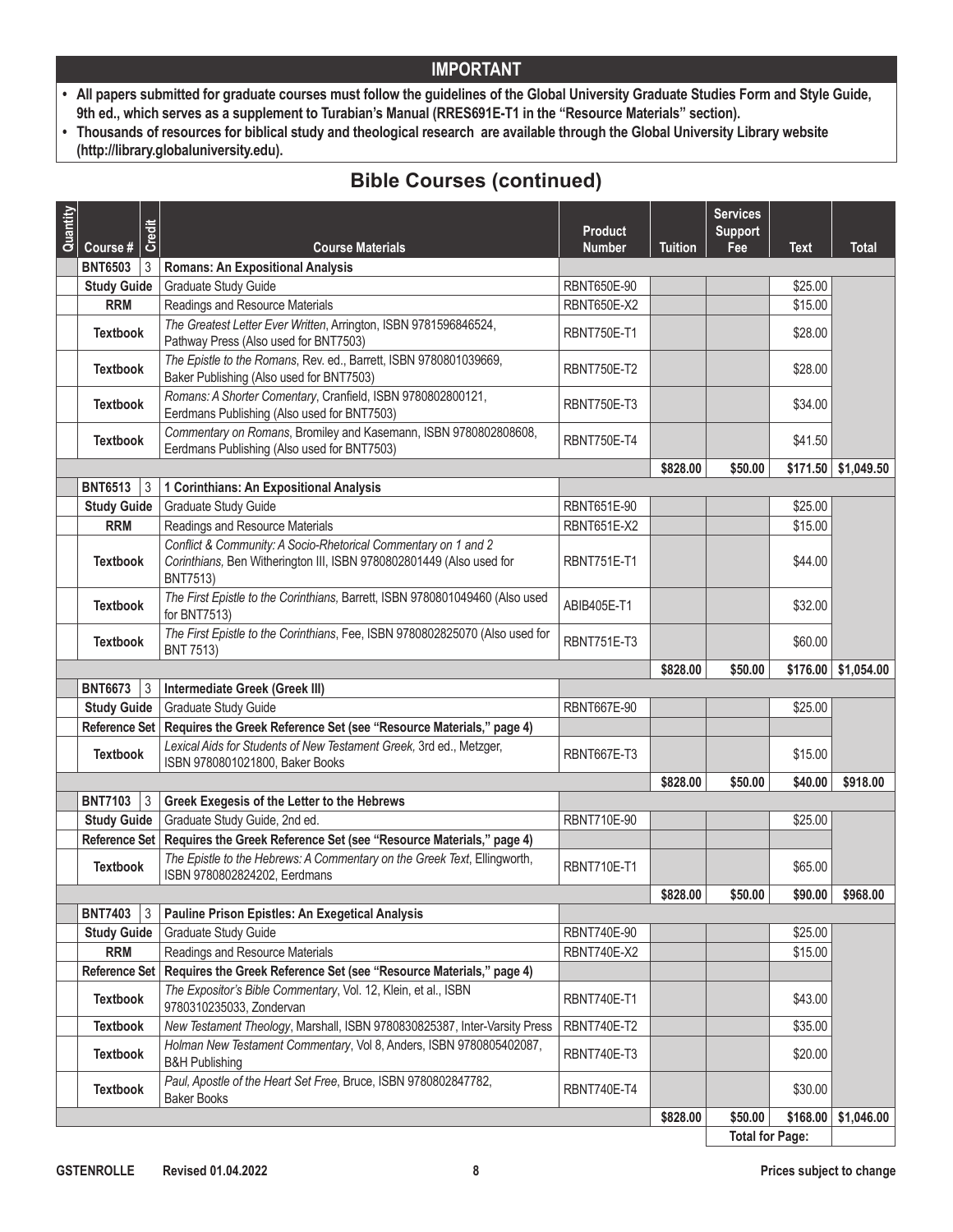- **• All papers submitted for graduate courses must follow the guidelines of the Global University Graduate Studies Form and Style Guide, 9th ed., which serves as a supplement to Turabian's Manual (RRES691E-T1 in the "Resource Materials" section).**
- **• Thousands of resources for biblical study and theological research are available through the Global University Library website (http://library.globaluniversity.edu).**

| Quantity | Course #                            | Credit         | <b>Course Materials</b>                                                                                                                                   | <b>Product</b><br><b>Number</b> | <b>Tuition</b> | <b>Services</b><br><b>Support</b><br>Fee | <b>Text</b> | <b>Total</b>                |
|----------|-------------------------------------|----------------|-----------------------------------------------------------------------------------------------------------------------------------------------------------|---------------------------------|----------------|------------------------------------------|-------------|-----------------------------|
|          | <b>BNT6503</b>                      | $\overline{3}$ | <b>Romans: An Expositional Analysis</b>                                                                                                                   |                                 |                |                                          |             |                             |
|          | <b>Study Guide</b>                  |                | <b>Graduate Study Guide</b>                                                                                                                               | <b>RBNT650E-90</b>              |                |                                          | \$25.00     |                             |
|          | <b>RRM</b>                          |                | Readings and Resource Materials                                                                                                                           | <b>RBNT650E-X2</b>              |                |                                          | \$15.00     |                             |
|          | <b>Textbook</b>                     |                | The Greatest Letter Ever Written, Arrington, ISBN 9781596846524,<br>Pathway Press (Also used for BNT7503)                                                 | <b>RBNT750E-T1</b>              |                |                                          | \$28.00     |                             |
|          | <b>Textbook</b>                     |                | The Epistle to the Romans, Rev. ed., Barrett, ISBN 9780801039669,<br>Baker Publishing (Also used for BNT7503)                                             | <b>RBNT750E-T2</b>              |                |                                          | \$28.00     |                             |
|          | <b>Textbook</b>                     |                | Romans: A Shorter Comentary, Cranfield, ISBN 9780802800121,<br>Eerdmans Publishing (Also used for BNT7503)                                                | RBNT750F-T3                     |                |                                          | \$34.00     |                             |
|          | <b>Textbook</b>                     |                | Commentary on Romans, Bromiley and Kasemann, ISBN 9780802808608,<br>Eerdmans Publishing (Also used for BNT7503)                                           | <b>RBNT750E-T4</b>              |                |                                          | \$41.50     |                             |
|          |                                     |                |                                                                                                                                                           |                                 | \$828.00       | \$50.00                                  |             | $$171.50$ $$1,049.50$       |
|          | <b>BNT6513</b>                      | 3              | 1 Corinthians: An Expositional Analysis                                                                                                                   |                                 |                |                                          |             |                             |
|          | <b>Study Guide</b>                  |                | Graduate Study Guide                                                                                                                                      | RBNT651E-90                     |                |                                          | \$25.00     |                             |
|          | <b>RRM</b>                          |                | Readings and Resource Materials                                                                                                                           | <b>RBNT651E-X2</b>              |                |                                          | \$15.00     |                             |
|          | <b>Textbook</b>                     |                | Conflict & Community: A Socio-Rhetorical Commentary on 1 and 2<br>Corinthians, Ben Witherington III, ISBN 9780802801449 (Also used for<br><b>BNT7513)</b> | <b>RBNT751E-T1</b>              |                |                                          | \$44.00     |                             |
|          | <b>Textbook</b>                     |                | The First Epistle to the Corinthians, Barrett, ISBN 9780801049460 (Also used<br>for BNT7513)                                                              | ABIB405E-T1                     |                |                                          | \$32.00     |                             |
|          | <b>Textbook</b>                     |                | The First Epistle to the Corinthians, Fee, ISBN 9780802825070 (Also used for<br><b>BNT 7513)</b>                                                          | <b>RBNT751E-T3</b>              |                |                                          | \$60.00     |                             |
|          |                                     |                |                                                                                                                                                           |                                 | \$828.00       | \$50.00                                  |             | $$176.00 \;   \; $1,054.00$ |
|          | <b>BNT6673</b>                      | 3              | Intermediate Greek (Greek III)                                                                                                                            |                                 |                |                                          |             |                             |
|          | <b>Study Guide</b>                  |                | Graduate Study Guide                                                                                                                                      | <b>RBNT667E-90</b>              |                |                                          | \$25.00     |                             |
|          | Reference Set                       |                | Requires the Greek Reference Set (see "Resource Materials," page 4)                                                                                       |                                 |                |                                          |             |                             |
|          | <b>Textbook</b>                     |                | Lexical Aids for Students of New Testament Greek, 3rd ed., Metzger,<br>ISBN 9780801021800, Baker Books                                                    | <b>RBNT667E-T3</b>              |                |                                          | \$15.00     |                             |
|          |                                     |                |                                                                                                                                                           |                                 | \$828.00       | \$50.00                                  | \$40.00     | \$918.00                    |
|          | <b>BNT7103</b>                      | 3              | Greek Exegesis of the Letter to the Hebrews                                                                                                               |                                 |                |                                          |             |                             |
|          | <b>Study Guide</b><br>Reference Set |                | Graduate Study Guide, 2nd ed.<br>Requires the Greek Reference Set (see "Resource Materials," page 4)                                                      | RBNT710E-90                     |                |                                          | \$25.00     |                             |
|          | <b>Textbook</b>                     |                | The Epistle to the Hebrews: A Commentary on the Greek Text, Ellingworth,<br>ISBN 9780802824202, Eerdmans                                                  | <b>RBNT710E-T1</b>              |                |                                          | \$65.00     |                             |
|          |                                     |                |                                                                                                                                                           |                                 | \$828.00       | \$50.00                                  | \$90.00     | \$968.00                    |
|          | <b>BNT7403</b> 3                    |                | Pauline Prison Epistles: An Exegetical Analysis                                                                                                           |                                 |                |                                          |             |                             |
|          | <b>Study Guide</b>                  |                | Graduate Study Guide                                                                                                                                      | RBNT740E-90                     |                |                                          | \$25.00     |                             |
|          | <b>RRM</b>                          |                | Readings and Resource Materials                                                                                                                           | <b>RBNT740E-X2</b>              |                |                                          | \$15.00     |                             |
|          | Reference Set                       |                | Requires the Greek Reference Set (see "Resource Materials," page 4)                                                                                       |                                 |                |                                          |             |                             |
|          | <b>Textbook</b>                     |                | The Expositor's Bible Commentary, Vol. 12, Klein, et al., ISBN<br>9780310235033, Zondervan                                                                | <b>RBNT740E-T1</b>              |                |                                          | \$43.00     |                             |
|          | <b>Textbook</b>                     |                | New Testament Theology, Marshall, ISBN 9780830825387, Inter-Varsity Press                                                                                 | <b>RBNT740E-T2</b>              |                |                                          | \$35.00     |                             |
|          | <b>Textbook</b>                     |                | Holman New Testament Commentary, Vol 8, Anders, ISBN 9780805402087,<br><b>B&amp;H Publishing</b>                                                          | <b>RBNT740E-T3</b>              |                |                                          | \$20.00     |                             |
|          | <b>Textbook</b>                     |                | Paul, Apostle of the Heart Set Free, Bruce, ISBN 9780802847782,<br><b>Baker Books</b>                                                                     | <b>RBNT740E-T4</b>              |                |                                          | \$30.00     |                             |
|          |                                     |                |                                                                                                                                                           |                                 | \$828.00       | \$50.00                                  | \$168.00    | \$1,046.00                  |
|          |                                     |                |                                                                                                                                                           |                                 |                | <b>Total for Page:</b>                   |             |                             |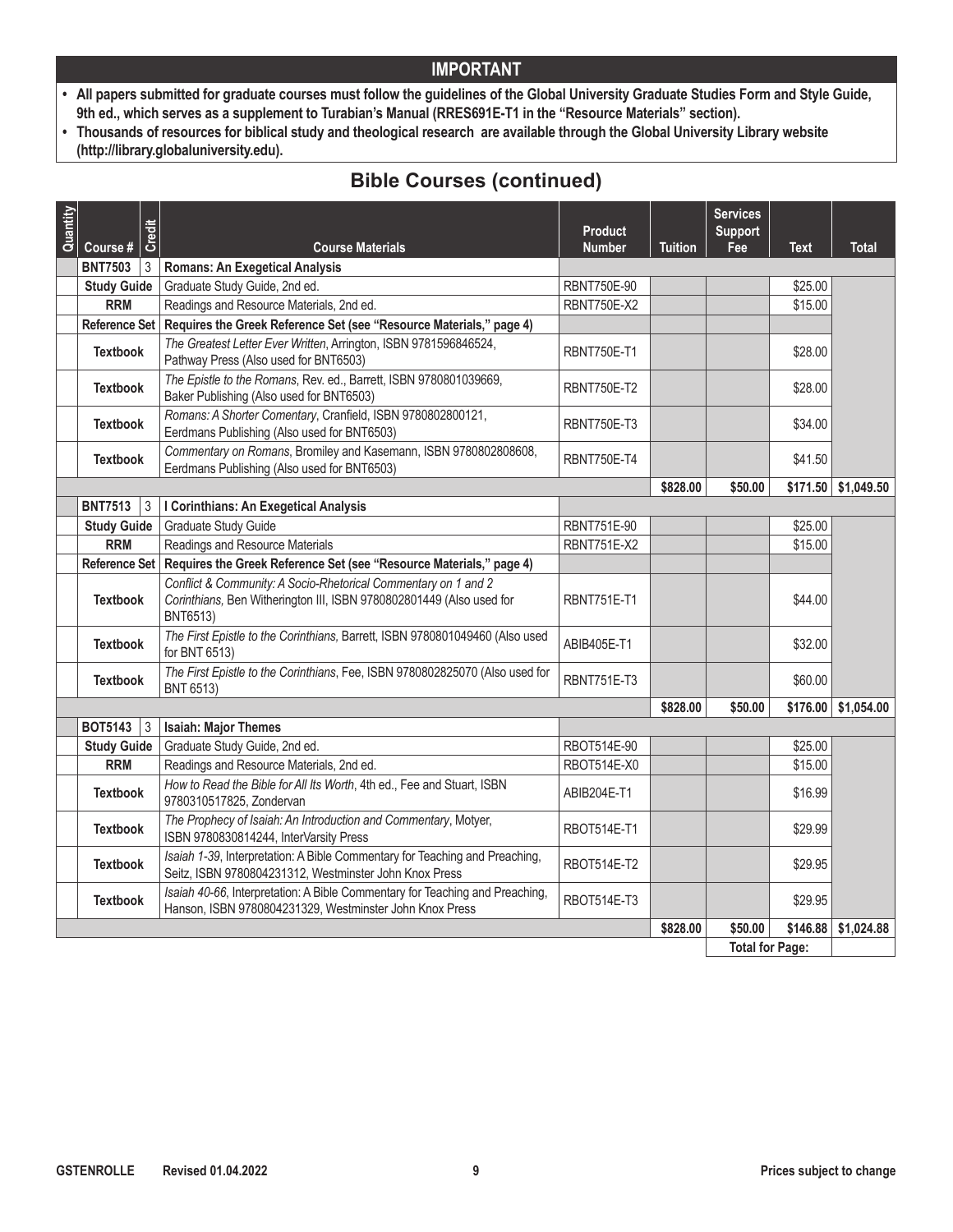- **• All papers submitted for graduate courses must follow the guidelines of the Global University Graduate Studies Form and Style Guide, 9th ed., which serves as a supplement to Turabian's Manual (RRES691E-T1 in the "Resource Materials" section).**
- **• Thousands of resources for biblical study and theological research are available through the Global University Library website (http://library.globaluniversity.edu).**

| Quantity |                                  | Credit |                                                                                                                                                    | <b>Product</b>                           |                | <b>Services</b><br><b>Support</b> |             |                       |
|----------|----------------------------------|--------|----------------------------------------------------------------------------------------------------------------------------------------------------|------------------------------------------|----------------|-----------------------------------|-------------|-----------------------|
|          | Course #                         |        | <b>Course Materials</b>                                                                                                                            | <b>Number</b>                            | <b>Tuition</b> | Fee                               | <b>Text</b> | Total                 |
|          | <b>BNT7503</b>                   | 3      | <b>Romans: An Exegetical Analysis</b>                                                                                                              |                                          |                |                                   |             |                       |
|          | <b>Study Guide</b><br><b>RRM</b> |        | Graduate Study Guide, 2nd ed.                                                                                                                      | <b>RBNT750E-90</b><br><b>RBNT750E-X2</b> |                |                                   | \$25.00     |                       |
|          |                                  |        | Readings and Resource Materials, 2nd ed.                                                                                                           |                                          |                |                                   | \$15.00     |                       |
|          | <b>Reference Set</b>             |        | Requires the Greek Reference Set (see "Resource Materials," page 4)                                                                                |                                          |                |                                   |             |                       |
|          | <b>Textbook</b>                  |        | The Greatest Letter Ever Written, Arrington, ISBN 9781596846524,<br>Pathway Press (Also used for BNT6503)                                          | <b>RBNT750E-T1</b>                       |                |                                   | \$28.00     |                       |
|          | <b>Textbook</b>                  |        | The Epistle to the Romans, Rev. ed., Barrett, ISBN 9780801039669,<br>Baker Publishing (Also used for BNT6503)                                      | <b>RBNT750E-T2</b>                       |                |                                   | \$28.00     |                       |
|          | <b>Textbook</b>                  |        | Romans: A Shorter Comentary, Cranfield, ISBN 9780802800121,<br>Eerdmans Publishing (Also used for BNT6503)                                         | <b>RBNT750E-T3</b>                       |                |                                   | \$34.00     |                       |
|          | <b>Textbook</b>                  |        | Commentary on Romans, Bromiley and Kasemann, ISBN 9780802808608,<br>Eerdmans Publishing (Also used for BNT6503)                                    | <b>RBNT750E-T4</b>                       |                |                                   | \$41.50     |                       |
|          |                                  |        |                                                                                                                                                    |                                          | \$828.00       | \$50.00                           | \$171.50    | \$1,049.50            |
|          | BNT7513 $ 3$                     |        | I Corinthians: An Exegetical Analysis                                                                                                              |                                          |                |                                   |             |                       |
|          | <b>Study Guide</b>               |        | Graduate Study Guide                                                                                                                               | <b>RBNT751E-90</b>                       |                |                                   | \$25.00     |                       |
|          | <b>RRM</b>                       |        | Readings and Resource Materials                                                                                                                    | <b>RBNT751E-X2</b>                       |                |                                   | \$15.00     |                       |
|          | Reference Set                    |        | Requires the Greek Reference Set (see "Resource Materials," page 4)                                                                                |                                          |                |                                   |             |                       |
|          | <b>Textbook</b>                  |        | Conflict & Community: A Socio-Rhetorical Commentary on 1 and 2<br>Corinthians, Ben Witherington III, ISBN 9780802801449 (Also used for<br>BNT6513) | <b>RBNT751E-T1</b>                       |                |                                   | \$44.00     |                       |
|          | <b>Textbook</b>                  |        | The First Epistle to the Corinthians, Barrett, ISBN 9780801049460 (Also used<br>for BNT 6513)                                                      | ABIB405E-T1                              |                |                                   | \$32.00     |                       |
|          | <b>Textbook</b>                  |        | The First Epistle to the Corinthians, Fee, ISBN 9780802825070 (Also used for<br>BNT 6513)                                                          | <b>RBNT751E-T3</b>                       |                |                                   | \$60.00     |                       |
|          |                                  |        |                                                                                                                                                    |                                          | \$828.00       | \$50.00                           |             | $$176.00$ $$1,054.00$ |
|          | BOT5143 $ 3$                     |        | <b>Isaiah: Major Themes</b>                                                                                                                        |                                          |                |                                   |             |                       |
|          | <b>Study Guide</b>               |        | Graduate Study Guide, 2nd ed.                                                                                                                      | RBOT514E-90                              |                |                                   | \$25.00     |                       |
|          | <b>RRM</b>                       |        | Readings and Resource Materials, 2nd ed.                                                                                                           | RBOT514E-X0                              |                |                                   | \$15.00     |                       |
|          | <b>Textbook</b>                  |        | How to Read the Bible for All Its Worth, 4th ed., Fee and Stuart, ISBN<br>9780310517825, Zondervan                                                 | ABIB204E-T1                              |                |                                   | \$16.99     |                       |
|          | <b>Textbook</b>                  |        | The Prophecy of Isaiah: An Introduction and Commentary, Motyer,<br>ISBN 9780830814244, InterVarsity Press                                          | <b>RBOT514E-T1</b>                       |                |                                   | \$29.99     |                       |
|          | <b>Textbook</b>                  |        | Isaiah 1-39, Interpretation: A Bible Commentary for Teaching and Preaching,<br>Seitz, ISBN 9780804231312, Westminster John Knox Press              | <b>RBOT514E-T2</b>                       |                |                                   | \$29.95     |                       |
|          | <b>Textbook</b>                  |        | Isaiah 40-66, Interpretation: A Bible Commentary for Teaching and Preaching,<br>Hanson, ISBN 9780804231329, Westminster John Knox Press            | <b>RBOT514E-T3</b>                       |                |                                   | \$29.95     |                       |
|          |                                  |        |                                                                                                                                                    |                                          | \$828.00       | \$50.00                           | \$146.88    | \$1,024.88            |
|          |                                  |        |                                                                                                                                                    |                                          |                | <b>Total for Page:</b>            |             |                       |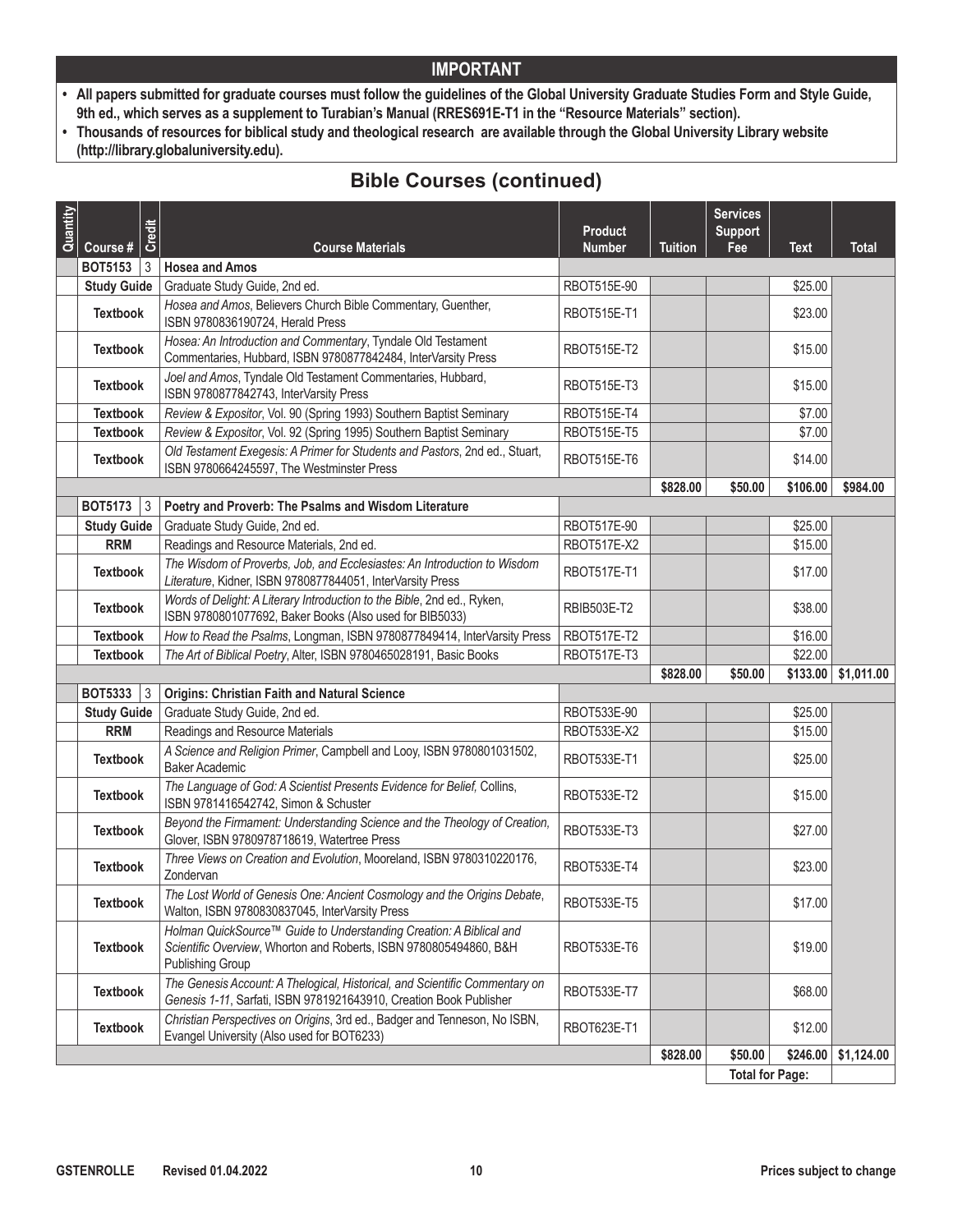- **• All papers submitted for graduate courses must follow the guidelines of the Global University Graduate Studies Form and Style Guide, 9th ed., which serves as a supplement to Turabian's Manual (RRES691E-T1 in the "Resource Materials" section).**
- **• Thousands of resources for biblical study and theological research are available through the Global University Library website (http://library.globaluniversity.edu).**

| Quantity | Course #           | Credit<br><b>Course Materials</b>                                                                                                                                   | <b>Product</b><br><b>Number</b> | <b>Tuition</b> | <b>Services</b><br><b>Support</b><br>Fee | <b>Text</b> | <b>Total</b> |
|----------|--------------------|---------------------------------------------------------------------------------------------------------------------------------------------------------------------|---------------------------------|----------------|------------------------------------------|-------------|--------------|
|          | <b>BOT5153</b>     | 3<br><b>Hosea and Amos</b>                                                                                                                                          |                                 |                |                                          |             |              |
|          | <b>Study Guide</b> | Graduate Study Guide, 2nd ed.                                                                                                                                       | RBOT515E-90                     |                |                                          | \$25.00     |              |
|          | <b>Textbook</b>    | Hosea and Amos, Believers Church Bible Commentary, Guenther,<br>ISBN 9780836190724, Herald Press                                                                    | <b>RBOT515E-T1</b>              |                |                                          | \$23.00     |              |
|          | <b>Textbook</b>    | Hosea: An Introduction and Commentary, Tyndale Old Testament<br>Commentaries, Hubbard, ISBN 9780877842484, InterVarsity Press                                       | RBOT515E-T2                     |                |                                          | \$15.00     |              |
|          | <b>Textbook</b>    | Joel and Amos, Tyndale Old Testament Commentaries, Hubbard,<br>ISBN 9780877842743, InterVarsity Press                                                               | RBOT515E-T3                     |                |                                          | \$15.00     |              |
|          | <b>Textbook</b>    | Review & Expositor, Vol. 90 (Spring 1993) Southern Baptist Seminary                                                                                                 | RBOT515E-T4                     |                |                                          | \$7.00      |              |
|          | <b>Textbook</b>    | Review & Expositor, Vol. 92 (Spring 1995) Southern Baptist Seminary                                                                                                 | RBOT515E-T5                     |                |                                          | \$7.00      |              |
|          | <b>Textbook</b>    | Old Testament Exegesis: A Primer for Students and Pastors, 2nd ed., Stuart,<br>ISBN 9780664245597, The Westminster Press                                            | <b>RBOT515E-T6</b>              |                |                                          | \$14.00     |              |
|          |                    |                                                                                                                                                                     |                                 | \$828.00       | \$50.00                                  | \$106.00    | \$984.00     |
|          | <b>BOT5173</b> 3   | Poetry and Proverb: The Psalms and Wisdom Literature                                                                                                                |                                 |                |                                          |             |              |
|          | <b>Study Guide</b> | Graduate Study Guide, 2nd ed.                                                                                                                                       | RBOT517E-90                     |                |                                          | \$25.00     |              |
|          | <b>RRM</b>         | Readings and Resource Materials, 2nd ed.                                                                                                                            | RBOT517E-X2                     |                |                                          | \$15.00     |              |
|          | <b>Textbook</b>    | The Wisdom of Proverbs, Job, and Ecclesiastes: An Introduction to Wisdom<br>Literature, Kidner, ISBN 9780877844051, InterVarsity Press                              | <b>RBOT517E-T1</b>              |                |                                          | \$17.00     |              |
|          | <b>Textbook</b>    | Words of Delight: A Literary Introduction to the Bible, 2nd ed., Ryken,<br>ISBN 9780801077692, Baker Books (Also used for BIB5033)                                  | RBIB503E-T2                     |                |                                          | \$38.00     |              |
|          | <b>Textbook</b>    | How to Read the Psalms, Longman, ISBN 9780877849414, InterVarsity Press                                                                                             | RBOT517E-T2                     |                |                                          | \$16.00     |              |
|          | <b>Textbook</b>    | The Art of Biblical Poetry, Alter, ISBN 9780465028191, Basic Books                                                                                                  | RBOT517E-T3                     |                |                                          | \$22.00     |              |
|          |                    |                                                                                                                                                                     |                                 | \$828.00       | \$50.00                                  | \$133.00    | \$1,011.00   |
|          | BOT5333 $ 3$       | <b>Origins: Christian Faith and Natural Science</b>                                                                                                                 |                                 |                |                                          |             |              |
|          | <b>Study Guide</b> | Graduate Study Guide, 2nd ed.                                                                                                                                       | RBOT533E-90                     |                |                                          | \$25.00     |              |
|          | <b>RRM</b>         | Readings and Resource Materials                                                                                                                                     | RBOT533E-X2                     |                |                                          | \$15.00     |              |
|          | <b>Textbook</b>    | A Science and Religion Primer, Campbell and Looy, ISBN 9780801031502,<br>Baker Academic                                                                             | RBOT533E-T1                     |                |                                          | \$25.00     |              |
|          | <b>Textbook</b>    | The Language of God: A Scientist Presents Evidence for Belief, Collins,<br>ISBN 9781416542742, Simon & Schuster                                                     | <b>RBOT533E-T2</b>              |                |                                          | \$15.00     |              |
|          | <b>Textbook</b>    | Beyond the Firmament: Understanding Science and the Theology of Creation,<br>Glover, ISBN 9780978718619, Watertree Press                                            | RBOT533E-T3                     |                |                                          | \$27.00     |              |
|          | <b>Textbook</b>    | Three Views on Creation and Evolution, Mooreland, ISBN 9780310220176,<br>Zondervan                                                                                  | RBOT533E-T4                     |                |                                          | \$23.00     |              |
|          | <b>Textbook</b>    | The Lost World of Genesis One: Ancient Cosmology and the Origins Debate,<br>Walton, ISBN 9780830837045, InterVarsity Press                                          | RBOT533E-T5                     |                |                                          | \$17.00     |              |
|          | <b>Textbook</b>    | Holman QuickSource™ Guide to Understanding Creation: A Biblical and<br>Scientific Overview, Whorton and Roberts, ISBN 9780805494860, B&H<br><b>Publishing Group</b> | RBOT533E-T6                     |                |                                          | \$19.00     |              |
|          | <b>Textbook</b>    | The Genesis Account: A Thelogical, Historical, and Scientific Commentary on<br>Genesis 1-11, Sarfati, ISBN 9781921643910, Creation Book Publisher                   | RBOT533E-T7                     |                |                                          | \$68.00     |              |
|          | <b>Textbook</b>    | Christian Perspectives on Origins, 3rd ed., Badger and Tenneson, No ISBN,<br>Evangel University (Also used for BOT6233)                                             | RBOT623E-T1                     |                |                                          | \$12.00     |              |
|          |                    |                                                                                                                                                                     |                                 | \$828.00       | \$50.00                                  | \$246.00    | \$1,124.00   |
|          |                    |                                                                                                                                                                     |                                 |                | <b>Total for Page:</b>                   |             |              |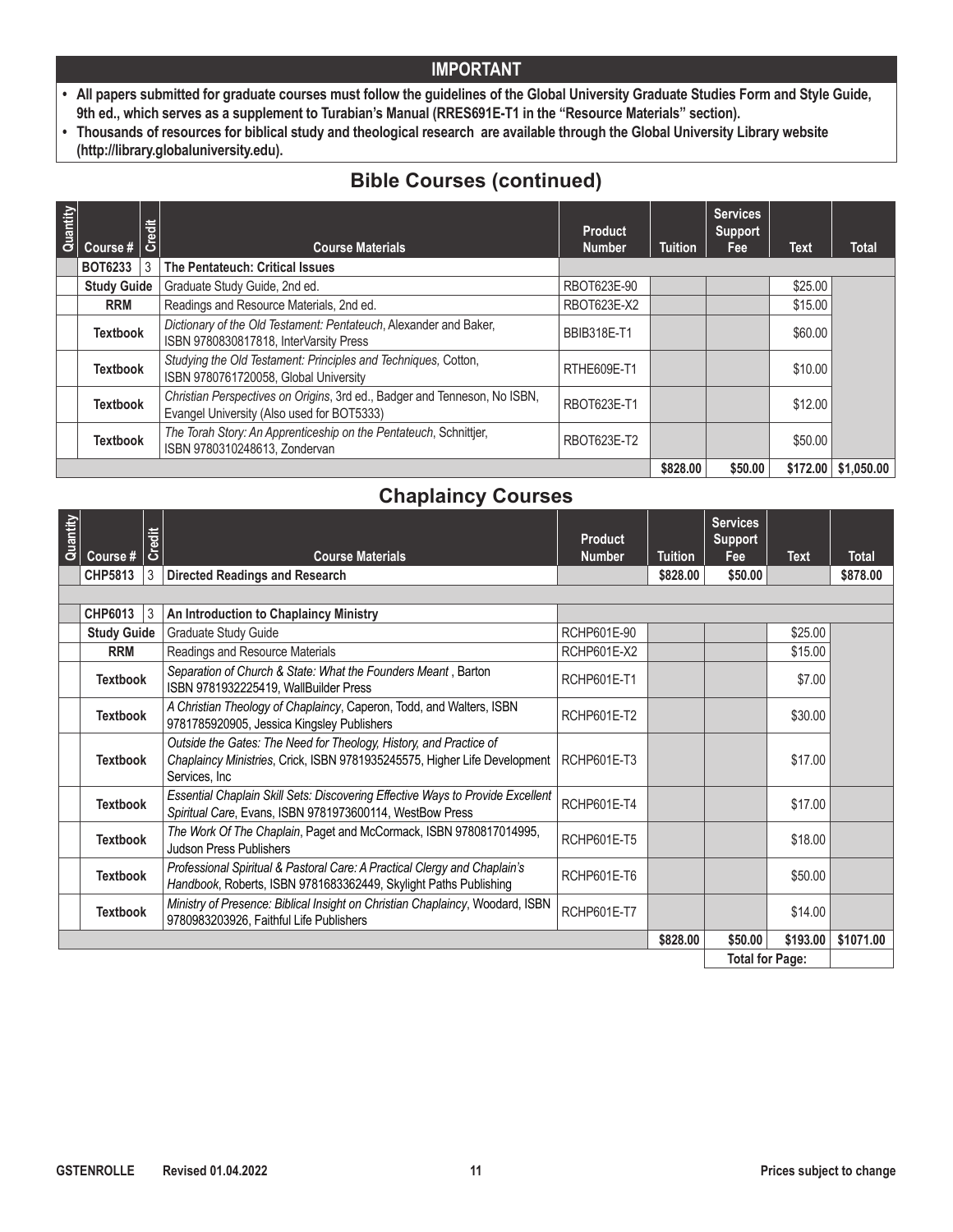- **• All papers submitted for graduate courses must follow the guidelines of the Global University Graduate Studies Form and Style Guide, 9th ed., which serves as a supplement to Turabian's Manual (RRES691E-T1 in the "Resource Materials" section).**
- **• Thousands of resources for biblical study and theological research are available through the Global University Library website (http://library.globaluniversity.edu).**

# **Bible Courses (continued)**

| Quantity | Course #           | Credit | <b>Course Materials</b>                                                                                                 | <b>Product</b><br><b>Number</b> | <b>Tuition</b> | <b>Services</b><br><b>Support</b><br>Fee | <b>Text</b> | <b>Total</b>                |
|----------|--------------------|--------|-------------------------------------------------------------------------------------------------------------------------|---------------------------------|----------------|------------------------------------------|-------------|-----------------------------|
|          | <b>BOT6233</b>     | 3      | The Pentateuch: Critical Issues                                                                                         |                                 |                |                                          |             |                             |
|          | <b>Study Guide</b> |        | Graduate Study Guide, 2nd ed.                                                                                           | RBOT623E-90                     |                |                                          | \$25.00     |                             |
|          | <b>RRM</b>         |        | Readings and Resource Materials, 2nd ed.                                                                                | RBOT623E-X2                     |                |                                          | \$15.00     |                             |
|          | <b>Textbook</b>    |        | Dictionary of the Old Testament: Pentateuch, Alexander and Baker,<br>ISBN 9780830817818, InterVarsity Press             | <b>BBIB318E-T1</b>              |                |                                          | \$60.00     |                             |
|          | <b>Textbook</b>    |        | Studying the Old Testament: Principles and Techniques, Cotton,<br>ISBN 9780761720058, Global University                 | RTHE609E-T1                     |                |                                          | \$10.00     |                             |
|          | <b>Textbook</b>    |        | Christian Perspectives on Origins, 3rd ed., Badger and Tenneson, No ISBN,<br>Evangel University (Also used for BOT5333) | RBOT623E-T1                     |                |                                          | \$12.00     |                             |
|          | <b>Textbook</b>    |        | The Torah Story: An Apprenticeship on the Pentateuch, Schnittjer,<br>ISBN 9780310248613, Zondervan                      | RBOT623E-T2                     |                |                                          | \$50.00     |                             |
|          |                    |        |                                                                                                                         |                                 |                | \$50.00                                  |             | $$172.00 \;   \; $1,050.00$ |

### **Chaplaincy Courses**

| Quantity               |                    |        |                                                                                                                                                                   |                    |                | <b>Services</b> |             |              |
|------------------------|--------------------|--------|-------------------------------------------------------------------------------------------------------------------------------------------------------------------|--------------------|----------------|-----------------|-------------|--------------|
|                        |                    | Credit |                                                                                                                                                                   | <b>Product</b>     |                | <b>Support</b>  |             |              |
|                        | Course #           |        | <b>Course Materials</b>                                                                                                                                           | <b>Number</b>      | <b>Tuition</b> | Fee             | <b>Text</b> | <b>Total</b> |
|                        | <b>CHP5813</b>     | 3      | <b>Directed Readings and Research</b>                                                                                                                             |                    | \$828.00       | \$50.00         |             | \$878.00     |
|                        |                    |        |                                                                                                                                                                   |                    |                |                 |             |              |
|                        | CHP6013            | 3      | An Introduction to Chaplaincy Ministry                                                                                                                            |                    |                |                 |             |              |
|                        | <b>Study Guide</b> |        | Graduate Study Guide                                                                                                                                              | RCHP601E-90        |                |                 | \$25.00     |              |
|                        | <b>RRM</b>         |        | Readings and Resource Materials                                                                                                                                   | RCHP601E-X2        |                |                 | \$15.00     |              |
|                        | <b>Textbook</b>    |        | Separation of Church & State: What the Founders Meant, Barton<br>ISBN 9781932225419, WallBuilder Press                                                            | <b>RCHP601E-T1</b> |                |                 | \$7.00      |              |
|                        | <b>Textbook</b>    |        | A Christian Theology of Chaplaincy, Caperon, Todd, and Walters, ISBN<br>9781785920905, Jessica Kingsley Publishers                                                | RCHP601E-T2        |                |                 | \$30.00     |              |
|                        | <b>Textbook</b>    |        | Outside the Gates: The Need for Theology, History, and Practice of<br>Chaplaincy Ministries, Crick, ISBN 9781935245575, Higher Life Development<br>Services, Inc. | RCHP601E-T3        |                |                 | \$17.00     |              |
|                        | <b>Textbook</b>    |        | Essential Chaplain Skill Sets: Discovering Effective Ways to Provide Excellent<br>Spiritual Care, Evans, ISBN 9781973600114, WestBow Press                        | RCHP601E-T4        |                |                 | \$17.00     |              |
|                        | <b>Textbook</b>    |        | The Work Of The Chaplain, Paget and McCormack, ISBN 9780817014995,<br><b>Judson Press Publishers</b>                                                              | <b>RCHP601E-T5</b> |                |                 | \$18.00     |              |
|                        | <b>Textbook</b>    |        | Professional Spiritual & Pastoral Care: A Practical Clergy and Chaplain's<br>Handbook, Roberts, ISBN 9781683362449, Skylight Paths Publishing                     | RCHP601E-T6        |                |                 | \$50.00     |              |
|                        | <b>Textbook</b>    |        | Ministry of Presence: Biblical Insight on Christian Chaplaincy, Woodard, ISBN<br>9780983203926, Faithful Life Publishers                                          | RCHP601E-T7        |                |                 | \$14.00     |              |
|                        |                    |        |                                                                                                                                                                   |                    | \$828.00       | \$50.00         | \$193.00    | \$1071.00    |
| <b>Total for Page:</b> |                    |        |                                                                                                                                                                   |                    |                |                 |             |              |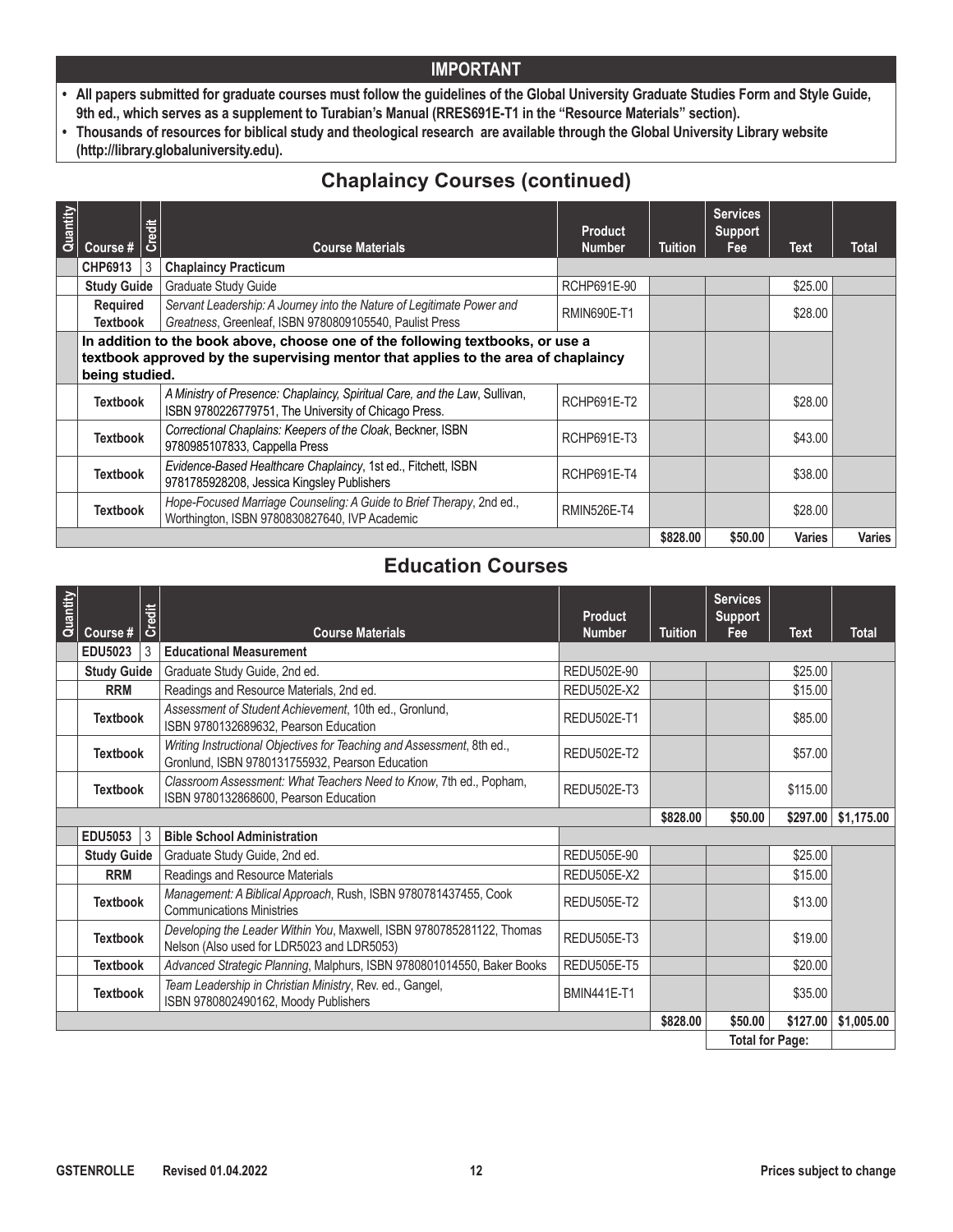- **• All papers submitted for graduate courses must follow the guidelines of the Global University Graduate Studies Form and Style Guide, 9th ed., which serves as a supplement to Turabian's Manual (RRES691E-T1 in the "Resource Materials" section).**
- **• Thousands of resources for biblical study and theological research are available through the Global University Library website (http://library.globaluniversity.edu).**

# **Chaplaincy Courses (continued)**

| Quantity | Course #                           | Credit | <b>Course Materials</b>                                                                                                                                              | <b>Product</b><br><b>Number</b> | <b>Tuition</b> | <b>Services</b><br><b>Support</b><br>Fee | Text          | Total         |
|----------|------------------------------------|--------|----------------------------------------------------------------------------------------------------------------------------------------------------------------------|---------------------------------|----------------|------------------------------------------|---------------|---------------|
|          | CHP6913                            | 3      | <b>Chaplaincy Practicum</b>                                                                                                                                          |                                 |                |                                          |               |               |
|          | <b>Study Guide</b>                 |        | <b>Graduate Study Guide</b>                                                                                                                                          | RCHP691E-90                     |                |                                          | \$25.00       |               |
|          | <b>Required</b><br><b>Textbook</b> |        | Servant Leadership: A Journey into the Nature of Legitimate Power and<br>Greatness, Greenleaf, ISBN 9780809105540, Paulist Press                                     | <b>RMIN690E-T1</b>              |                |                                          | \$28.00       |               |
|          | being studied.                     |        | In addition to the book above, choose one of the following textbooks, or use a<br>textbook approved by the supervising mentor that applies to the area of chaplaincy |                                 |                |                                          |               |               |
|          | <b>Textbook</b>                    |        | A Ministry of Presence: Chaplaincy, Spiritual Care, and the Law, Sullivan,<br>ISBN 9780226779751, The University of Chicago Press.                                   | <b>RCHP691E-T2</b>              |                |                                          | \$28.00       |               |
|          | <b>Textbook</b>                    |        | Correctional Chaplains: Keepers of the Cloak, Beckner, ISBN<br>9780985107833, Cappella Press                                                                         | <b>RCHP691E-T3</b>              |                |                                          | \$43.00       |               |
|          | <b>Textbook</b>                    |        | Evidence-Based Healthcare Chaplaincy, 1st ed., Fitchett, ISBN<br>9781785928208, Jessica Kingsley Publishers                                                          | <b>RCHP691E-T4</b>              |                |                                          | \$38.00       |               |
|          | <b>Textbook</b>                    |        | Hope-Focused Marriage Counseling: A Guide to Brief Therapy, 2nd ed.,<br>Worthington, ISBN 9780830827640, IVP Academic                                                | <b>RMIN526E-T4</b>              |                |                                          | \$28.00       |               |
|          |                                    |        |                                                                                                                                                                      |                                 | \$828.00       | \$50.00                                  | <b>Varies</b> | <b>Varies</b> |

### **Education Courses**

| Quantity | Course #           | Credit | <b>Course Materials</b>                                                                                                   | <b>Product</b><br><b>Number</b> | <b>Tuition</b> | <b>Services</b><br><b>Support</b><br>Fee | Text     | <b>Total</b> |
|----------|--------------------|--------|---------------------------------------------------------------------------------------------------------------------------|---------------------------------|----------------|------------------------------------------|----------|--------------|
|          | <b>EDU5023</b>     | 3      | <b>Educational Measurement</b>                                                                                            |                                 |                |                                          |          |              |
|          | <b>Study Guide</b> |        | Graduate Study Guide, 2nd ed.                                                                                             | REDU502E-90                     |                |                                          | \$25.00  |              |
|          | <b>RRM</b>         |        | Readings and Resource Materials, 2nd ed.                                                                                  | <b>REDU502E-X2</b>              |                |                                          | \$15.00  |              |
|          | <b>Textbook</b>    |        | Assessment of Student Achievement, 10th ed., Gronlund,<br>ISBN 9780132689632, Pearson Education                           | <b>REDU502E-T1</b>              |                |                                          | \$85.00  |              |
|          | <b>Textbook</b>    |        | Writing Instructional Objectives for Teaching and Assessment, 8th ed.,<br>Gronlund, ISBN 9780131755932, Pearson Education | <b>REDU502E-T2</b>              |                |                                          | \$57.00  |              |
|          | <b>Textbook</b>    |        | Classroom Assessment: What Teachers Need to Know, 7th ed., Popham,<br>ISBN 9780132868600, Pearson Education               | <b>REDU502E-T3</b>              |                |                                          | \$115.00 |              |
|          |                    |        |                                                                                                                           |                                 | \$828.00       | \$50.00                                  | \$297.00 | \$1,175.00   |
|          | <b>EDU5053</b>     | l 3    | <b>Bible School Administration</b>                                                                                        |                                 |                |                                          |          |              |
|          | <b>Study Guide</b> |        | Graduate Study Guide, 2nd ed.                                                                                             | REDU505E-90                     |                |                                          | \$25.00  |              |
|          | <b>RRM</b>         |        | Readings and Resource Materials                                                                                           | <b>REDU505E-X2</b>              |                |                                          | \$15.00  |              |
|          | <b>Textbook</b>    |        | Management: A Biblical Approach, Rush, ISBN 9780781437455, Cook<br><b>Communications Ministries</b>                       | <b>REDU505E-T2</b>              |                |                                          | \$13.00  |              |
|          | <b>Textbook</b>    |        | Developing the Leader Within You, Maxwell, ISBN 9780785281122, Thomas<br>Nelson (Also used for LDR5023 and LDR5053)       | <b>REDU505E-T3</b>              |                |                                          | \$19.00  |              |
|          | <b>Textbook</b>    |        | Advanced Strategic Planning, Malphurs, ISBN 9780801014550, Baker Books                                                    | <b>REDU505E-T5</b>              |                |                                          | \$20.00  |              |
|          | <b>Textbook</b>    |        | Team Leadership in Christian Ministry, Rev. ed., Gangel,<br>ISBN 9780802490162, Moody Publishers                          | <b>BMIN441E-T1</b>              |                |                                          | \$35.00  |              |
|          |                    |        |                                                                                                                           |                                 | \$828.00       | \$50.00                                  | \$127.00 | \$1,005.00   |
|          |                    |        |                                                                                                                           |                                 |                | <b>Total for Page:</b>                   |          |              |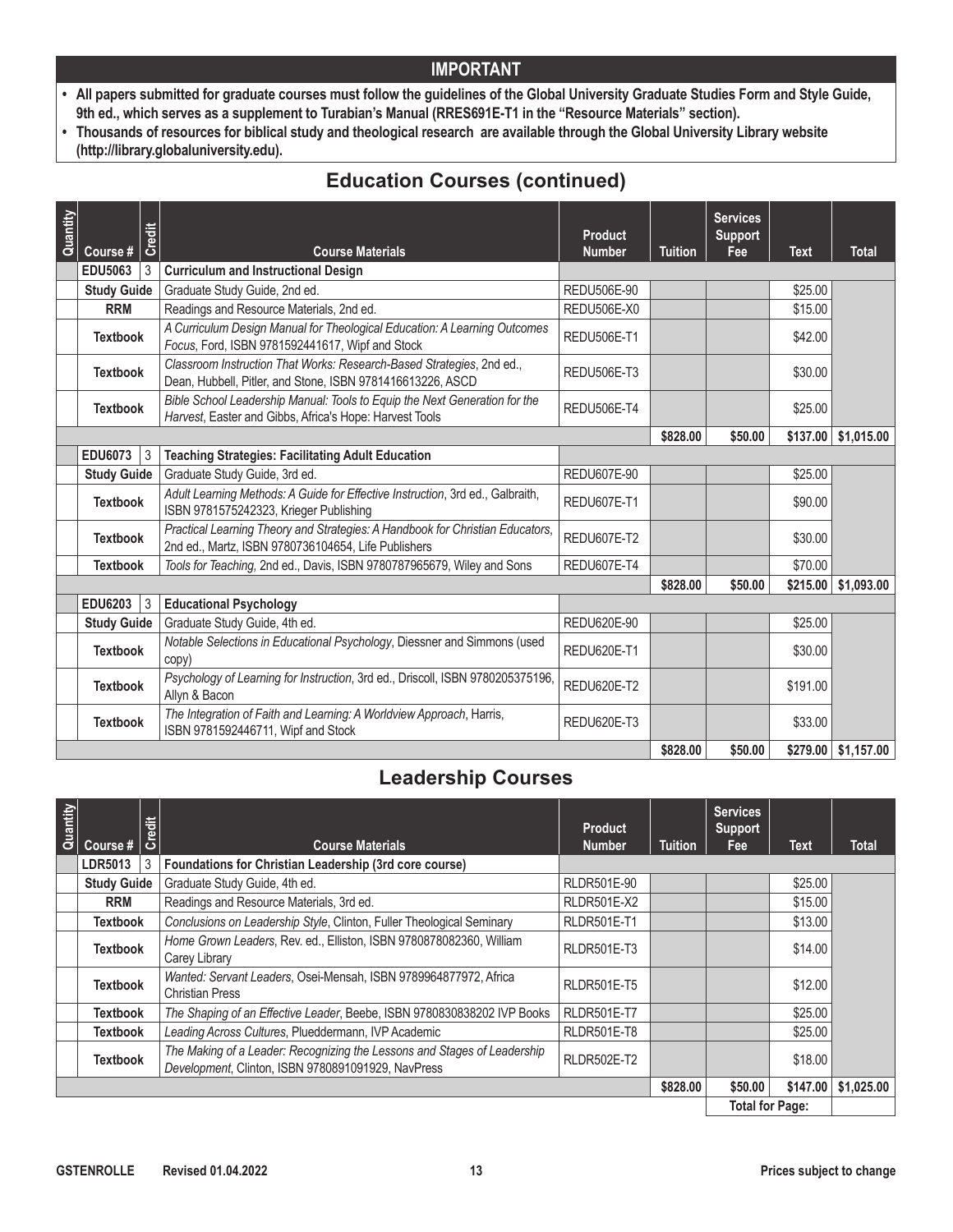- **• All papers submitted for graduate courses must follow the guidelines of the Global University Graduate Studies Form and Style Guide, 9th ed., which serves as a supplement to Turabian's Manual (RRES691E-T1 in the "Resource Materials" section).**
- **• Thousands of resources for biblical study and theological research are available through the Global University Library website (http://library.globaluniversity.edu).**

# **Education Courses (continued)**

| Quantity | Course #           | Credit    | <b>Course Materials</b>                                                                                                               | <b>Product</b><br><b>Number</b> | <b>Tuition</b> | <b>Services</b><br><b>Support</b><br>Fee | <b>Text</b> | <b>Total</b>                |
|----------|--------------------|-----------|---------------------------------------------------------------------------------------------------------------------------------------|---------------------------------|----------------|------------------------------------------|-------------|-----------------------------|
|          | <b>EDU5063</b>     | 3         | <b>Curriculum and Instructional Design</b>                                                                                            |                                 |                |                                          |             |                             |
|          | <b>Study Guide</b> |           | Graduate Study Guide, 2nd ed.                                                                                                         | REDU506E-90                     |                |                                          | \$25.00     |                             |
|          | <b>RRM</b>         |           | Readings and Resource Materials, 2nd ed.                                                                                              | REDU506E-X0                     |                |                                          | \$15.00     |                             |
|          | <b>Textbook</b>    |           | A Curriculum Design Manual for Theological Education: A Learning Outcomes<br>Focus, Ford, ISBN 9781592441617, Wipf and Stock          | <b>REDU506E-T1</b>              |                |                                          | \$42.00     |                             |
|          | <b>Textbook</b>    |           | Classroom Instruction That Works: Research-Based Strategies, 2nd ed.,<br>Dean, Hubbell, Pitler, and Stone, ISBN 9781416613226, ASCD   | <b>REDU506E-T3</b>              |                |                                          | \$30.00     |                             |
|          | <b>Textbook</b>    |           | Bible School Leadership Manual: Tools to Equip the Next Generation for the<br>Harvest, Easter and Gibbs, Africa's Hope: Harvest Tools | <b>REDU506E-T4</b>              |                |                                          | \$25.00     |                             |
|          |                    |           |                                                                                                                                       |                                 | \$828.00       | \$50.00                                  | \$137.00    | \$1,015.00                  |
|          | <b>EDU6073</b>     | $\vert$ 3 | <b>Teaching Strategies: Facilitating Adult Education</b>                                                                              |                                 |                |                                          |             |                             |
|          | <b>Study Guide</b> |           | Graduate Study Guide, 3rd ed.                                                                                                         | <b>REDU607E-90</b>              |                |                                          | \$25.00     |                             |
|          | <b>Textbook</b>    |           | Adult Learning Methods: A Guide for Effective Instruction, 3rd ed., Galbraith,<br>ISBN 9781575242323, Krieger Publishing              | <b>REDU607E-T1</b>              |                |                                          | \$90.00     |                             |
|          | <b>Textbook</b>    |           | Practical Learning Theory and Strategies: A Handbook for Christian Educators,<br>2nd ed., Martz, ISBN 9780736104654, Life Publishers  | <b>REDU607E-T2</b>              |                |                                          | \$30.00     |                             |
|          | <b>Textbook</b>    |           | Tools for Teaching, 2nd ed., Davis, ISBN 9780787965679, Wiley and Sons                                                                | <b>REDU607E-T4</b>              |                |                                          | \$70.00     |                             |
|          |                    |           |                                                                                                                                       |                                 | \$828.00       | \$50.00                                  | \$215.00    | \$1,093.00                  |
|          | <b>EDU6203</b>     | 3         | <b>Educational Psychology</b>                                                                                                         |                                 |                |                                          |             |                             |
|          | <b>Study Guide</b> |           | Graduate Study Guide, 4th ed.                                                                                                         | <b>REDU620E-90</b>              |                |                                          | \$25.00     |                             |
|          | <b>Textbook</b>    |           | Notable Selections in Educational Psychology, Diessner and Simmons (used<br>copy)                                                     | <b>REDU620E-T1</b>              |                |                                          | \$30.00     |                             |
|          | <b>Textbook</b>    |           | Psychology of Learning for Instruction, 3rd ed., Driscoll, ISBN 9780205375196,<br>Allyn & Bacon                                       | <b>REDU620E-T2</b>              |                |                                          | \$191.00    |                             |
|          | <b>Textbook</b>    |           | The Integration of Faith and Learning: A Worldview Approach, Harris,<br>ISBN 9781592446711, Wipf and Stock                            | REDU620E-T3                     |                |                                          | \$33.00     |                             |
|          |                    |           |                                                                                                                                       |                                 | \$828.00       | \$50.00                                  |             | $$279.00 \;   \; $1,157.00$ |

# **Leadership Courses**

| Quantity | Course #           | Credit | <b>Course Materials</b>                                                                                                        | <b>Product</b><br><b>Number</b> | <b>Tuition</b> | <b>Services</b><br><b>Support</b><br>Fee | <b>Text</b> | <b>Total</b> |
|----------|--------------------|--------|--------------------------------------------------------------------------------------------------------------------------------|---------------------------------|----------------|------------------------------------------|-------------|--------------|
|          | <b>LDR5013</b>     | 3      | Foundations for Christian Leadership (3rd core course)                                                                         |                                 |                |                                          |             |              |
|          | <b>Study Guide</b> |        | Graduate Study Guide, 4th ed.                                                                                                  | RLDR501E-90                     |                |                                          | \$25.00     |              |
|          | <b>RRM</b>         |        | Readings and Resource Materials, 3rd ed.                                                                                       | <b>RLDR501E-X2</b>              |                |                                          | \$15.00     |              |
|          | <b>Textbook</b>    |        | Conclusions on Leadership Style, Clinton, Fuller Theological Seminary                                                          | <b>RLDR501E-T1</b>              |                |                                          | \$13.00     |              |
|          | Textbook           |        | Home Grown Leaders, Rev. ed., Elliston, ISBN 9780878082360, William<br>Carey Library                                           | RLDR501E-T3                     |                |                                          | \$14.00     |              |
|          | <b>Textbook</b>    |        | Wanted: Servant Leaders, Osei-Mensah, ISBN 9789964877972, Africa<br><b>Christian Press</b>                                     | RLDR501E-T5                     |                |                                          | \$12.00     |              |
|          | Textbook           |        | The Shaping of an Effective Leader, Beebe, ISBN 9780830838202 IVP Books                                                        | <b>RLDR501E-T7</b>              |                |                                          | \$25.00     |              |
|          | Textbook           |        | Leading Across Cultures, Plueddermann, IVP Academic                                                                            | RLDR501E-T8                     |                |                                          | \$25.00     |              |
|          | <b>Textbook</b>    |        | The Making of a Leader: Recognizing the Lessons and Stages of Leadership<br>Development, Clinton, ISBN 9780891091929, NavPress | <b>RLDR502E-T2</b>              |                |                                          | \$18.00     |              |
|          |                    |        |                                                                                                                                |                                 | \$828.00       | \$50,00                                  | \$147.00    | \$1.025.00   |
|          |                    |        |                                                                                                                                |                                 |                | <b>Total for Page:</b>                   |             |              |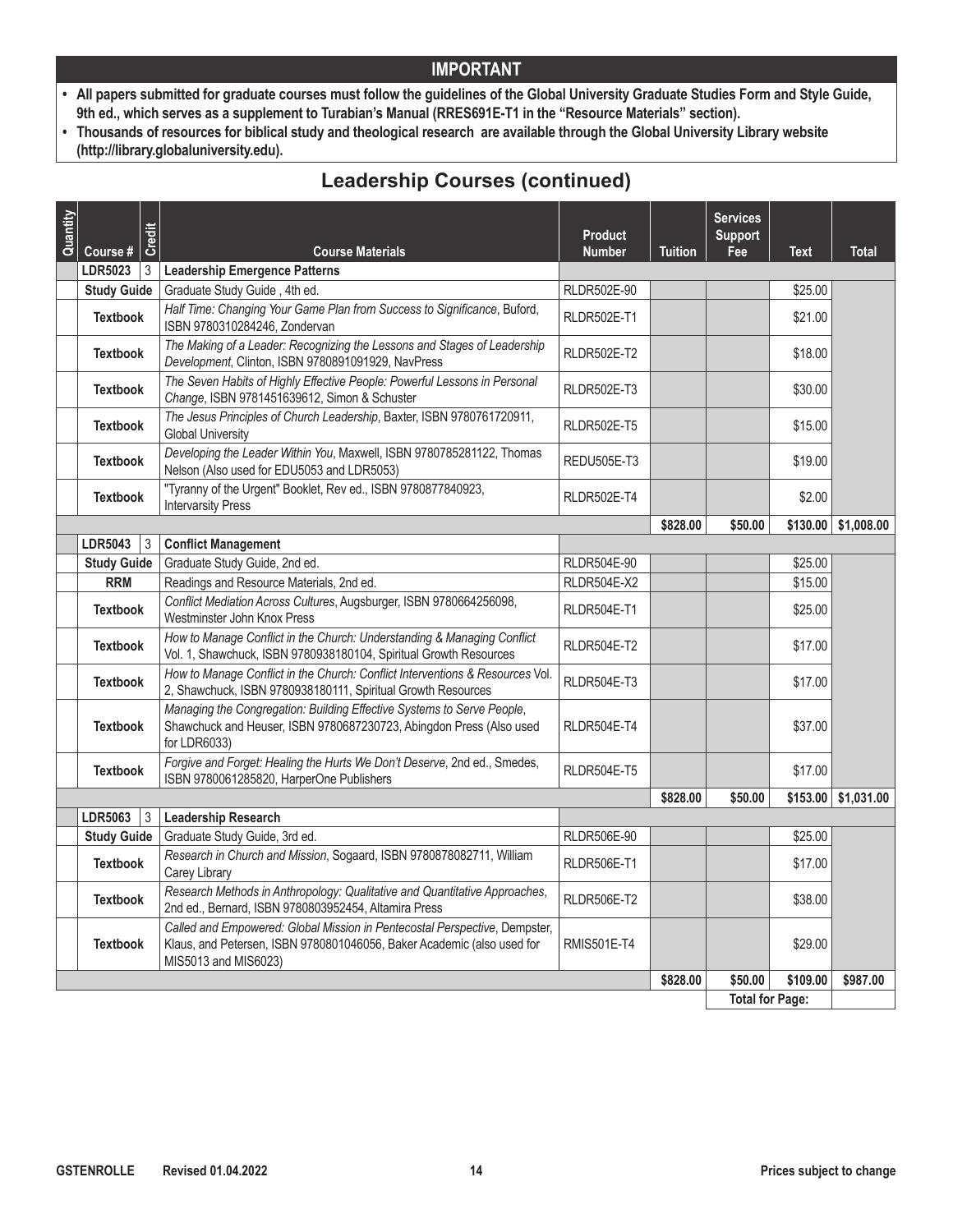- **• All papers submitted for graduate courses must follow the guidelines of the Global University Graduate Studies Form and Style Guide, 9th ed., which serves as a supplement to Turabian's Manual (RRES691E-T1 in the "Resource Materials" section).**
- **• Thousands of resources for biblical study and theological research are available through the Global University Library website (http://library.globaluniversity.edu).**

# **Leadership Courses (continued)**

| Quantity | Course #           | Credit | <b>Course Materials</b>                                                                                                                                                      | <b>Product</b><br><b>Number</b> | <b>Tuition</b> | <b>Services</b><br><b>Support</b><br>Fee | <b>Text</b> | <b>Total</b>          |
|----------|--------------------|--------|------------------------------------------------------------------------------------------------------------------------------------------------------------------------------|---------------------------------|----------------|------------------------------------------|-------------|-----------------------|
|          | <b>LDR5023</b>     | 3      | <b>Leadership Emergence Patterns</b>                                                                                                                                         |                                 |                |                                          |             |                       |
|          | <b>Study Guide</b> |        | Graduate Study Guide, 4th ed.                                                                                                                                                | <b>RLDR502E-90</b>              |                |                                          | \$25.00     |                       |
|          | <b>Textbook</b>    |        | Half Time: Changing Your Game Plan from Success to Significance, Buford,<br>ISBN 9780310284246, Zondervan                                                                    | RLDR502E-T1                     |                |                                          | \$21.00     |                       |
|          | <b>Textbook</b>    |        | The Making of a Leader: Recognizing the Lessons and Stages of Leadership<br>Development, Clinton, ISBN 9780891091929, NavPress                                               | <b>RLDR502E-T2</b>              |                |                                          | \$18.00     |                       |
|          | <b>Textbook</b>    |        | The Seven Habits of Highly Effective People: Powerful Lessons in Personal<br>Change, ISBN 9781451639612, Simon & Schuster                                                    | RLDR502E-T3                     |                |                                          | \$30.00     |                       |
|          | <b>Textbook</b>    |        | The Jesus Principles of Church Leadership, Baxter, ISBN 9780761720911,<br><b>Global University</b>                                                                           | <b>RLDR502E-T5</b>              |                |                                          | \$15.00     |                       |
|          | <b>Textbook</b>    |        | Developing the Leader Within You, Maxwell, ISBN 9780785281122, Thomas<br>Nelson (Also used for EDU5053 and LDR5053)                                                          | <b>REDU505E-T3</b>              |                |                                          | \$19.00     |                       |
|          | <b>Textbook</b>    |        | "Tyranny of the Urgent" Booklet, Rev ed., ISBN 9780877840923,<br><b>Intervarsity Press</b>                                                                                   | <b>RLDR502E-T4</b>              |                |                                          | \$2.00      |                       |
|          |                    |        |                                                                                                                                                                              |                                 | \$828.00       | \$50.00                                  | \$130.00    | \$1,008.00            |
|          | LDR5043            | 3      | <b>Conflict Management</b>                                                                                                                                                   |                                 |                |                                          |             |                       |
|          | <b>Study Guide</b> |        | Graduate Study Guide, 2nd ed.                                                                                                                                                | <b>RLDR504E-90</b>              |                |                                          | \$25.00     |                       |
|          | <b>RRM</b>         |        | Readings and Resource Materials, 2nd ed.                                                                                                                                     | RLDR504E-X2                     |                |                                          | \$15.00     |                       |
|          | <b>Textbook</b>    |        | Conflict Mediation Across Cultures, Augsburger, ISBN 9780664256098,<br>Westminster John Knox Press                                                                           | <b>RLDR504E-T1</b>              |                |                                          | \$25.00     |                       |
|          | <b>Textbook</b>    |        | How to Manage Conflict in the Church: Understanding & Managing Conflict<br>Vol. 1, Shawchuck, ISBN 9780938180104, Spiritual Growth Resources                                 | RLDR504E-T2                     |                |                                          | \$17.00     |                       |
|          | <b>Textbook</b>    |        | How to Manage Conflict in the Church: Conflict Interventions & Resources Vol.<br>2, Shawchuck, ISBN 9780938180111, Spiritual Growth Resources                                | RLDR504E-T3                     |                |                                          | \$17.00     |                       |
|          | <b>Textbook</b>    |        | Managing the Congregation: Building Effective Systems to Serve People,<br>Shawchuck and Heuser, ISBN 9780687230723, Abingdon Press (Also used<br>for LDR6033)                | <b>RLDR504E-T4</b>              |                |                                          | \$37.00     |                       |
|          | <b>Textbook</b>    |        | Forgive and Forget: Healing the Hurts We Don't Deserve, 2nd ed., Smedes,<br>ISBN 9780061285820, HarperOne Publishers                                                         | <b>RLDR504E-T5</b>              |                |                                          | \$17.00     |                       |
|          |                    |        |                                                                                                                                                                              |                                 | \$828.00       | \$50.00                                  |             | $$153.00$ $$1,031.00$ |
|          | LDR5063            | l 3    | <b>Leadership Research</b>                                                                                                                                                   |                                 |                |                                          |             |                       |
|          | <b>Study Guide</b> |        | Graduate Study Guide, 3rd ed.                                                                                                                                                | <b>RLDR506E-90</b>              |                |                                          | \$25.00     |                       |
|          | <b>Textbook</b>    |        | Research in Church and Mission, Sogaard, ISBN 9780878082711, William<br>Carey Library                                                                                        | <b>RLDR506E-T1</b>              |                |                                          | \$17.00     |                       |
|          | <b>Textbook</b>    |        | Research Methods in Anthropology: Qualitative and Quantitative Approaches,<br>2nd ed., Bernard, ISBN 9780803952454, Altamira Press                                           | RLDR506E-T2                     |                |                                          | \$38.00     |                       |
|          | <b>Textbook</b>    |        | Called and Empowered: Global Mission in Pentecostal Perspective, Dempster,<br>Klaus, and Petersen, ISBN 9780801046056, Baker Academic (also used for<br>MIS5013 and MIS6023) | <b>RMIS501E-T4</b>              |                |                                          | \$29.00     |                       |
|          |                    |        |                                                                                                                                                                              |                                 | \$828.00       | \$50.00                                  | \$109.00    | \$987.00              |
|          |                    |        |                                                                                                                                                                              |                                 |                | <b>Total for Page:</b>                   |             |                       |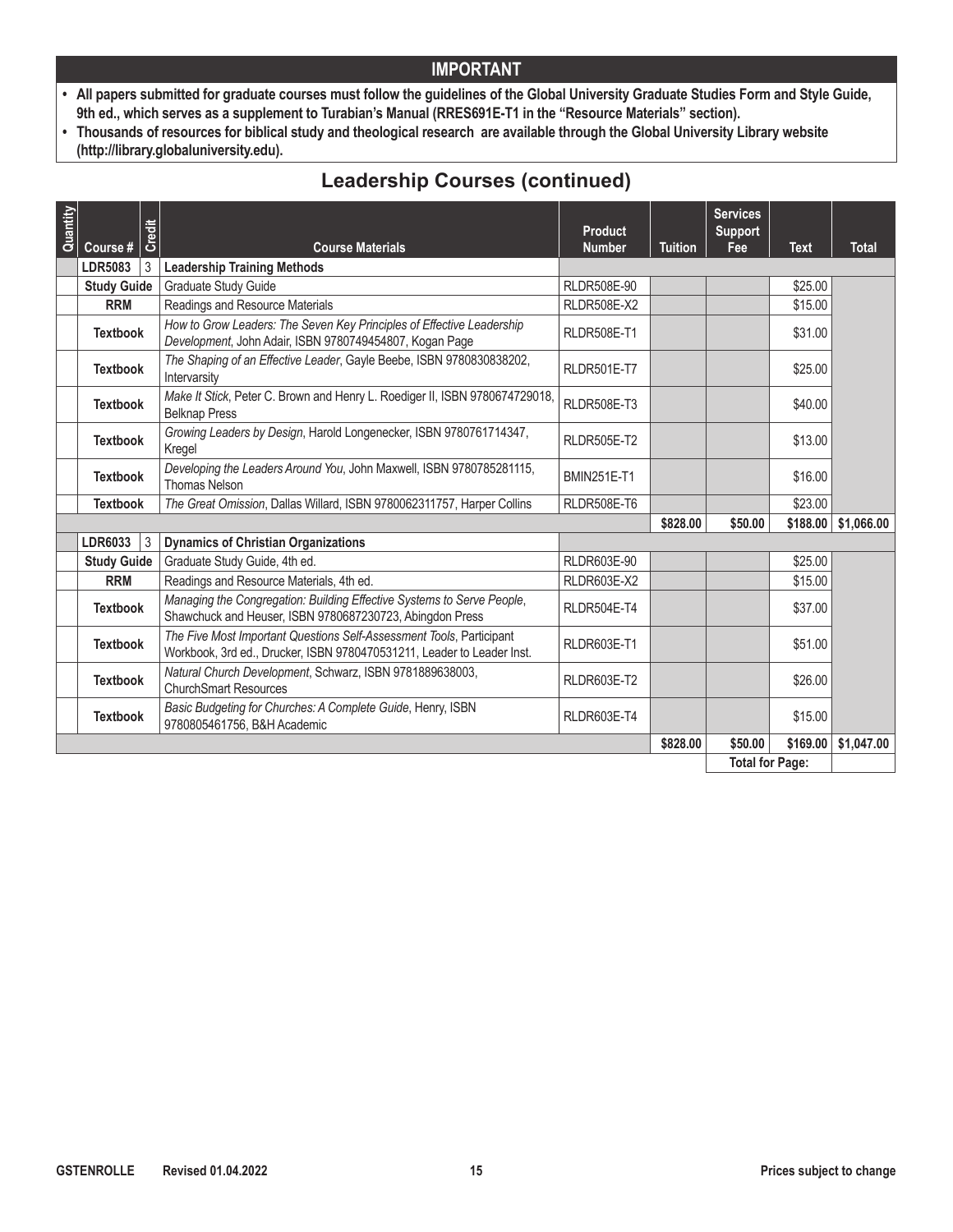- **• All papers submitted for graduate courses must follow the guidelines of the Global University Graduate Studies Form and Style Guide, 9th ed., which serves as a supplement to Turabian's Manual (RRES691E-T1 in the "Resource Materials" section).**
- **• Thousands of resources for biblical study and theological research are available through the Global University Library website (http://library.globaluniversity.edu).**

# **Leadership Courses (continued)**

| Quantity |                    | Credit                                                                                                                                         | <b>Product</b>     |                | <b>Services</b><br><b>Support</b> |             |                          |
|----------|--------------------|------------------------------------------------------------------------------------------------------------------------------------------------|--------------------|----------------|-----------------------------------|-------------|--------------------------|
|          | Course #           | <b>Course Materials</b>                                                                                                                        | <b>Number</b>      | <b>Tuition</b> | Fee                               | <b>Text</b> | <b>Total</b>             |
|          | <b>LDR5083</b>     | <b>Leadership Training Methods</b><br>3                                                                                                        |                    |                |                                   |             |                          |
|          | <b>Study Guide</b> | <b>Graduate Study Guide</b>                                                                                                                    | <b>RLDR508E-90</b> |                |                                   | \$25.00     |                          |
|          | <b>RRM</b>         | Readings and Resource Materials                                                                                                                | <b>RLDR508E-X2</b> |                |                                   | \$15.00     |                          |
|          | <b>Textbook</b>    | How to Grow Leaders: The Seven Key Principles of Effective Leadership<br>Development, John Adair, ISBN 9780749454807, Kogan Page               | <b>RLDR508E-T1</b> |                |                                   | \$31.00     |                          |
|          | <b>Textbook</b>    | The Shaping of an Effective Leader, Gayle Beebe, ISBN 9780830838202,<br>Intervarsity                                                           | <b>RLDR501E-T7</b> |                |                                   | \$25.00     |                          |
|          | <b>Textbook</b>    | Make It Stick, Peter C. Brown and Henry L. Roediger II, ISBN 9780674729018,<br><b>Belknap Press</b>                                            | <b>RLDR508E-T3</b> |                |                                   | \$40.00     |                          |
|          | <b>Textbook</b>    | Growing Leaders by Design, Harold Longenecker, ISBN 9780761714347,<br>Kregel                                                                   | <b>RLDR505E-T2</b> |                |                                   | \$13.00     |                          |
|          | <b>Textbook</b>    | Developing the Leaders Around You, John Maxwell, ISBN 9780785281115,<br><b>Thomas Nelson</b>                                                   | <b>BMIN251E-T1</b> |                |                                   | \$16.00     |                          |
|          | <b>Textbook</b>    | The Great Omission, Dallas Willard, ISBN 9780062311757, Harper Collins                                                                         | <b>RLDR508E-T6</b> |                |                                   | \$23.00     |                          |
|          |                    |                                                                                                                                                |                    | \$828.00       | \$50.00                           |             | $$188.00 \mid $1,066.00$ |
|          | <b>LDR6033</b>     | 3<br><b>Dynamics of Christian Organizations</b>                                                                                                |                    |                |                                   |             |                          |
|          | <b>Study Guide</b> | Graduate Study Guide, 4th ed.                                                                                                                  | RLDR603E-90        |                |                                   | \$25.00     |                          |
|          | <b>RRM</b>         | Readings and Resource Materials, 4th ed.                                                                                                       | <b>RLDR603E-X2</b> |                |                                   | \$15.00     |                          |
|          | <b>Textbook</b>    | Managing the Congregation: Building Effective Systems to Serve People,<br>Shawchuck and Heuser, ISBN 9780687230723, Abingdon Press             | <b>RLDR504E-T4</b> |                |                                   | \$37.00     |                          |
|          | <b>Textbook</b>    | The Five Most Important Questions Self-Assessment Tools, Participant<br>Workbook, 3rd ed., Drucker, ISBN 9780470531211, Leader to Leader Inst. | <b>RLDR603E-T1</b> |                |                                   | \$51.00     |                          |
|          | <b>Textbook</b>    | Natural Church Development, Schwarz, ISBN 9781889638003,<br><b>ChurchSmart Resources</b>                                                       | <b>RLDR603E-T2</b> |                |                                   | \$26.00     |                          |
|          | <b>Textbook</b>    | Basic Budgeting for Churches: A Complete Guide, Henry, ISBN<br>9780805461756, B&H Academic                                                     | <b>RLDR603E-T4</b> |                |                                   | \$15.00     |                          |
|          |                    |                                                                                                                                                |                    | \$828.00       | \$50.00                           | \$169.00    | \$1,047.00               |
|          |                    |                                                                                                                                                |                    |                | <b>Total for Page:</b>            |             |                          |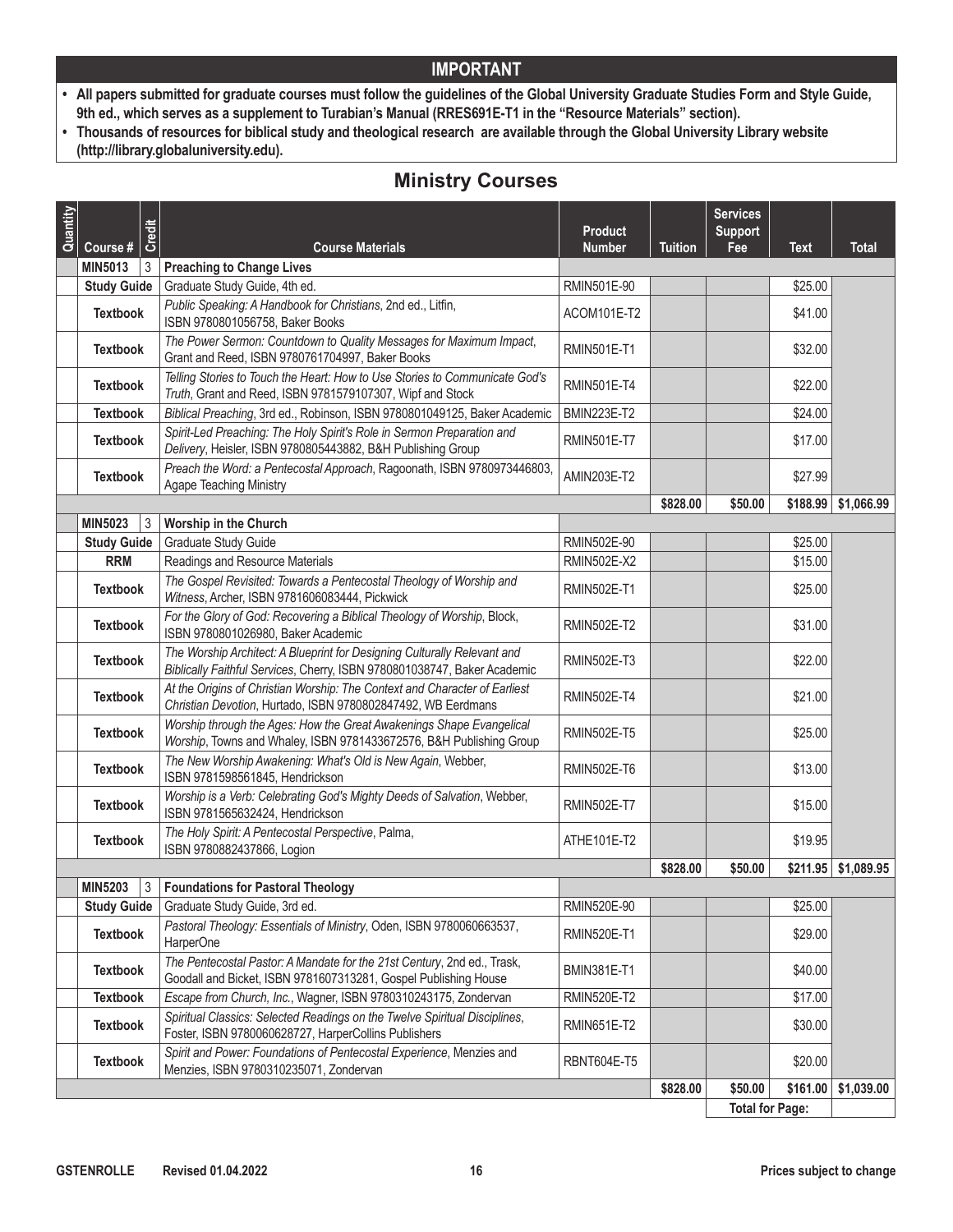- **• All papers submitted for graduate courses must follow the guidelines of the Global University Graduate Studies Form and Style Guide, 9th ed., which serves as a supplement to Turabian's Manual (RRES691E-T1 in the "Resource Materials" section).**
- **• Thousands of resources for biblical study and theological research are available through the Global University Library website (http://library.globaluniversity.edu).**

# **Ministry Courses**

| Quantity | Credit<br>Course #  | <b>Course Materials</b>                                                                                                                              | <b>Product</b><br><b>Number</b> | <b>Tuition</b> | <b>Services</b><br><b>Support</b><br>Fee | <b>Text</b> | <b>Total</b> |
|----------|---------------------|------------------------------------------------------------------------------------------------------------------------------------------------------|---------------------------------|----------------|------------------------------------------|-------------|--------------|
|          | MIN5013<br>3        | <b>Preaching to Change Lives</b>                                                                                                                     |                                 |                |                                          |             |              |
|          | <b>Study Guide</b>  | Graduate Study Guide, 4th ed.                                                                                                                        | RMIN501E-90                     |                |                                          | \$25.00     |              |
|          | <b>Textbook</b>     | Public Speaking: A Handbook for Christians, 2nd ed., Litfin,<br>ISBN 9780801056758, Baker Books                                                      | ACOM101E-T2                     |                |                                          | \$41.00     |              |
|          | <b>Textbook</b>     | The Power Sermon: Countdown to Quality Messages for Maximum Impact,<br>Grant and Reed, ISBN 9780761704997, Baker Books                               | <b>RMIN501E-T1</b>              |                |                                          | \$32.00     |              |
|          | <b>Textbook</b>     | Telling Stories to Touch the Heart: How to Use Stories to Communicate God's<br>Truth, Grant and Reed, ISBN 9781579107307, Wipf and Stock             | <b>RMIN501E-T4</b>              |                |                                          | \$22.00     |              |
|          | <b>Textbook</b>     | Biblical Preaching, 3rd ed., Robinson, ISBN 9780801049125, Baker Academic                                                                            | <b>BMIN223E-T2</b>              |                |                                          | \$24.00     |              |
|          | <b>Textbook</b>     | Spirit-Led Preaching: The Holy Spirit's Role in Sermon Preparation and<br>Delivery, Heisler, ISBN 9780805443882, B&H Publishing Group                | <b>RMIN501E-T7</b>              |                |                                          | \$17.00     |              |
|          | <b>Textbook</b>     | Preach the Word: a Pentecostal Approach, Ragoonath, ISBN 9780973446803,<br>Agape Teaching Ministry                                                   | AMIN203E-T2                     |                |                                          | \$27.99     |              |
|          |                     |                                                                                                                                                      |                                 | \$828.00       | \$50.00                                  | \$188.99    | \$1,066.99   |
|          | MIN5023<br>3        | Worship in the Church                                                                                                                                |                                 |                |                                          |             |              |
|          | <b>Study Guide</b>  | Graduate Study Guide                                                                                                                                 | RMIN502E-90                     |                |                                          | \$25.00     |              |
|          | <b>RRM</b>          | Readings and Resource Materials                                                                                                                      | <b>RMIN502E-X2</b>              |                |                                          | \$15.00     |              |
|          | <b>Textbook</b>     | The Gospel Revisited: Towards a Pentecostal Theology of Worship and<br>Witness, Archer, ISBN 9781606083444, Pickwick                                 | <b>RMIN502E-T1</b>              |                |                                          | \$25.00     |              |
|          | <b>Textbook</b>     | For the Glory of God: Recovering a Biblical Theology of Worship, Block,<br>ISBN 9780801026980, Baker Academic                                        | <b>RMIN502E-T2</b>              |                |                                          | \$31.00     |              |
|          | <b>Textbook</b>     | The Worship Architect: A Blueprint for Designing Culturally Relevant and<br>Biblically Faithful Services, Cherry, ISBN 9780801038747, Baker Academic | <b>RMIN502E-T3</b>              |                |                                          | \$22.00     |              |
|          | <b>Textbook</b>     | At the Origins of Christian Worship: The Context and Character of Earliest<br>Christian Devotion, Hurtado, ISBN 9780802847492, WB Eerdmans           | <b>RMIN502E-T4</b>              |                |                                          | \$21.00     |              |
|          | <b>Textbook</b>     | Worship through the Ages: How the Great Awakenings Shape Evangelical<br>Worship, Towns and Whaley, ISBN 9781433672576, B&H Publishing Group          | <b>RMIN502E-T5</b>              |                |                                          | \$25.00     |              |
|          | <b>Textbook</b>     | The New Worship Awakening: What's Old is New Again, Webber,<br>ISBN 9781598561845, Hendrickson                                                       | <b>RMIN502E-T6</b>              |                |                                          | \$13.00     |              |
|          | <b>Textbook</b>     | Worship is a Verb: Celebrating God's Mighty Deeds of Salvation, Webber,<br>ISBN 9781565632424, Hendrickson                                           | <b>RMIN502E-T7</b>              |                |                                          | \$15.00     |              |
|          | <b>Textbook</b>     | The Holy Spirit: A Pentecostal Perspective, Palma,<br>ISBN 9780882437866, Logion                                                                     | ATHE101E-T2                     |                |                                          | \$19.95     |              |
|          |                     |                                                                                                                                                      |                                 | \$828.00       | \$50.00                                  | \$211.95    | \$1,089.95   |
|          | <b>MIN5203</b><br>3 | <b>Foundations for Pastoral Theology</b>                                                                                                             |                                 |                |                                          |             |              |
|          | <b>Study Guide</b>  | Graduate Study Guide, 3rd ed.                                                                                                                        | RMIN520E-90                     |                |                                          | \$25.00     |              |
|          | <b>Textbook</b>     | Pastoral Theology: Essentials of Ministry, Oden, ISBN 9780060663537,<br>HarperOne                                                                    | <b>RMIN520E-T1</b>              |                |                                          | \$29.00     |              |
|          | <b>Textbook</b>     | The Pentecostal Pastor: A Mandate for the 21st Century, 2nd ed., Trask,<br>Goodall and Bicket, ISBN 9781607313281, Gospel Publishing House           | <b>BMIN381E-T1</b>              |                |                                          | \$40.00     |              |
|          | <b>Textbook</b>     | Escape from Church, Inc., Wagner, ISBN 9780310243175, Zondervan                                                                                      | <b>RMIN520E-T2</b>              |                |                                          | \$17.00     |              |
|          | <b>Textbook</b>     | Spiritual Classics: Selected Readings on the Twelve Spiritual Disciplines,<br>Foster, ISBN 9780060628727, HarperCollins Publishers                   | <b>RMIN651E-T2</b>              |                |                                          | \$30.00     |              |
|          | <b>Textbook</b>     | Spirit and Power: Foundations of Pentecostal Experience, Menzies and<br>Menzies, ISBN 9780310235071, Zondervan                                       | <b>RBNT604E-T5</b>              |                |                                          | \$20.00     |              |
|          |                     |                                                                                                                                                      |                                 | \$828.00       | \$50.00                                  | \$161.00    | \$1,039.00   |
|          |                     |                                                                                                                                                      |                                 |                | <b>Total for Page:</b>                   |             |              |

**Total for Page:**  $\lfloor$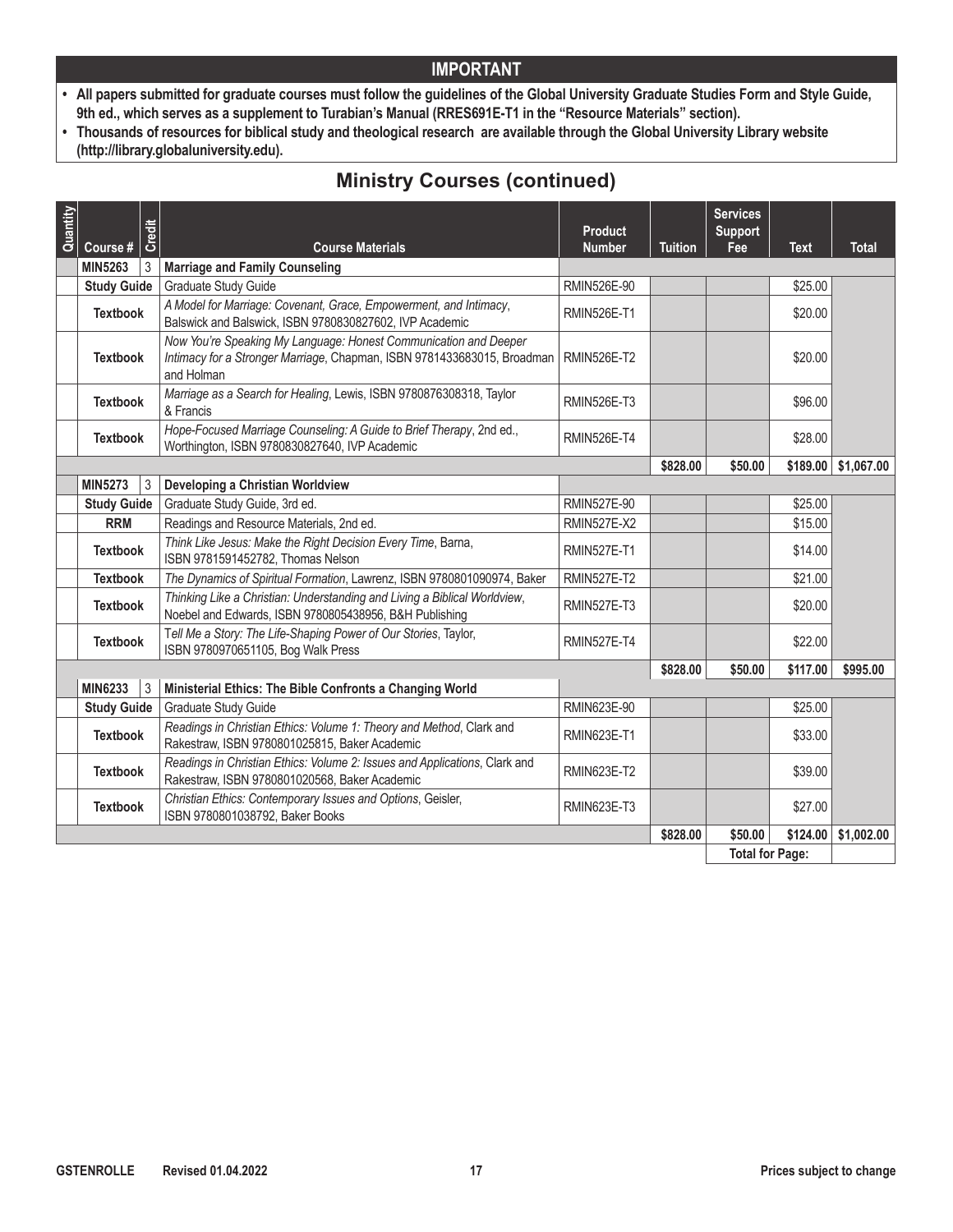- **• All papers submitted for graduate courses must follow the guidelines of the Global University Graduate Studies Form and Style Guide, 9th ed., which serves as a supplement to Turabian's Manual (RRES691E-T1 in the "Resource Materials" section).**
- **• Thousands of resources for biblical study and theological research are available through the Global University Library website (http://library.globaluniversity.edu).**

# **Ministry Courses (continued)**

| Quantity | Course #           | Credit | <b>Course Materials</b>                                                                                                                                   | <b>Product</b><br><b>Number</b> | <b>Tuition</b> | <b>Services</b><br><b>Support</b><br>Fee | <b>Text</b> | <b>Total</b>             |
|----------|--------------------|--------|-----------------------------------------------------------------------------------------------------------------------------------------------------------|---------------------------------|----------------|------------------------------------------|-------------|--------------------------|
|          | <b>MIN5263</b>     | 3      | <b>Marriage and Family Counseling</b>                                                                                                                     |                                 |                |                                          |             |                          |
|          | <b>Study Guide</b> |        | Graduate Study Guide                                                                                                                                      | RMIN526E-90                     |                |                                          | \$25.00     |                          |
|          | <b>Textbook</b>    |        | A Model for Marriage: Covenant, Grace, Empowerment, and Intimacy,<br>Balswick and Balswick, ISBN 9780830827602, IVP Academic                              | <b>RMIN526E-T1</b>              |                |                                          | \$20.00     |                          |
|          | <b>Textbook</b>    |        | Now You're Speaking My Language: Honest Communication and Deeper<br>Intimacy for a Stronger Marriage, Chapman, ISBN 9781433683015, Broadman<br>and Holman | <b>RMIN526E-T2</b>              |                |                                          | \$20.00     |                          |
|          | <b>Textbook</b>    |        | Marriage as a Search for Healing, Lewis, ISBN 9780876308318, Taylor<br>& Francis                                                                          | <b>RMIN526E-T3</b>              |                |                                          | \$96.00     |                          |
|          | <b>Textbook</b>    |        | Hope-Focused Marriage Counseling: A Guide to Brief Therapy, 2nd ed.,<br>Worthington, ISBN 9780830827640, IVP Academic                                     | <b>RMIN526E-T4</b>              |                |                                          | \$28.00     |                          |
|          |                    |        |                                                                                                                                                           |                                 | \$828.00       | \$50.00                                  |             | $$189.00 \mid $1,067.00$ |
|          | <b>MIN5273</b>     | 3      | Developing a Christian Worldview                                                                                                                          |                                 |                |                                          |             |                          |
|          | <b>Study Guide</b> |        | Graduate Study Guide, 3rd ed.                                                                                                                             | <b>RMIN527E-90</b>              |                |                                          | \$25.00     |                          |
|          | <b>RRM</b>         |        | Readings and Resource Materials, 2nd ed.                                                                                                                  | <b>RMIN527E-X2</b>              |                |                                          | \$15.00     |                          |
|          | <b>Textbook</b>    |        | Think Like Jesus: Make the Right Decision Every Time, Barna,<br>ISBN 9781591452782, Thomas Nelson                                                         | <b>RMIN527E-T1</b>              |                |                                          | \$14.00     |                          |
|          | <b>Textbook</b>    |        | The Dynamics of Spiritual Formation, Lawrenz, ISBN 9780801090974, Baker                                                                                   | <b>RMIN527E-T2</b>              |                |                                          | \$21.00     |                          |
|          | <b>Textbook</b>    |        | Thinking Like a Christian: Understanding and Living a Biblical Worldview,<br>Noebel and Edwards, ISBN 9780805438956, B&H Publishing                       | <b>RMIN527E-T3</b>              |                |                                          | \$20.00     |                          |
|          | <b>Textbook</b>    |        | Tell Me a Story: The Life-Shaping Power of Our Stories, Taylor,<br>ISBN 9780970651105, Bog Walk Press                                                     | <b>RMIN527E-T4</b>              |                |                                          | \$22.00     |                          |
|          |                    |        |                                                                                                                                                           |                                 | \$828.00       | \$50.00                                  | \$117.00    | \$995.00                 |
|          | <b>MIN6233</b>     | 3      | Ministerial Ethics: The Bible Confronts a Changing World                                                                                                  |                                 |                |                                          |             |                          |
|          | <b>Study Guide</b> |        | Graduate Study Guide                                                                                                                                      | RMIN623E-90                     |                |                                          | \$25.00     |                          |
|          | <b>Textbook</b>    |        | Readings in Christian Ethics: Volume 1: Theory and Method, Clark and<br>Rakestraw, ISBN 9780801025815, Baker Academic                                     | <b>RMIN623E-T1</b>              |                |                                          | \$33.00     |                          |
|          | <b>Textbook</b>    |        | Readings in Christian Ethics: Volume 2: Issues and Applications, Clark and<br>Rakestraw, ISBN 9780801020568, Baker Academic                               | <b>RMIN623E-T2</b>              |                |                                          | \$39.00     |                          |
|          | <b>Textbook</b>    |        | Christian Ethics: Contemporary Issues and Options, Geisler,<br>ISBN 9780801038792, Baker Books                                                            | <b>RMIN623E-T3</b>              |                |                                          | \$27.00     |                          |
|          |                    |        |                                                                                                                                                           |                                 | \$828.00       | \$50.00                                  | \$124.00    | \$1,002.00               |
|          |                    |        |                                                                                                                                                           |                                 |                | <b>Total for Page:</b>                   |             |                          |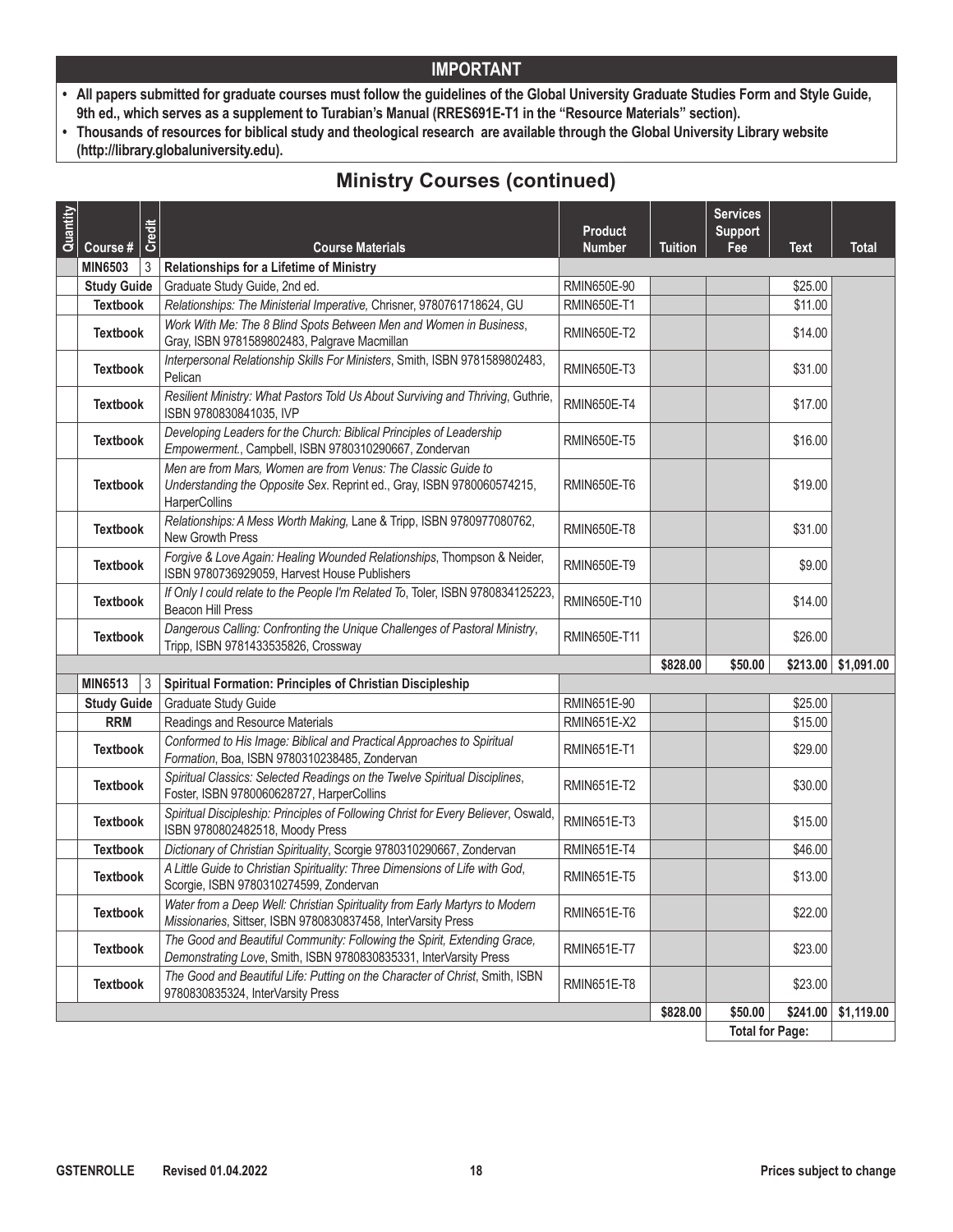- **• All papers submitted for graduate courses must follow the guidelines of the Global University Graduate Studies Form and Style Guide, 9th ed., which serves as a supplement to Turabian's Manual (RRES691E-T1 in the "Resource Materials" section).**
- **• Thousands of resources for biblical study and theological research are available through the Global University Library website (http://library.globaluniversity.edu).**

# **Ministry Courses (continued)**

| Quantity | Credit<br>Course #  | <b>Course Materials</b>                                                                                                                                  | <b>Product</b><br><b>Number</b> | <b>Tuition</b> | <b>Services</b><br><b>Support</b><br>Fee | <b>Text</b> | <b>Total</b>             |
|----------|---------------------|----------------------------------------------------------------------------------------------------------------------------------------------------------|---------------------------------|----------------|------------------------------------------|-------------|--------------------------|
|          | <b>MIN6503</b><br>3 | Relationships for a Lifetime of Ministry                                                                                                                 |                                 |                |                                          |             |                          |
|          | <b>Study Guide</b>  | Graduate Study Guide, 2nd ed.                                                                                                                            | RMIN650E-90                     |                |                                          | \$25.00     |                          |
|          | <b>Textbook</b>     | Relationships: The Ministerial Imperative, Chrisner, 9780761718624, GU                                                                                   | <b>RMIN650E-T1</b>              |                |                                          | \$11.00     |                          |
|          | <b>Textbook</b>     | Work With Me: The 8 Blind Spots Between Men and Women in Business,<br>Gray, ISBN 9781589802483, Palgrave Macmillan                                       | <b>RMIN650E-T2</b>              |                |                                          | \$14.00     |                          |
|          | <b>Textbook</b>     | Interpersonal Relationship Skills For Ministers, Smith, ISBN 9781589802483,<br>Pelican                                                                   | <b>RMIN650E-T3</b>              |                |                                          | \$31.00     |                          |
|          | <b>Textbook</b>     | Resilient Ministry: What Pastors Told Us About Surviving and Thriving, Guthrie,<br>ISBN 9780830841035, IVP                                               | <b>RMIN650E-T4</b>              |                |                                          | \$17.00     |                          |
|          | <b>Textbook</b>     | Developing Leaders for the Church: Biblical Principles of Leadership<br>Empowerment., Campbell, ISBN 9780310290667, Zondervan                            | <b>RMIN650E-T5</b>              |                |                                          | \$16.00     |                          |
|          | <b>Textbook</b>     | Men are from Mars, Women are from Venus: The Classic Guide to<br>Understanding the Opposite Sex. Reprint ed., Gray, ISBN 9780060574215,<br>HarperCollins | RMIN650E-T6                     |                |                                          | \$19.00     |                          |
|          | <b>Textbook</b>     | Relationships: A Mess Worth Making, Lane & Tripp, ISBN 9780977080762,<br>New Growth Press                                                                | RMIN650E-T8                     |                |                                          | \$31.00     |                          |
|          | <b>Textbook</b>     | Forgive & Love Again: Healing Wounded Relationships, Thompson & Neider,<br>ISBN 9780736929059, Harvest House Publishers                                  | <b>RMIN650E-T9</b>              |                |                                          | \$9.00      |                          |
|          | <b>Textbook</b>     | If Only I could relate to the People I'm Related To, Toler, ISBN 9780834125223.<br>Beacon Hill Press                                                     | <b>RMIN650E-T10</b>             |                |                                          | \$14.00     |                          |
|          | <b>Textbook</b>     | Dangerous Calling: Confronting the Unique Challenges of Pastoral Ministry,<br>Tripp, ISBN 9781433535826, Crossway                                        | RMIN650E-T11                    |                |                                          | \$26.00     |                          |
|          |                     |                                                                                                                                                          |                                 | \$828.00       | \$50.00                                  |             | $$213.00 \mid $1,091.00$ |
|          | <b>MIN6513</b><br>3 | Spiritual Formation: Principles of Christian Discipleship                                                                                                |                                 |                |                                          |             |                          |
|          | <b>Study Guide</b>  | Graduate Study Guide                                                                                                                                     | RMIN651E-90                     |                |                                          | \$25.00     |                          |
|          | <b>RRM</b>          | Readings and Resource Materials                                                                                                                          | <b>RMIN651E-X2</b>              |                |                                          | \$15.00     |                          |
|          | <b>Textbook</b>     | Conformed to His Image: Biblical and Practical Approaches to Spiritual<br>Formation, Boa, ISBN 9780310238485, Zondervan                                  | <b>RMIN651E-T1</b>              |                |                                          | \$29.00     |                          |
|          | <b>Textbook</b>     | Spiritual Classics: Selected Readings on the Twelve Spiritual Disciplines,<br>Foster, ISBN 9780060628727, HarperCollins                                  | <b>RMIN651E-T2</b>              |                |                                          | \$30.00     |                          |
|          | <b>Textbook</b>     | Spiritual Discipleship: Principles of Following Christ for Every Believer, Oswald,<br>ISBN 9780802482518, Moody Press                                    | <b>RMIN651E-T3</b>              |                |                                          | \$15.00     |                          |
|          | <b>Textbook</b>     | Dictionary of Christian Spirituality, Scorgie 9780310290667, Zondervan                                                                                   | <b>RMIN651E-T4</b>              |                |                                          | \$46.00     |                          |
|          | <b>Textbook</b>     | A Little Guide to Christian Spirituality: Three Dimensions of Life with God,<br>Scorgie, ISBN 9780310274599, Zondervan                                   | <b>RMIN651E-T5</b>              |                |                                          | \$13.00     |                          |
|          |                     | Water from a Deep Well: Christian Spirituality from Early Martyrs to Modern                                                                              | RMIN651E-T6                     |                |                                          | \$22.00     |                          |
|          | <b>Textbook</b>     | Missionaries, Sittser, ISBN 9780830837458, InterVarsity Press                                                                                            |                                 |                |                                          |             |                          |
|          | <b>Textbook</b>     | The Good and Beautiful Community: Following the Spirit, Extending Grace,<br>Demonstrating Love, Smith, ISBN 9780830835331, InterVarsity Press            | <b>RMIN651E-T7</b>              |                |                                          | \$23.00     |                          |
|          | <b>Textbook</b>     | The Good and Beautiful Life: Putting on the Character of Christ, Smith, ISBN<br>9780830835324, InterVarsity Press                                        | <b>RMIN651E-T8</b>              |                |                                          | \$23.00     |                          |
|          |                     |                                                                                                                                                          |                                 | \$828.00       | \$50.00                                  | \$241.00    | \$1,119.00               |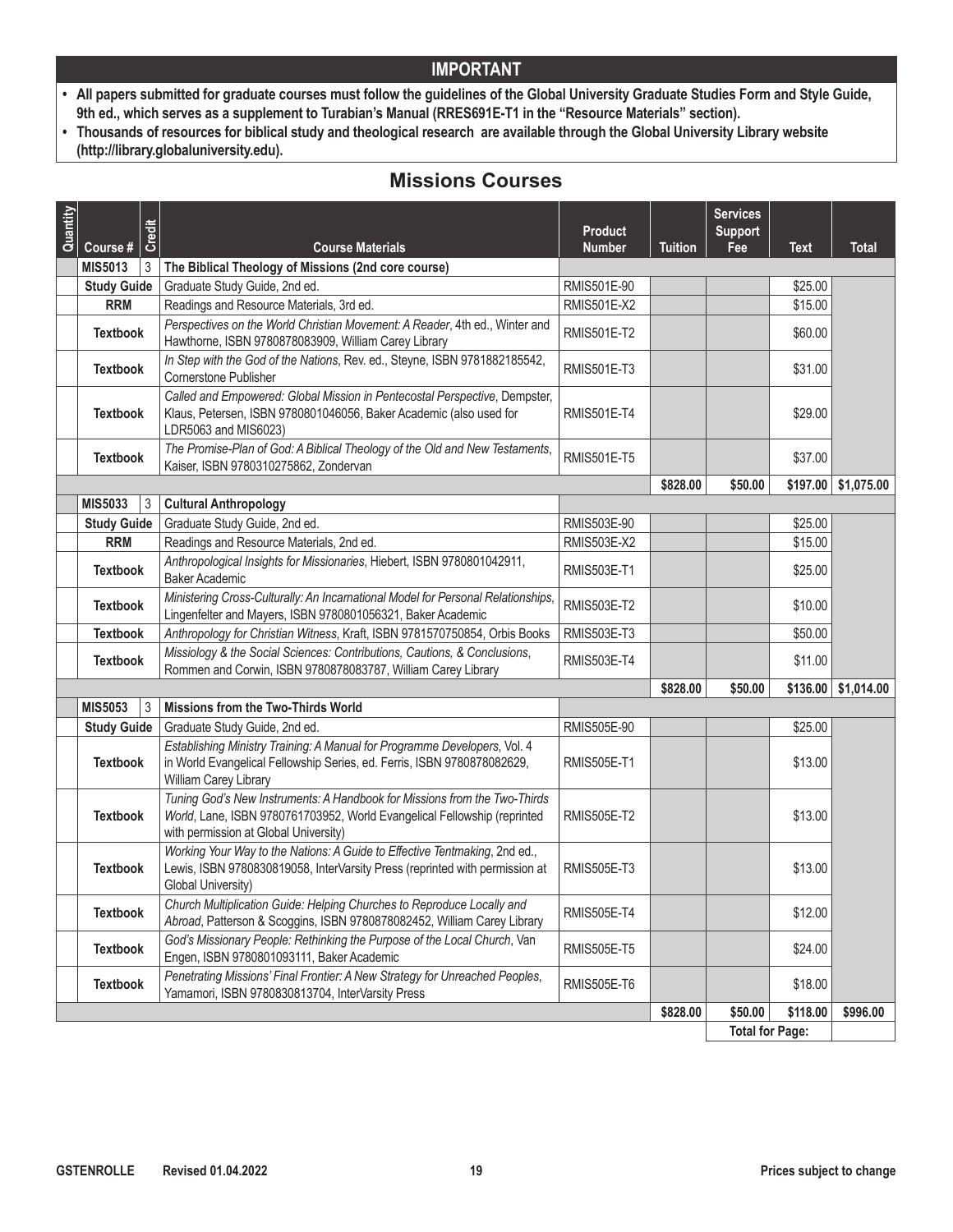- **• All papers submitted for graduate courses must follow the guidelines of the Global University Graduate Studies Form and Style Guide, 9th ed., which serves as a supplement to Turabian's Manual (RRES691E-T1 in the "Resource Materials" section).**
- **• Thousands of resources for biblical study and theological research are available through the Global University Library website (http://library.globaluniversity.edu).**

# **Missions Courses**

| Quantity | Credit<br>Course #               | <b>Course Materials</b>                                                                                                                                                                        | <b>Product</b><br><b>Number</b> | <b>Tuition</b> | <b>Services</b><br><b>Support</b><br>Fee | <b>Text</b> | <b>Total</b> |
|----------|----------------------------------|------------------------------------------------------------------------------------------------------------------------------------------------------------------------------------------------|---------------------------------|----------------|------------------------------------------|-------------|--------------|
|          | <b>MIS5013</b><br>3              | The Biblical Theology of Missions (2nd core course)                                                                                                                                            |                                 |                |                                          |             |              |
|          | <b>Study Guide</b>               | Graduate Study Guide, 2nd ed.                                                                                                                                                                  | RMIS501E-90                     |                |                                          | \$25.00     |              |
|          | <b>RRM</b>                       | Readings and Resource Materials, 3rd ed.                                                                                                                                                       | <b>RMIS501E-X2</b>              |                |                                          | \$15.00     |              |
|          | <b>Textbook</b>                  | Perspectives on the World Christian Movement: A Reader, 4th ed., Winter and<br>Hawthorne, ISBN 9780878083909, William Carey Library                                                            | <b>RMIS501E-T2</b>              |                |                                          | \$60.00     |              |
|          | <b>Textbook</b>                  | In Step with the God of the Nations, Rev. ed., Steyne, ISBN 9781882185542,<br>Cornerstone Publisher                                                                                            | <b>RMIS501E-T3</b>              |                |                                          | \$31.00     |              |
|          | <b>Textbook</b>                  | Called and Empowered: Global Mission in Pentecostal Perspective, Dempster,<br>Klaus, Petersen, ISBN 9780801046056, Baker Academic (also used for<br>LDR5063 and MIS6023)                       | <b>RMIS501E-T4</b>              |                |                                          | \$29.00     |              |
|          | <b>Textbook</b>                  | The Promise-Plan of God: A Biblical Theology of the Old and New Testaments,<br>Kaiser, ISBN 9780310275862, Zondervan                                                                           | <b>RMIS501E-T5</b>              |                |                                          | \$37.00     |              |
|          |                                  |                                                                                                                                                                                                |                                 | \$828.00       | \$50.00                                  | \$197.00    | \$1,075.00   |
|          | <b>MIS5033</b><br>$\mathfrak{Z}$ | <b>Cultural Anthropology</b>                                                                                                                                                                   |                                 |                |                                          |             |              |
|          | <b>Study Guide</b>               | Graduate Study Guide, 2nd ed.                                                                                                                                                                  | RMIS503E-90                     |                |                                          | \$25.00     |              |
|          | <b>RRM</b>                       | Readings and Resource Materials, 2nd ed.                                                                                                                                                       | <b>RMIS503E-X2</b>              |                |                                          | \$15.00     |              |
|          | <b>Textbook</b>                  | Anthropological Insights for Missionaries, Hiebert, ISBN 9780801042911,<br><b>Baker Academic</b>                                                                                               | <b>RMIS503E-T1</b>              |                |                                          | \$25.00     |              |
|          | <b>Textbook</b>                  | Ministering Cross-Culturally: An Incarnational Model for Personal Relationships,<br>Lingenfelter and Mayers, ISBN 9780801056321, Baker Academic                                                | <b>RMIS503E-T2</b>              |                |                                          | \$10.00     |              |
|          | <b>Textbook</b>                  | Anthropology for Christian Witness, Kraft, ISBN 9781570750854, Orbis Books                                                                                                                     | <b>RMIS503E-T3</b>              |                |                                          | \$50.00     |              |
|          | <b>Textbook</b>                  | Missiology & the Social Sciences: Contributions, Cautions, & Conclusions,<br>Rommen and Corwin, ISBN 9780878083787, William Carey Library                                                      | <b>RMIS503E-T4</b>              |                |                                          | \$11.00     |              |
|          |                                  |                                                                                                                                                                                                |                                 | \$828.00       | \$50.00                                  | \$136.00    | \$1,014.00   |
|          | <b>MIS5053</b><br>3              | Missions from the Two-Thirds World                                                                                                                                                             |                                 |                |                                          |             |              |
|          | <b>Study Guide</b>               | Graduate Study Guide, 2nd ed.                                                                                                                                                                  | RMIS505E-90                     |                |                                          | \$25.00     |              |
|          | <b>Textbook</b>                  | Establishing Ministry Training: A Manual for Programme Developers, Vol. 4<br>in World Evangelical Fellowship Series, ed. Ferris, ISBN 9780878082629,<br>William Carey Library                  | <b>RMIS505E-T1</b>              |                |                                          | \$13.00     |              |
|          | <b>Textbook</b>                  | Tuning God's New Instruments: A Handbook for Missions from the Two-Thirds<br>World, Lane, ISBN 9780761703952, World Evangelical Fellowship (reprinted<br>with permission at Global University) | <b>RMIS505E-T2</b>              |                |                                          | \$13.00     |              |
|          | <b>Textbook</b>                  | Working Your Way to the Nations: A Guide to Effective Tentmaking, 2nd ed.,<br>Lewis, ISBN 9780830819058, InterVarsity Press (reprinted with permission at<br>Global University)                | <b>RMIS505E-T3</b>              |                |                                          | \$13.00     |              |
|          | <b>Textbook</b>                  | Church Multiplication Guide: Helping Churches to Reproduce Locally and<br>Abroad, Patterson & Scoggins, ISBN 9780878082452, William Carey Library                                              | <b>RMIS505E-T4</b>              |                |                                          | \$12.00     |              |
|          | <b>Textbook</b>                  | God's Missionary People: Rethinking the Purpose of the Local Church, Van<br>Engen, ISBN 9780801093111, Baker Academic                                                                          | <b>RMIS505E-T5</b>              |                |                                          | \$24.00     |              |
|          | <b>Textbook</b>                  | Penetrating Missions' Final Frontier: A New Strategy for Unreached Peoples,<br>Yamamori, ISBN 9780830813704, InterVarsity Press                                                                | <b>RMIS505E-T6</b>              |                |                                          | \$18.00     |              |
|          |                                  |                                                                                                                                                                                                |                                 | \$828.00       | \$50.00                                  | \$118.00    | \$996.00     |
|          |                                  |                                                                                                                                                                                                |                                 |                | <b>Total for Page:</b>                   |             |              |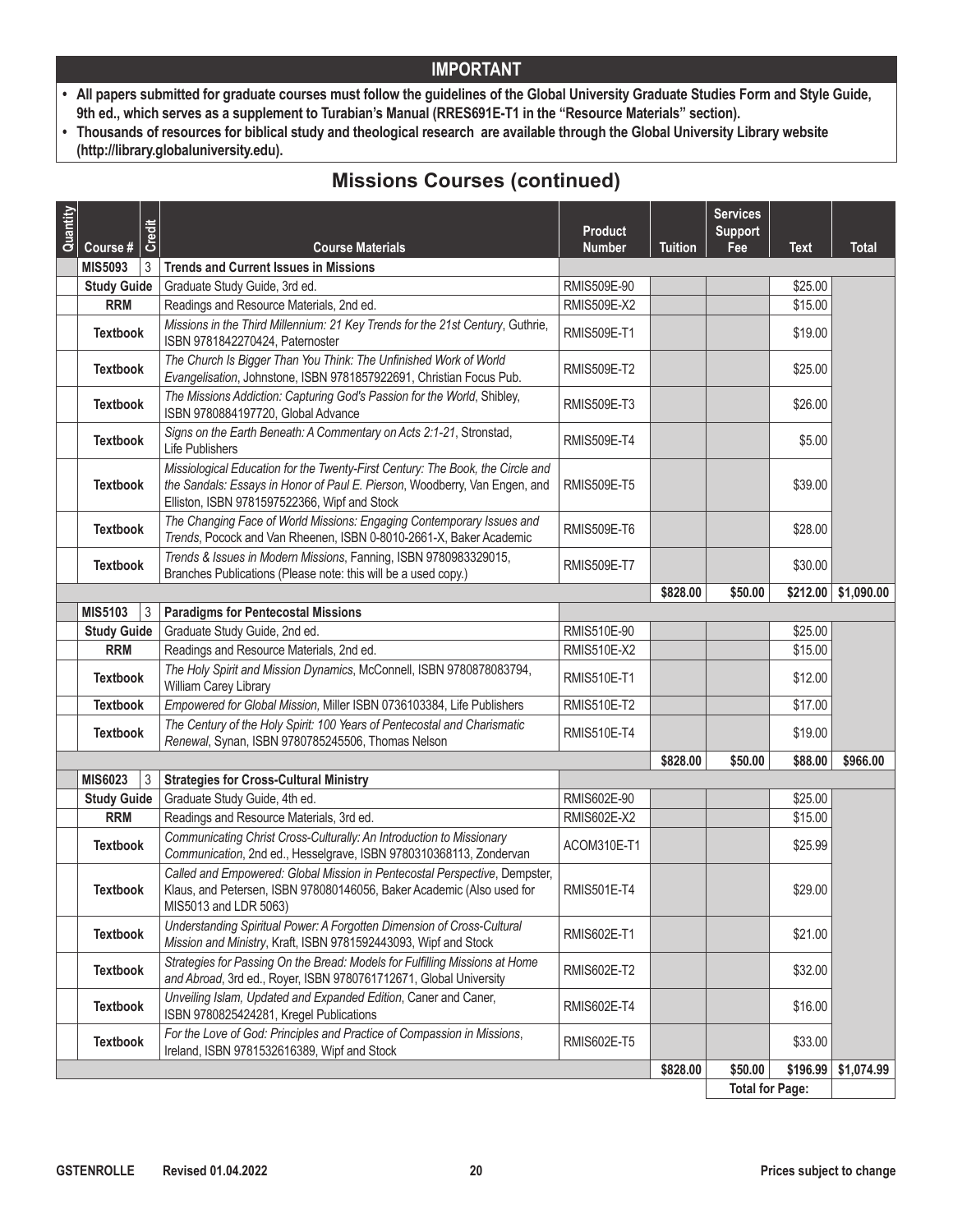- **• All papers submitted for graduate courses must follow the guidelines of the Global University Graduate Studies Form and Style Guide, 9th ed., which serves as a supplement to Turabian's Manual (RRES691E-T1 in the "Resource Materials" section).**
- **• Thousands of resources for biblical study and theological research are available through the Global University Library website (http://library.globaluniversity.edu).**

# **Missions Courses (continued)**

| Quantity | Course #            | Credit<br><b>Course Materials</b>                                                                                                                                                                            | <b>Product</b><br><b>Number</b> | <b>Tuition</b> | <b>Services</b><br><b>Support</b><br>Fee | <b>Text</b> | <b>Total</b> |
|----------|---------------------|--------------------------------------------------------------------------------------------------------------------------------------------------------------------------------------------------------------|---------------------------------|----------------|------------------------------------------|-------------|--------------|
|          | <b>MIS5093</b><br>3 | <b>Trends and Current Issues in Missions</b>                                                                                                                                                                 |                                 |                |                                          |             |              |
|          | <b>Study Guide</b>  | Graduate Study Guide, 3rd ed.                                                                                                                                                                                | RMIS509E-90                     |                |                                          | \$25.00     |              |
|          | <b>RRM</b>          | Readings and Resource Materials, 2nd ed.                                                                                                                                                                     | <b>RMIS509E-X2</b>              |                |                                          | \$15.00     |              |
|          | <b>Textbook</b>     | Missions in the Third Millennium: 21 Key Trends for the 21st Century, Guthrie,<br>ISBN 9781842270424, Paternoster                                                                                            | <b>RMIS509E-T1</b>              |                |                                          | \$19.00     |              |
|          | <b>Textbook</b>     | The Church Is Bigger Than You Think: The Unfinished Work of World<br>Evangelisation, Johnstone, ISBN 9781857922691, Christian Focus Pub.                                                                     | <b>RMIS509E-T2</b>              |                |                                          | \$25.00     |              |
|          | <b>Textbook</b>     | The Missions Addiction: Capturing God's Passion for the World, Shibley,<br>ISBN 9780884197720, Global Advance                                                                                                | <b>RMIS509E-T3</b>              |                |                                          | \$26.00     |              |
|          | <b>Textbook</b>     | Signs on the Earth Beneath: A Commentary on Acts 2:1-21, Stronstad,<br>Life Publishers                                                                                                                       | <b>RMIS509E-T4</b>              |                |                                          | \$5.00      |              |
|          | <b>Textbook</b>     | Missiological Education for the Twenty-First Century: The Book, the Circle and<br>the Sandals: Essays in Honor of Paul E. Pierson, Woodberry, Van Engen, and<br>Elliston, ISBN 9781597522366, Wipf and Stock | <b>RMIS509E-T5</b>              |                |                                          | \$39.00     |              |
|          | <b>Textbook</b>     | The Changing Face of World Missions: Engaging Contemporary Issues and<br>Trends, Pocock and Van Rheenen, ISBN 0-8010-2661-X, Baker Academic                                                                  | <b>RMIS509E-T6</b>              |                |                                          | \$28.00     |              |
|          | <b>Textbook</b>     | Trends & Issues in Modern Missions, Fanning, ISBN 9780983329015,<br>Branches Publications (Please note: this will be a used copy.)                                                                           | <b>RMIS509E-T7</b>              |                |                                          | \$30.00     |              |
|          |                     |                                                                                                                                                                                                              |                                 | \$828.00       | \$50.00                                  | \$212.00    | \$1,090.00   |
|          | <b>MIS5103</b><br>3 | <b>Paradigms for Pentecostal Missions</b>                                                                                                                                                                    |                                 |                |                                          |             |              |
|          | <b>Study Guide</b>  | Graduate Study Guide, 2nd ed.                                                                                                                                                                                | RMIS510E-90                     |                |                                          | \$25.00     |              |
|          | <b>RRM</b>          | Readings and Resource Materials, 2nd ed.                                                                                                                                                                     | <b>RMIS510E-X2</b>              |                |                                          | \$15.00     |              |
|          | <b>Textbook</b>     | The Holy Spirit and Mission Dynamics, McConnell, ISBN 9780878083794,<br>William Carey Library                                                                                                                | RMIS510E-T1                     |                |                                          | \$12.00     |              |
|          | <b>Textbook</b>     | Empowered for Global Mission, Miller ISBN 0736103384, Life Publishers                                                                                                                                        | <b>RMIS510E-T2</b>              |                |                                          | \$17.00     |              |
|          | <b>Textbook</b>     | The Century of the Holy Spirit: 100 Years of Pentecostal and Charismatic<br>Renewal, Synan, ISBN 9780785245506, Thomas Nelson                                                                                | <b>RMIS510E-T4</b>              |                |                                          | \$19.00     |              |
|          |                     |                                                                                                                                                                                                              |                                 | \$828.00       | \$50.00                                  | \$88.00     | \$966.00     |
|          | <b>MIS6023</b><br>3 | <b>Strategies for Cross-Cultural Ministry</b>                                                                                                                                                                |                                 |                |                                          |             |              |
|          | <b>Study Guide</b>  | Graduate Study Guide, 4th ed.                                                                                                                                                                                | RMIS602E-90                     |                |                                          | \$25.00     |              |
|          | <b>RRM</b>          | Readings and Resource Materials, 3rd ed.                                                                                                                                                                     | <b>RMIS602E-X2</b>              |                |                                          | \$15.00     |              |
|          | <b>Textbook</b>     | Communicating Christ Cross-Culturally: An Introduction to Missionary<br>Communication, 2nd ed., Hesselgrave, ISBN 9780310368113, Zondervan                                                                   | ACOM310E-T1                     |                |                                          | \$25.99     |              |
|          | <b>Textbook</b>     | Called and Empowered: Global Mission in Pentecostal Perspective, Dempster,<br>Klaus, and Petersen, ISBN 978080146056, Baker Academic (Also used for<br>MIS5013 and LDR 5063)                                 | <b>RMIS501E-T4</b>              |                |                                          | \$29.00     |              |
|          | <b>Textbook</b>     | Understanding Spiritual Power: A Forgotten Dimension of Cross-Cultural<br>Mission and Ministry, Kraft, ISBN 9781592443093, Wipf and Stock                                                                    | <b>RMIS602E-T1</b>              |                |                                          | \$21.00     |              |
|          | <b>Textbook</b>     | Strategies for Passing On the Bread: Models for Fulfilling Missions at Home<br>and Abroad, 3rd ed., Royer, ISBN 9780761712671, Global University                                                             | <b>RMIS602E-T2</b>              |                |                                          | \$32.00     |              |
|          | <b>Textbook</b>     | Unveiling Islam, Updated and Expanded Edition, Caner and Caner,<br>ISBN 9780825424281, Kregel Publications                                                                                                   | <b>RMIS602E-T4</b>              |                |                                          | \$16.00     |              |
|          | <b>Textbook</b>     | For the Love of God: Principles and Practice of Compassion in Missions,<br>Ireland, ISBN 9781532616389, Wipf and Stock                                                                                       | <b>RMIS602E-T5</b>              |                |                                          | \$33.00     |              |
|          |                     |                                                                                                                                                                                                              |                                 | \$828.00       | \$50.00                                  | \$196.99    | \$1,074.99   |
|          |                     |                                                                                                                                                                                                              |                                 |                | <b>Total for Page:</b>                   |             |              |

**Total for Page:**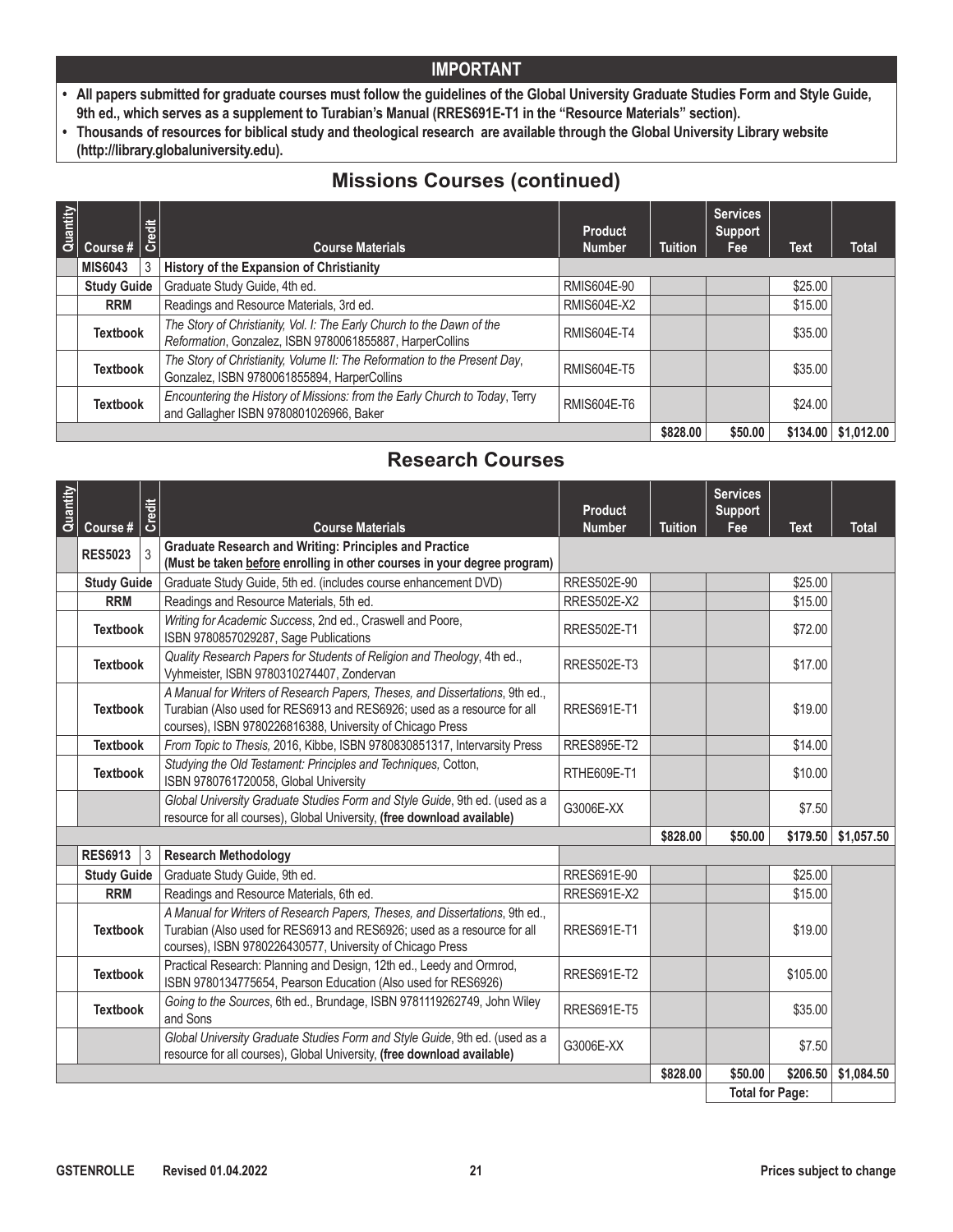- **• All papers submitted for graduate courses must follow the guidelines of the Global University Graduate Studies Form and Style Guide, 9th ed., which serves as a supplement to Turabian's Manual (RRES691E-T1 in the "Resource Materials" section).**
- **• Thousands of resources for biblical study and theological research are available through the Global University Library website (http://library.globaluniversity.edu).**

# **Missions Courses (continued)**

| Quantity | ' 등<br>Course #   ပိ |   | <b>Course Materials</b>                                                                                                            | <b>Product</b><br><b>Number</b> | <b>Tuition</b> | <b>Services</b><br><b>Support</b><br>Fee | <b>Text</b> | <b>Total</b>                |
|----------|----------------------|---|------------------------------------------------------------------------------------------------------------------------------------|---------------------------------|----------------|------------------------------------------|-------------|-----------------------------|
|          | <b>MIS6043</b>       | 3 | History of the Expansion of Christianity                                                                                           |                                 |                |                                          |             |                             |
|          | <b>Study Guide</b>   |   | Graduate Study Guide, 4th ed.                                                                                                      | RMIS604E-90                     |                |                                          | \$25.00     |                             |
|          | <b>RRM</b>           |   | Readings and Resource Materials, 3rd ed.                                                                                           | <b>RMIS604E-X2</b>              |                |                                          | \$15.00     |                             |
|          | <b>Textbook</b>      |   | The Story of Christianity, Vol. I: The Early Church to the Dawn of the<br>Reformation, Gonzalez, ISBN 9780061855887, HarperCollins | <b>RMIS604E-T4</b>              |                |                                          | \$35.00     |                             |
|          | <b>Textbook</b>      |   | The Story of Christianity, Volume II: The Reformation to the Present Day,<br>Gonzalez, ISBN 9780061855894, HarperCollins           | <b>RMIS604E-T5</b>              |                |                                          | \$35.00     |                             |
|          | <b>Textbook</b>      |   | Encountering the History of Missions: from the Early Church to Today, Terry<br>and Gallagher ISBN 9780801026966, Baker             | <b>RMIS604E-T6</b>              |                |                                          | \$24.00     |                             |
|          |                      |   |                                                                                                                                    |                                 | \$828,00       | \$50.00                                  |             | $$134.00 \;   \; $1,012.00$ |

## **Research Courses**

| Course #       | Credit | <b>Course Materials</b>                                                                                                                                                                                              | <b>Product</b><br><b>Number</b> | <b>Tuition</b> | <b>Services</b><br><b>Support</b><br>Fee | <b>Text</b> | <b>Total</b>          |
|----------------|--------|----------------------------------------------------------------------------------------------------------------------------------------------------------------------------------------------------------------------|---------------------------------|----------------|------------------------------------------|-------------|-----------------------|
| <b>RES5023</b> | 3      | <b>Graduate Research and Writing: Principles and Practice</b><br>(Must be taken before enrolling in other courses in your degree program)                                                                            |                                 |                |                                          |             |                       |
|                |        | Graduate Study Guide, 5th ed. (includes course enhancement DVD)                                                                                                                                                      | RRES502E-90                     |                |                                          | \$25.00     |                       |
| <b>RRM</b>     |        | Readings and Resource Materials, 5th ed.                                                                                                                                                                             | <b>RRES502E-X2</b>              |                |                                          | \$15.00     |                       |
|                |        | Writing for Academic Success, 2nd ed., Craswell and Poore,<br>ISBN 9780857029287, Sage Publications                                                                                                                  | <b>RRES502E-T1</b>              |                |                                          | \$72.00     |                       |
|                |        | Quality Research Papers for Students of Religion and Theology, 4th ed.,<br>Vyhmeister, ISBN 9780310274407, Zondervan                                                                                                 | <b>RRES502E-T3</b>              |                |                                          | \$17.00     |                       |
|                |        | A Manual for Writers of Research Papers, Theses, and Dissertations, 9th ed.,<br>Turabian (Also used for RES6913 and RES6926; used as a resource for all<br>courses), ISBN 9780226816388, University of Chicago Press | <b>RRES691E-T1</b>              |                |                                          | \$19.00     |                       |
|                |        | From Topic to Thesis, 2016, Kibbe, ISBN 9780830851317, Intervarsity Press                                                                                                                                            | <b>RRES895E-T2</b>              |                |                                          | \$14.00     |                       |
|                |        | Studying the Old Testament: Principles and Techniques, Cotton,<br>ISBN 9780761720058, Global University                                                                                                              | RTHE609E-T1                     |                |                                          | \$10.00     |                       |
|                |        | Global University Graduate Studies Form and Style Guide, 9th ed. (used as a<br>resource for all courses), Global University, (free download available)                                                               | G3006E-XX                       |                |                                          | \$7.50      |                       |
|                |        |                                                                                                                                                                                                                      |                                 | \$828.00       | \$50.00                                  |             | $$179.50$ $$1,057.50$ |
| <b>RES6913</b> | 3      | <b>Research Methodology</b>                                                                                                                                                                                          |                                 |                |                                          |             |                       |
|                |        | Graduate Study Guide, 9th ed.                                                                                                                                                                                        | RRES691E-90                     |                |                                          | \$25.00     |                       |
| <b>RRM</b>     |        | Readings and Resource Materials, 6th ed.                                                                                                                                                                             | <b>RRES691E-X2</b>              |                |                                          | \$15.00     |                       |
|                |        | A Manual for Writers of Research Papers, Theses, and Dissertations, 9th ed.,<br>Turabian (Also used for RES6913 and RES6926; used as a resource for all<br>courses), ISBN 9780226430577, University of Chicago Press | <b>RRES691E-T1</b>              |                |                                          | \$19.00     |                       |
|                |        | Practical Research: Planning and Design, 12th ed., Leedy and Ormrod,<br>ISBN 9780134775654, Pearson Education (Also used for RES6926)                                                                                | <b>RRES691E-T2</b>              |                |                                          | \$105.00    |                       |
|                |        | Going to the Sources, 6th ed., Brundage, ISBN 9781119262749, John Wiley<br>and Sons                                                                                                                                  | <b>RRES691E-T5</b>              |                |                                          | \$35.00     |                       |
|                |        | Global University Graduate Studies Form and Style Guide, 9th ed. (used as a<br>resource for all courses), Global University, (free download available)                                                               | G3006E-XX                       |                |                                          | \$7.50      |                       |
|                |        |                                                                                                                                                                                                                      |                                 | \$828.00       | \$50.00                                  |             | \$1,084.50            |
| Quantity       |        | <b>Study Guide</b><br><b>Textbook</b><br><b>Textbook</b><br><b>Textbook</b><br><b>Textbook</b><br><b>Textbook</b><br><b>Study Guide</b><br><b>Textbook</b><br><b>Textbook</b><br><b>Textbook</b>                     |                                 |                |                                          | -           | \$206.50              |

**Total for Page:**  $\Box$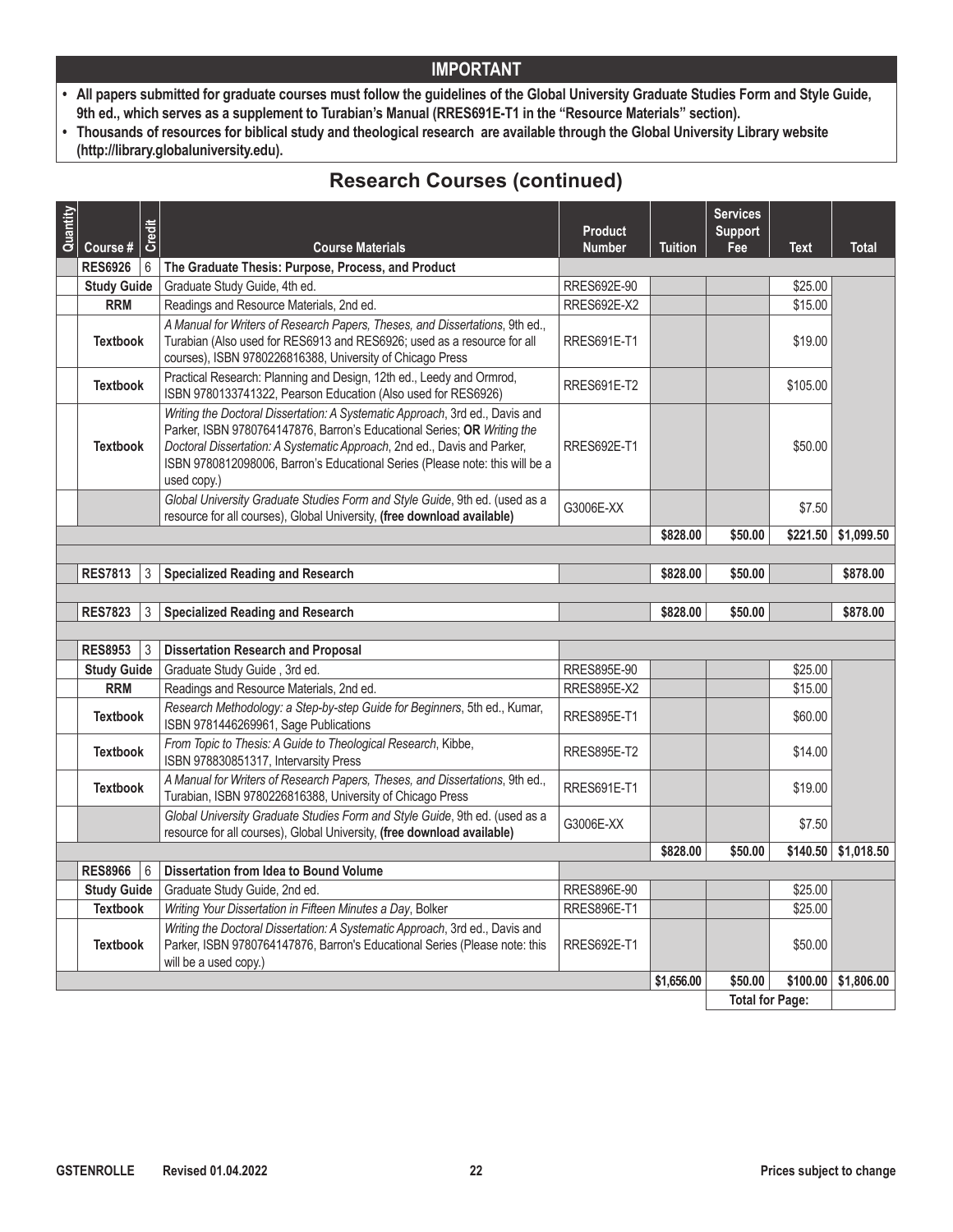- **• All papers submitted for graduate courses must follow the guidelines of the Global University Graduate Studies Form and Style Guide, 9th ed., which serves as a supplement to Turabian's Manual (RRES691E-T1 in the "Resource Materials" section).**
- **• Thousands of resources for biblical study and theological research are available through the Global University Library website (http://library.globaluniversity.edu).**

# **Research Courses (continued)**

| Quantity | Course #           | Credit | <b>Course Materials</b>                                                                                                                                                                                                                                                                                                            | <b>Product</b><br><b>Number</b> | <b>Tuition</b> | <b>Services</b><br><b>Support</b><br>Fee | Text     | <b>Total</b> |
|----------|--------------------|--------|------------------------------------------------------------------------------------------------------------------------------------------------------------------------------------------------------------------------------------------------------------------------------------------------------------------------------------|---------------------------------|----------------|------------------------------------------|----------|--------------|
|          | <b>RES6926</b>     | 6      | The Graduate Thesis: Purpose, Process, and Product                                                                                                                                                                                                                                                                                 |                                 |                |                                          |          |              |
|          | <b>Study Guide</b> |        | Graduate Study Guide, 4th ed.                                                                                                                                                                                                                                                                                                      | RRES692E-90                     |                |                                          | \$25.00  |              |
|          | <b>RRM</b>         |        | Readings and Resource Materials, 2nd ed.                                                                                                                                                                                                                                                                                           | <b>RRES692E-X2</b>              |                |                                          | \$15.00  |              |
|          | <b>Textbook</b>    |        | A Manual for Writers of Research Papers, Theses, and Dissertations, 9th ed.,<br>Turabian (Also used for RES6913 and RES6926; used as a resource for all<br>courses), ISBN 9780226816388, University of Chicago Press                                                                                                               | <b>RRES691E-T1</b>              |                |                                          | \$19.00  |              |
|          | <b>Textbook</b>    |        | Practical Research: Planning and Design, 12th ed., Leedy and Ormrod,<br>ISBN 9780133741322, Pearson Education (Also used for RES6926)                                                                                                                                                                                              | <b>RRES691E-T2</b>              |                |                                          | \$105.00 |              |
|          | <b>Textbook</b>    |        | Writing the Doctoral Dissertation: A Systematic Approach, 3rd ed., Davis and<br>Parker, ISBN 9780764147876, Barron's Educational Series; OR Writing the<br>Doctoral Dissertation: A Systematic Approach, 2nd ed., Davis and Parker,<br>ISBN 9780812098006, Barron's Educational Series (Please note: this will be a<br>used copy.) | <b>RRES692E-T1</b>              |                |                                          | \$50.00  |              |
|          |                    |        | Global University Graduate Studies Form and Style Guide, 9th ed. (used as a<br>resource for all courses), Global University, (free download available)                                                                                                                                                                             | G3006E-XX                       |                |                                          | \$7.50   |              |
|          |                    |        |                                                                                                                                                                                                                                                                                                                                    |                                 | \$828.00       | \$50.00                                  | \$221.50 | \$1,099.50   |
|          |                    |        |                                                                                                                                                                                                                                                                                                                                    |                                 |                |                                          |          |              |
|          | <b>RES7813</b>     | 3      | <b>Specialized Reading and Research</b>                                                                                                                                                                                                                                                                                            |                                 | \$828.00       | \$50.00                                  |          | \$878.00     |
|          |                    |        |                                                                                                                                                                                                                                                                                                                                    |                                 |                |                                          |          |              |
|          | <b>RES7823</b>     | 3      | <b>Specialized Reading and Research</b>                                                                                                                                                                                                                                                                                            |                                 | \$828.00       | \$50.00                                  |          | \$878.00     |
|          |                    |        |                                                                                                                                                                                                                                                                                                                                    |                                 |                |                                          |          |              |
|          | <b>RES8953</b>     | 3      | <b>Dissertation Research and Proposal</b>                                                                                                                                                                                                                                                                                          |                                 |                |                                          |          |              |
|          | <b>Study Guide</b> |        | Graduate Study Guide, 3rd ed.                                                                                                                                                                                                                                                                                                      | RRES895E-90                     |                |                                          | \$25.00  |              |
|          | <b>RRM</b>         |        | Readings and Resource Materials, 2nd ed.                                                                                                                                                                                                                                                                                           | <b>RRES895E-X2</b>              |                |                                          | \$15.00  |              |
|          | <b>Textbook</b>    |        | Research Methodology: a Step-by-step Guide for Beginners, 5th ed., Kumar,<br>ISBN 9781446269961, Sage Publications                                                                                                                                                                                                                 | <b>RRES895E-T1</b>              |                |                                          | \$60.00  |              |
|          | <b>Textbook</b>    |        | From Topic to Thesis: A Guide to Theological Research, Kibbe,<br>ISBN 978830851317, Intervarsity Press                                                                                                                                                                                                                             | <b>RRES895E-T2</b>              |                |                                          | \$14.00  |              |
|          | <b>Textbook</b>    |        | A Manual for Writers of Research Papers, Theses, and Dissertations, 9th ed.,<br>Turabian, ISBN 9780226816388, University of Chicago Press                                                                                                                                                                                          | <b>RRES691E-T1</b>              |                |                                          | \$19.00  |              |
|          |                    |        | Global University Graduate Studies Form and Style Guide, 9th ed. (used as a<br>resource for all courses), Global University, (free download available)                                                                                                                                                                             | G3006E-XX                       |                |                                          | \$7.50   |              |
|          |                    |        |                                                                                                                                                                                                                                                                                                                                    |                                 | \$828.00       | \$50.00                                  | \$140.50 | \$1,018.50   |
|          | <b>RES8966</b>     | 6      | Dissertation from Idea to Bound Volume                                                                                                                                                                                                                                                                                             |                                 |                |                                          |          |              |
|          | <b>Study Guide</b> |        | Graduate Study Guide, 2nd ed.                                                                                                                                                                                                                                                                                                      | RRES896E-90                     |                |                                          | \$25.00  |              |
|          | <b>Textbook</b>    |        | Writing Your Dissertation in Fifteen Minutes a Day, Bolker                                                                                                                                                                                                                                                                         | <b>RRES896E-T1</b>              |                |                                          | \$25.00  |              |
|          | <b>Textbook</b>    |        | Writing the Doctoral Dissertation: A Systematic Approach, 3rd ed., Davis and<br>Parker, ISBN 9780764147876, Barron's Educational Series (Please note: this<br>will be a used copy.)                                                                                                                                                | <b>RRES692E-T1</b>              |                |                                          | \$50.00  |              |
|          |                    |        |                                                                                                                                                                                                                                                                                                                                    |                                 | \$1,656.00     | \$50.00                                  | \$100.00 | \$1,806.00   |
|          |                    |        |                                                                                                                                                                                                                                                                                                                                    |                                 |                | <b>Total for Page:</b>                   |          |              |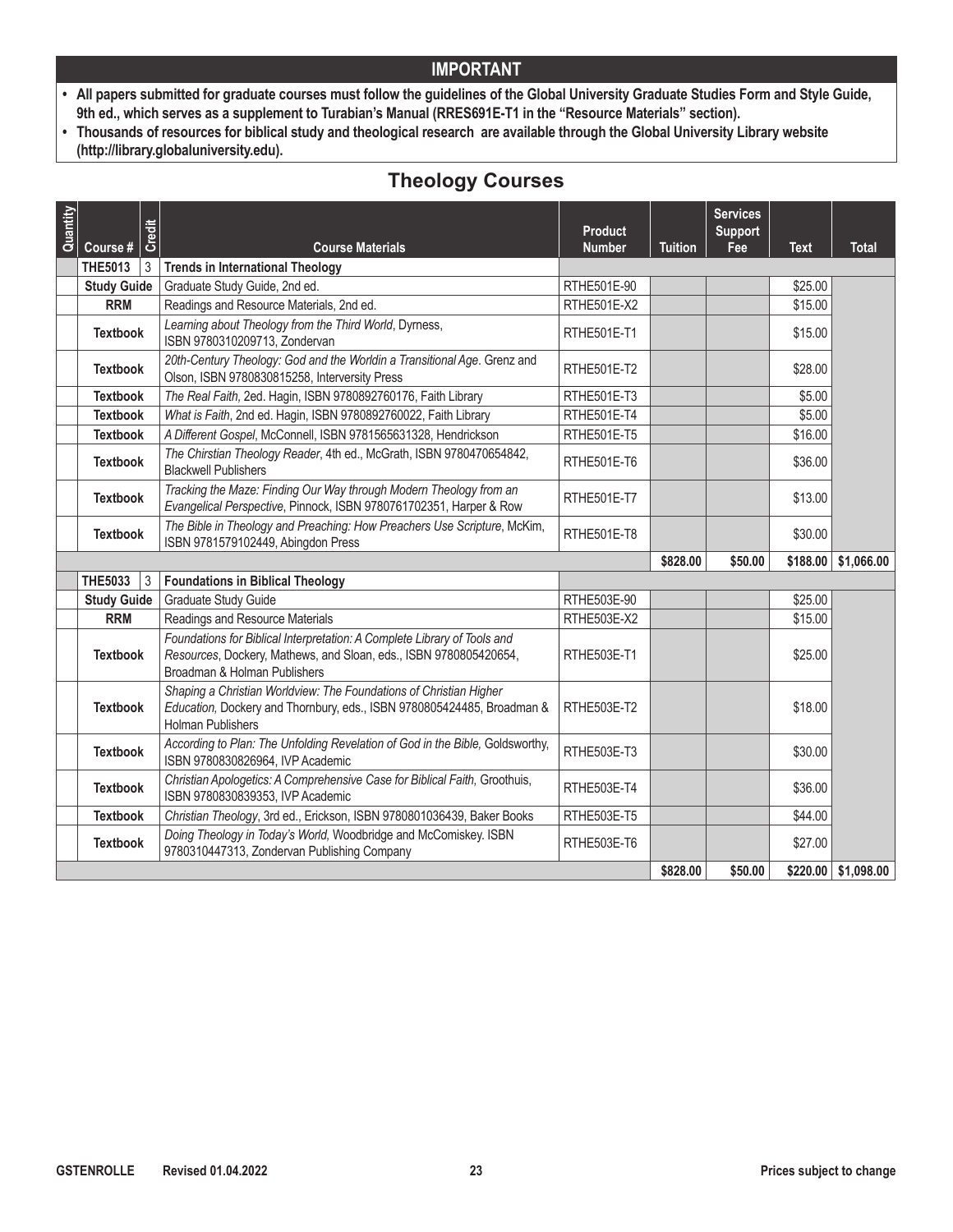- **• All papers submitted for graduate courses must follow the guidelines of the Global University Graduate Studies Form and Style Guide, 9th ed., which serves as a supplement to Turabian's Manual (RRES691E-T1 in the "Resource Materials" section).**
- **• Thousands of resources for biblical study and theological research are available through the Global University Library website (http://library.globaluniversity.edu).**

# **Theology Courses**

| Quantity |                            | Credit         |                                                                                                                                                                               | <b>Product</b>     |                | <b>Services</b><br><b>Support</b> |          |              |
|----------|----------------------------|----------------|-------------------------------------------------------------------------------------------------------------------------------------------------------------------------------|--------------------|----------------|-----------------------------------|----------|--------------|
|          | Course #<br><b>THE5013</b> | 3              | <b>Course Materials</b><br><b>Trends in International Theology</b>                                                                                                            | <b>Number</b>      | <b>Tuition</b> | Fee                               | Text     | <b>Total</b> |
|          | <b>Study Guide</b>         |                | Graduate Study Guide, 2nd ed.                                                                                                                                                 | RTHE501E-90        |                |                                   | \$25.00  |              |
|          | <b>RRM</b>                 |                | Readings and Resource Materials, 2nd ed.                                                                                                                                      | RTHE501E-X2        |                |                                   | \$15.00  |              |
|          | <b>Textbook</b>            |                | Learning about Theology from the Third World, Dyrness,<br>ISBN 9780310209713, Zondervan                                                                                       | RTHE501E-T1        |                |                                   | \$15.00  |              |
|          | <b>Textbook</b>            |                | 20th-Century Theology: God and the Worldin a Transitional Age. Grenz and<br>Olson, ISBN 9780830815258, Interversity Press                                                     | RTHE501E-T2        |                |                                   | \$28.00  |              |
|          | <b>Textbook</b>            |                | The Real Faith, 2ed. Hagin, ISBN 9780892760176, Faith Library                                                                                                                 | RTHE501E-T3        |                |                                   | \$5.00   |              |
|          | <b>Textbook</b>            |                | What is Faith, 2nd ed. Hagin, ISBN 9780892760022, Faith Library                                                                                                               | RTHE501E-T4        |                |                                   | \$5.00   |              |
|          | <b>Textbook</b>            |                | A Different Gospel, McConnell, ISBN 9781565631328, Hendrickson                                                                                                                | RTHE501E-T5        |                |                                   | \$16.00  |              |
|          | <b>Textbook</b>            |                | The Chirstian Theology Reader, 4th ed., McGrath, ISBN 9780470654842,<br><b>Blackwell Publishers</b>                                                                           | RTHE501E-T6        |                |                                   | \$36.00  |              |
|          | <b>Textbook</b>            |                | Tracking the Maze: Finding Our Way through Modern Theology from an<br>Evangelical Perspective, Pinnock, ISBN 9780761702351, Harper & Row                                      | RTHE501E-T7        |                |                                   | \$13.00  |              |
|          | <b>Textbook</b>            |                | The Bible in Theology and Preaching: How Preachers Use Scripture, McKim,<br>ISBN 9781579102449, Abingdon Press                                                                | RTHE501E-T8        |                |                                   | \$30.00  |              |
|          |                            |                |                                                                                                                                                                               |                    | \$828.00       | \$50.00                           | \$188.00 | \$1,066.00   |
|          | <b>THE5033</b>             | $\overline{3}$ | <b>Foundations in Biblical Theology</b>                                                                                                                                       |                    |                |                                   |          |              |
|          | <b>Study Guide</b>         |                | <b>Graduate Study Guide</b>                                                                                                                                                   | RTHE503E-90        |                |                                   | \$25.00  |              |
|          | <b>RRM</b>                 |                | Readings and Resource Materials                                                                                                                                               | RTHE503E-X2        |                |                                   | \$15.00  |              |
|          | <b>Textbook</b>            |                | Foundations for Biblical Interpretation: A Complete Library of Tools and<br>Resources, Dockery, Mathews, and Sloan, eds., ISBN 9780805420654,<br>Broadman & Holman Publishers | RTHE503E-T1        |                |                                   | \$25.00  |              |
|          | <b>Textbook</b>            |                | Shaping a Christian Worldview: The Foundations of Christian Higher<br>Education, Dockery and Thornbury, eds., ISBN 9780805424485, Broadman &<br><b>Holman Publishers</b>      | RTHE503E-T2        |                |                                   | \$18.00  |              |
|          | <b>Textbook</b>            |                | According to Plan: The Unfolding Revelation of God in the Bible, Goldsworthy,<br>ISBN 9780830826964, IVP Academic                                                             | RTHE503E-T3        |                |                                   | \$30.00  |              |
|          | <b>Textbook</b>            |                | Christian Apologetics: A Comprehensive Case for Biblical Faith, Groothuis,<br>ISBN 9780830839353, IVP Academic                                                                | <b>RTHE503E-T4</b> |                |                                   | \$36.00  |              |
|          | <b>Textbook</b>            |                | Christian Theology, 3rd ed., Erickson, ISBN 9780801036439, Baker Books                                                                                                        | RTHE503E-T5        |                |                                   | \$44.00  |              |
|          | <b>Textbook</b>            |                | Doing Theology in Today's World, Woodbridge and McComiskey. ISBN<br>9780310447313, Zondervan Publishing Company                                                               | RTHE503E-T6        |                |                                   | \$27.00  |              |
|          |                            |                |                                                                                                                                                                               |                    | \$828.00       | \$50.00                           | \$220.00 | \$1,098.00   |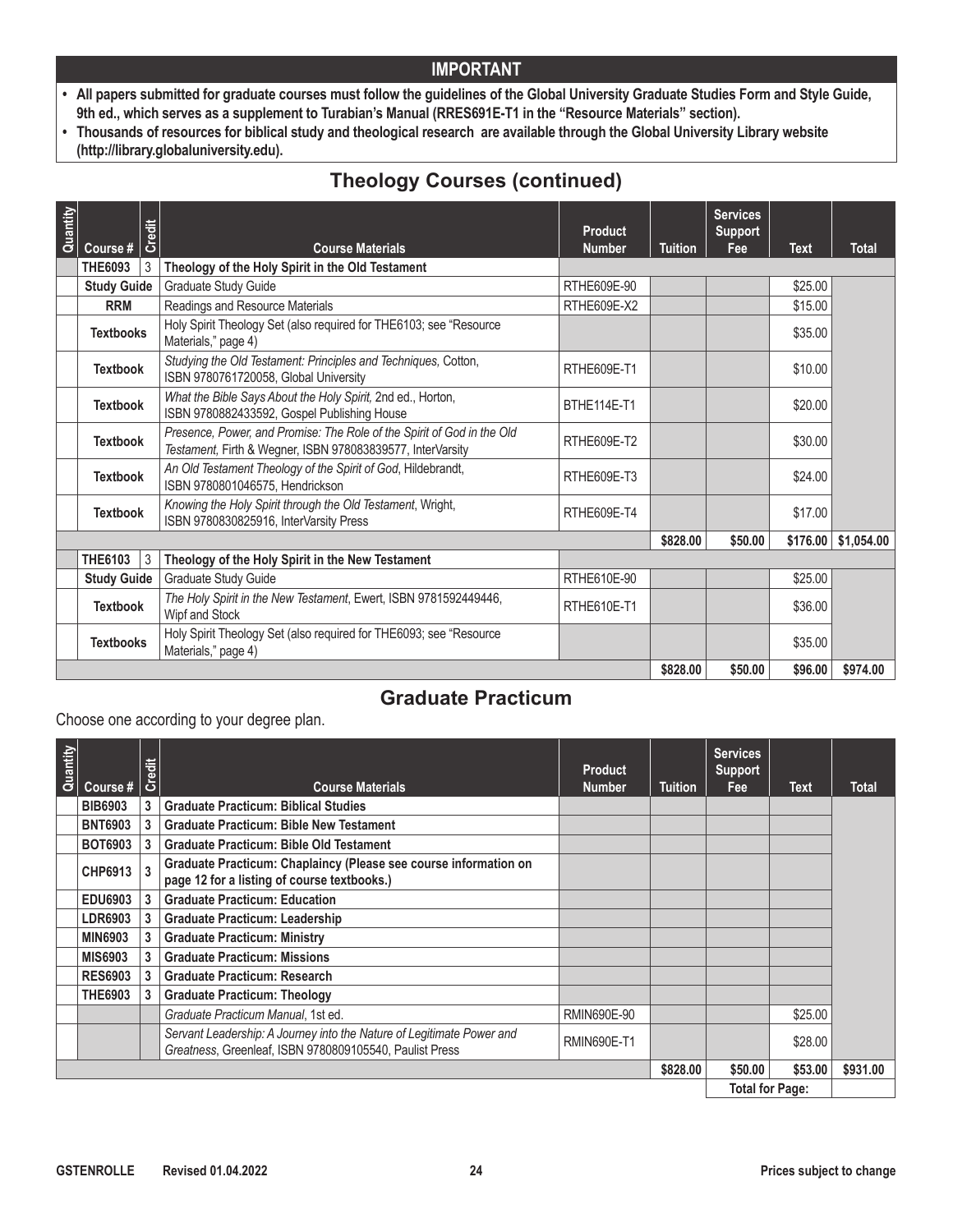- **• All papers submitted for graduate courses must follow the guidelines of the Global University Graduate Studies Form and Style Guide, 9th ed., which serves as a supplement to Turabian's Manual (RRES691E-T1 in the "Resource Materials" section).**
- **• Thousands of resources for biblical study and theological research are available through the Global University Library website (http://library.globaluniversity.edu).**

# **Theology Courses (continued)**

| Quantity |                    | <b>Credit</b> |                                                                                                                                      | Product            |                | <b>Services</b><br><b>Support</b> |          |              |
|----------|--------------------|---------------|--------------------------------------------------------------------------------------------------------------------------------------|--------------------|----------------|-----------------------------------|----------|--------------|
|          | Course #           |               | <b>Course Materials</b>                                                                                                              | <b>Number</b>      | <b>Tuition</b> | Fee                               | Text     | <b>Total</b> |
|          | <b>THE6093</b>     | 3             | Theology of the Holy Spirit in the Old Testament                                                                                     |                    |                |                                   |          |              |
|          | <b>Study Guide</b> |               | Graduate Study Guide                                                                                                                 | RTHE609E-90        |                |                                   | \$25.00  |              |
|          | <b>RRM</b>         |               | Readings and Resource Materials                                                                                                      | RTHE609E-X2        |                |                                   | \$15.00  |              |
|          | <b>Textbooks</b>   |               | Holy Spirit Theology Set (also required for THE6103; see "Resource<br>Materials," page 4)                                            |                    |                |                                   | \$35.00  |              |
|          | <b>Textbook</b>    |               | Studying the Old Testament: Principles and Techniques, Cotton,<br>ISBN 9780761720058, Global University                              | <b>RTHE609E-T1</b> |                |                                   | \$10.00  |              |
|          | <b>Textbook</b>    |               | What the Bible Says About the Holy Spirit, 2nd ed., Horton,<br>ISBN 9780882433592, Gospel Publishing House                           | BTHE114E-T1        |                |                                   | \$20.00  |              |
|          | <b>Textbook</b>    |               | Presence, Power, and Promise: The Role of the Spirit of God in the Old<br>Testament, Firth & Wegner, ISBN 978083839577, InterVarsity | RTHE609E-T2        |                |                                   | \$30.00  |              |
|          | <b>Textbook</b>    |               | An Old Testament Theology of the Spirit of God, Hildebrandt,<br>ISBN 9780801046575, Hendrickson                                      | RTHE609E-T3        |                |                                   | \$24.00  |              |
|          | <b>Textbook</b>    |               | Knowing the Holy Spirit through the Old Testament, Wright,<br>ISBN 9780830825916, InterVarsity Press                                 | RTHE609E-T4        |                |                                   | \$17.00  |              |
|          |                    |               |                                                                                                                                      |                    | \$828,00       | \$50.00                           | \$176.00 | \$1,054.00   |
|          | <b>THE6103</b>     | 3             | Theology of the Holy Spirit in the New Testament                                                                                     |                    |                |                                   |          |              |
|          | <b>Study Guide</b> |               | Graduate Study Guide                                                                                                                 | RTHE610E-90        |                |                                   | \$25.00  |              |
|          | <b>Textbook</b>    |               | The Holy Spirit in the New Testament, Ewert, ISBN 9781592449446,<br>Wipf and Stock                                                   | RTHE610E-T1        |                |                                   | \$36.00  |              |
|          | <b>Textbooks</b>   |               | Holy Spirit Theology Set (also required for THE6093; see "Resource"<br>Materials," page 4)                                           |                    |                |                                   | \$35.00  |              |
|          |                    |               |                                                                                                                                      |                    | \$828,00       | \$50.00                           | \$96.00  | \$974.00     |

# **Graduate Practicum**

Choose one according to your degree plan.

| Quantity               |                | Credit       |                                                                       | <b>Product</b>     |                | <b>Services</b><br><b>Support</b> |         |          |
|------------------------|----------------|--------------|-----------------------------------------------------------------------|--------------------|----------------|-----------------------------------|---------|----------|
|                        | Course #       |              | <b>Course Materials</b>                                               | <b>Number</b>      | <b>Tuition</b> | Fee                               | Text    | Total    |
|                        | <b>BIB6903</b> | 3            | <b>Graduate Practicum: Biblical Studies</b>                           |                    |                |                                   |         |          |
|                        | <b>BNT6903</b> | 3            | <b>Graduate Practicum: Bible New Testament</b>                        |                    |                |                                   |         |          |
|                        | BOT6903        | 3            | <b>Graduate Practicum: Bible Old Testament</b>                        |                    |                |                                   |         |          |
|                        | <b>CHP6913</b> | $\mathbf{3}$ | Graduate Practicum: Chaplaincy (Please see course information on      |                    |                |                                   |         |          |
|                        |                |              | page 12 for a listing of course textbooks.)                           |                    |                |                                   |         |          |
|                        | <b>EDU6903</b> | 3            | <b>Graduate Practicum: Education</b>                                  |                    |                |                                   |         |          |
|                        | LDR6903        | 3            | <b>Graduate Practicum: Leadership</b>                                 |                    |                |                                   |         |          |
|                        | <b>MIN6903</b> | 3            | <b>Graduate Practicum: Ministry</b>                                   |                    |                |                                   |         |          |
|                        | <b>MIS6903</b> | 3            | <b>Graduate Practicum: Missions</b>                                   |                    |                |                                   |         |          |
|                        | <b>RES6903</b> | 3            | <b>Graduate Practicum: Research</b>                                   |                    |                |                                   |         |          |
|                        | <b>THE6903</b> | 3            | <b>Graduate Practicum: Theology</b>                                   |                    |                |                                   |         |          |
|                        |                |              | Graduate Practicum Manual, 1st ed.                                    | RMIN690E-90        |                |                                   | \$25.00 |          |
|                        |                |              | Servant Leadership: A Journey into the Nature of Legitimate Power and | <b>RMIN690E-T1</b> |                |                                   | \$28.00 |          |
|                        |                |              | Greatness, Greenleaf, ISBN 9780809105540, Paulist Press               |                    |                |                                   |         |          |
|                        |                |              |                                                                       |                    | \$828.00       | \$50.00                           | \$53.00 | \$931.00 |
| <b>Total for Page:</b> |                |              |                                                                       |                    |                |                                   |         |          |

**Total for Page:**  $\overline{\phantom{a}}$